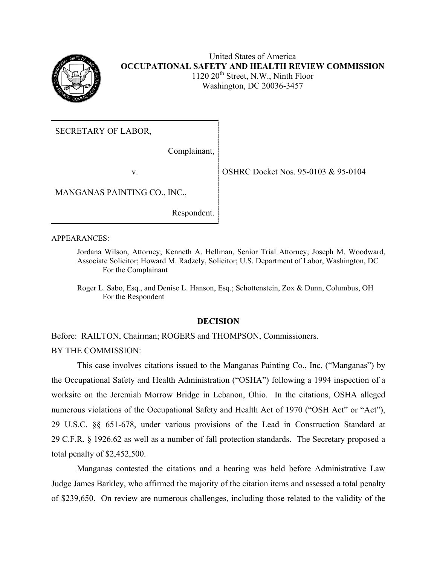

United States of America **OCCUPATIONAL SAFETY AND HEALTH REVIEW COMMISSION** 1120 20<sup>th</sup> Street, N.W., Ninth Floor Washington, DC 20036-3457

SECRETARY OF LABOR,

Complainant,

v. OSHRC Docket Nos. 95-0103 & 95-0104

MANGANAS PAINTING CO., INC.,

Respondent.

APPEARANCES:

Jordana Wilson, Attorney; Kenneth A. Hellman, Senior Trial Attorney; Joseph M. Woodward, Associate Solicitor; Howard M. Radzely, Solicitor; U.S. Department of Labor, Washington, DC For the Complainant

Roger L. Sabo, Esq., and Denise L. Hanson, Esq.; Schottenstein, Zox & Dunn, Columbus, OH For the Respondent

# **DECISION**

Before: RAILTON, Chairman; ROGERS and THOMPSON, Commissioners. BY THE COMMISSION:

This case involves citations issued to the Manganas Painting Co., Inc. ("Manganas") by the Occupational Safety and Health Administration ("OSHA") following a 1994 inspection of a worksite on the Jeremiah Morrow Bridge in Lebanon, Ohio. In the citations, OSHA alleged numerous violations of the Occupational Safety and Health Act of 1970 ("OSH Act" or "Act"), 29 U.S.C. §§ 651-678, under various provisions of the Lead in Construction Standard at 29 C.F.R. § 1926.62 as well as a number of fall protection standards. The Secretary proposed a total penalty of \$2,452,500.

Manganas contested the citations and a hearing was held before Administrative Law Judge James Barkley, who affirmed the majority of the citation items and assessed a total penalty of \$239,650. On review are numerous challenges, including those related to the validity of the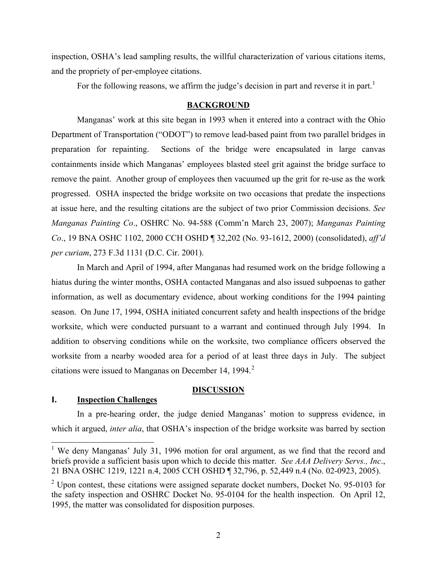inspection, OSHA's lead sampling results, the willful characterization of various citations items, and the propriety of per-employee citations.

For the following reasons, we affirm the judge's decision in part and reverse it in part.<sup>[1](#page-1-0)</sup>

#### **BACKGROUND**

Manganas' work at this site began in 1993 when it entered into a contract with the Ohio Department of Transportation ("ODOT") to remove lead-based paint from two parallel bridges in preparation for repainting. Sections of the bridge were encapsulated in large canvas containments inside which Manganas' employees blasted steel grit against the bridge surface to remove the paint. Another group of employees then vacuumed up the grit for re-use as the work progressed. OSHA inspected the bridge worksite on two occasions that predate the inspections at issue here, and the resulting citations are the subject of two prior Commission decisions. *See Manganas Painting Co*., OSHRC No. 94-588 (Comm'n March 23, 2007); *Manganas Painting Co*., 19 BNA OSHC 1102, 2000 CCH OSHD ¶ 32,202 (No. 93-1612, 2000) (consolidated), *aff'd per curiam*, 273 F.3d 1131 (D.C. Cir. 2001).

In March and April of 1994, after Manganas had resumed work on the bridge following a hiatus during the winter months, OSHA contacted Manganas and also issued subpoenas to gather information, as well as documentary evidence, about working conditions for the 1994 painting season. On June 17, 1994, OSHA initiated concurrent safety and health inspections of the bridge worksite, which were conducted pursuant to a warrant and continued through July 1994. In addition to observing conditions while on the worksite, two compliance officers observed the worksite from a nearby wooded area for a period of at least three days in July. The subject citations were issued to Manganas on December 14, 1994. $2$ 

# **DISCUSSION**

# **I. Inspection Challenges**

In a pre-hearing order, the judge denied Manganas' motion to suppress evidence, in which it argued, *inter alia*, that OSHA's inspection of the bridge worksite was barred by section

<span id="page-1-0"></span><sup>&</sup>lt;sup>1</sup> We deny Manganas' July 31, 1996 motion for oral argument, as we find that the record and briefs provide a sufficient basis upon which to decide this matter. *See AAA Delivery Servs., Inc*., 21 BNA OSHC 1219, 1221 n.4, 2005 CCH OSHD ¶ 32,796, p. 52,449 n.4 (No. 02-0923, 2005).

<span id="page-1-1"></span> $2$  Upon contest, these citations were assigned separate docket numbers, Docket No. 95-0103 for the safety inspection and OSHRC Docket No. 95-0104 for the health inspection. On April 12, 1995, the matter was consolidated for disposition purposes.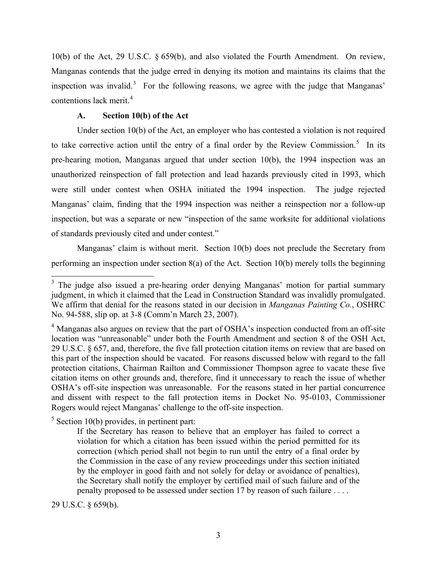10(b) of the Act, 29 U.S.C. § 659(b), and also violated the Fourth Amendment. On review, Manganas contends that the judge erred in denying its motion and maintains its claims that the inspection was invalid.<sup>[3](#page-2-0)</sup> For the following reasons, we agree with the judge that Manganas' contentions lack merit.<sup>[4](#page-2-1)</sup>

# **A. Section 10(b) of the Act**

Under section 10(b) of the Act, an employer who has contested a violation is not required to take corrective action until the entry of a final order by the Review Commission.<sup>[5](#page-2-2)</sup> In its pre-hearing motion, Manganas argued that under section 10(b), the 1994 inspection was an unauthorized reinspection of fall protection and lead hazards previously cited in 1993, which were still under contest when OSHA initiated the 1994 inspection. The judge rejected Manganas' claim, finding that the 1994 inspection was neither a reinspection nor a follow-up inspection, but was a separate or new "inspection of the same worksite for additional violations of standards previously cited and under contest."

Manganas' claim is without merit. Section 10(b) does not preclude the Secretary from performing an inspection under section 8(a) of the Act. Section 10(b) merely tolls the beginning

<span id="page-2-2"></span> $<sup>5</sup>$  Section 10(b) provides, in pertinent part:</sup>

29 U.S.C. § 659(b).

<span id="page-2-0"></span><sup>&</sup>lt;sup>3</sup> The judge also issued a pre-hearing order denying Manganas' motion for partial summary judgment, in which it claimed that the Lead in Construction Standard was invalidly promulgated. We affirm that denial for the reasons stated in our decision in *Manganas Painting Co.*, OSHRC No. 94-588, slip op. at 3-8 (Comm'n March 23, 2007).

<span id="page-2-1"></span><sup>&</sup>lt;sup>4</sup> Manganas also argues on review that the part of OSHA's inspection conducted from an off-site location was "unreasonable" under both the Fourth Amendment and section 8 of the OSH Act, 29 U.S.C. § 657, and, therefore, the five fall protection citation items on review that are based on this part of the inspection should be vacated. For reasons discussed below with regard to the fall protection citations, Chairman Railton and Commissioner Thompson agree to vacate these five citation items on other grounds and, therefore, find it unnecessary to reach the issue of whether OSHA's off-site inspection was unreasonable. For the reasons stated in her partial concurrence and dissent with respect to the fall protection items in Docket No. 95-0103, Commissioner Rogers would reject Manganas' challenge to the off-site inspection.

If the Secretary has reason to believe that an employer has failed to correct a violation for which a citation has been issued within the period permitted for its correction (which period shall not begin to run until the entry of a final order by the Commission in the case of any review proceedings under this section initiated by the employer in good faith and not solely for delay or avoidance of penalties), the Secretary shall notify the employer by certified mail of such failure and of the penalty proposed to be assessed under section 17 by reason of such failure . . . .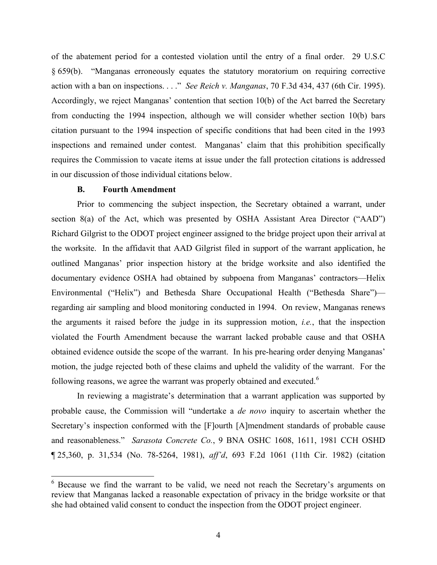of the abatement period for a contested violation until the entry of a final order. 29 U.S.C § 659(b). "Manganas erroneously equates the statutory moratorium on requiring corrective action with a ban on inspections. . . ." *See Reich v. Manganas*, 70 F.3d 434, 437 (6th Cir. 1995). Accordingly, we reject Manganas' contention that section 10(b) of the Act barred the Secretary from conducting the 1994 inspection, although we will consider whether section 10(b) bars citation pursuant to the 1994 inspection of specific conditions that had been cited in the 1993 inspections and remained under contest. Manganas' claim that this prohibition specifically requires the Commission to vacate items at issue under the fall protection citations is addressed in our discussion of those individual citations below.

### **B. Fourth Amendment**

Prior to commencing the subject inspection, the Secretary obtained a warrant, under section 8(a) of the Act, which was presented by OSHA Assistant Area Director ("AAD") Richard Gilgrist to the ODOT project engineer assigned to the bridge project upon their arrival at the worksite. In the affidavit that AAD Gilgrist filed in support of the warrant application, he outlined Manganas' prior inspection history at the bridge worksite and also identified the documentary evidence OSHA had obtained by subpoena from Manganas' contractors—Helix Environmental ("Helix") and Bethesda Share Occupational Health ("Bethesda Share") regarding air sampling and blood monitoring conducted in 1994. On review, Manganas renews the arguments it raised before the judge in its suppression motion, *i.e.*, that the inspection violated the Fourth Amendment because the warrant lacked probable cause and that OSHA obtained evidence outside the scope of the warrant. In his pre-hearing order denying Manganas' motion, the judge rejected both of these claims and upheld the validity of the warrant. For the following reasons, we agree the warrant was properly obtained and executed.<sup>[6](#page-3-0)</sup>

In reviewing a magistrate's determination that a warrant application was supported by probable cause, the Commission will "undertake a *de novo* inquiry to ascertain whether the Secretary's inspection conformed with the [F]ourth [A]mendment standards of probable cause and reasonableness." *Sarasota Concrete Co.*, 9 BNA OSHC 1608, 1611, 1981 CCH OSHD ¶ 25,360, p. 31,534 (No. 78-5264, 1981), *aff'd*, 693 F.2d 1061 (11th Cir. 1982) (citation

<span id="page-3-0"></span><sup>&</sup>lt;sup>6</sup> Because we find the warrant to be valid, we need not reach the Secretary's arguments on review that Manganas lacked a reasonable expectation of privacy in the bridge worksite or that she had obtained valid consent to conduct the inspection from the ODOT project engineer.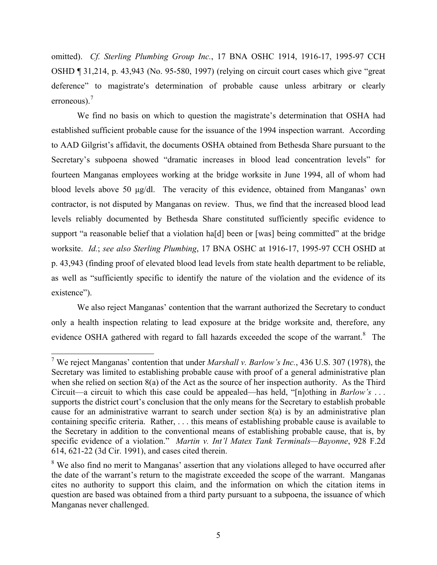omitted). *Cf. Sterling Plumbing Group Inc.*, 17 BNA OSHC 1914, 1916-17, 1995-97 CCH OSHD ¶ 31,214, p. 43,943 (No. 95-580, 1997) (relying on circuit court cases which give "great deference" to magistrate's determination of probable cause unless arbitrary or clearly erroneous). $<sup>7</sup>$ </sup>

We find no basis on which to question the magistrate's determination that OSHA had established sufficient probable cause for the issuance of the 1994 inspection warrant. According to AAD Gilgrist's affidavit, the documents OSHA obtained from Bethesda Share pursuant to the Secretary's subpoena showed "dramatic increases in blood lead concentration levels" for fourteen Manganas employees working at the bridge worksite in June 1994, all of whom had blood levels above 50 μg/dl. The veracity of this evidence, obtained from Manganas' own contractor, is not disputed by Manganas on review. Thus, we find that the increased blood lead levels reliably documented by Bethesda Share constituted sufficiently specific evidence to support "a reasonable belief that a violation ha<sup>[d]</sup> been or [was] being committed" at the bridge worksite. *Id.*; *see also Sterling Plumbing*, 17 BNA OSHC at 1916-17, 1995-97 CCH OSHD at p. 43,943 (finding proof of elevated blood lead levels from state health department to be reliable, as well as "sufficiently specific to identify the nature of the violation and the evidence of its existence").

We also reject Manganas' contention that the warrant authorized the Secretary to conduct only a health inspection relating to lead exposure at the bridge worksite and, therefore, any evidence OSHA gathered with regard to fall hazards exceeded the scope of the warrant.<sup>[8](#page-4-1)</sup> The

<span id="page-4-0"></span><sup>7</sup> We reject Manganas' contention that under *Marshall v. Barlow's Inc.*, 436 U.S. 307 (1978), the Secretary was limited to establishing probable cause with proof of a general administrative plan when she relied on section 8(a) of the Act as the source of her inspection authority. As the Third Circuit—a circuit to which this case could be appealed—has held, "[n]othing in *Barlow's* . . . supports the district court's conclusion that the only means for the Secretary to establish probable cause for an administrative warrant to search under section 8(a) is by an administrative plan containing specific criteria. Rather, . . . this means of establishing probable cause is available to the Secretary in addition to the conventional means of establishing probable cause, that is, by specific evidence of a violation." *Martin v. Int'l Matex Tank Terminals—Bayonne*, 928 F.2d 614, 621-22 (3d Cir. 1991), and cases cited therein.

<span id="page-4-1"></span><sup>&</sup>lt;sup>8</sup> We also find no merit to Manganas' assertion that any violations alleged to have occurred after the date of the warrant's return to the magistrate exceeded the scope of the warrant. Manganas cites no authority to support this claim, and the information on which the citation items in question are based was obtained from a third party pursuant to a subpoena, the issuance of which Manganas never challenged.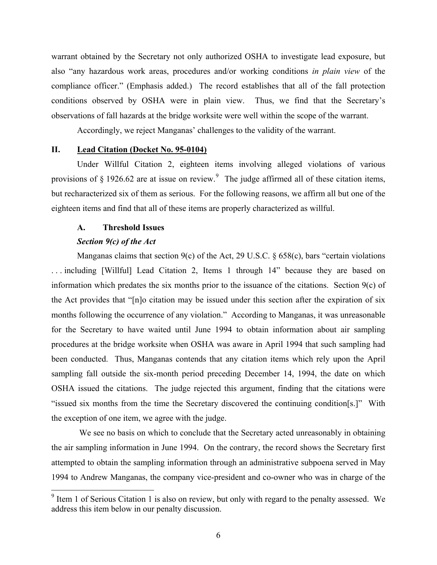warrant obtained by the Secretary not only authorized OSHA to investigate lead exposure, but also "any hazardous work areas, procedures and/or working conditions *in plain view* of the compliance officer." (Emphasis added.) The record establishes that all of the fall protection conditions observed by OSHA were in plain view. Thus, we find that the Secretary's observations of fall hazards at the bridge worksite were well within the scope of the warrant.

Accordingly, we reject Manganas' challenges to the validity of the warrant.

# **II. Lead Citation (Docket No. 95-0104)**

Under Willful Citation 2, eighteen items involving alleged violations of various provisions of  $\S 1926.62$  $\S 1926.62$  $\S 1926.62$  are at issue on review.<sup>9</sup> The judge affirmed all of these citation items, but recharacterized six of them as serious. For the following reasons, we affirm all but one of the eighteen items and find that all of these items are properly characterized as willful.

#### **A. Threshold Issues**

#### *Section 9(c) of the Act*

Manganas claims that section 9(c) of the Act, 29 U.S.C. § 658(c), bars "certain violations . . . including [Willful] Lead Citation 2, Items 1 through 14" because they are based on information which predates the six months prior to the issuance of the citations. Section 9(c) of the Act provides that "[n]o citation may be issued under this section after the expiration of six months following the occurrence of any violation." According to Manganas, it was unreasonable for the Secretary to have waited until June 1994 to obtain information about air sampling procedures at the bridge worksite when OSHA was aware in April 1994 that such sampling had been conducted. Thus, Manganas contends that any citation items which rely upon the April sampling fall outside the six-month period preceding December 14, 1994, the date on which OSHA issued the citations. The judge rejected this argument, finding that the citations were "issued six months from the time the Secretary discovered the continuing condition[s.]" With the exception of one item, we agree with the judge.

We see no basis on which to conclude that the Secretary acted unreasonably in obtaining the air sampling information in June 1994. On the contrary, the record shows the Secretary first attempted to obtain the sampling information through an administrative subpoena served in May 1994 to Andrew Manganas, the company vice-president and co-owner who was in charge of the

<span id="page-5-0"></span> $9$  Item 1 of Serious Citation 1 is also on review, but only with regard to the penalty assessed. We address this item below in our penalty discussion.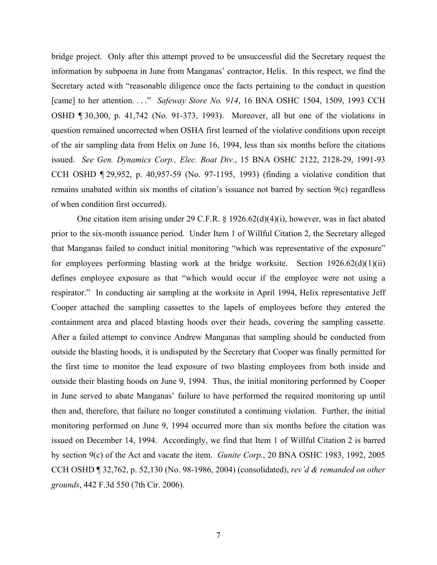bridge project. Only after this attempt proved to be unsuccessful did the Secretary request the information by subpoena in June from Manganas' contractor, Helix. In this respect, we find the Secretary acted with "reasonable diligence once the facts pertaining to the conduct in question [came] to her attention. . . ." *Safeway Store No. 914*, 16 BNA OSHC 1504, 1509, 1993 CCH OSHD ¶ 30,300, p. 41,742 (No. 91-373, 1993). Moreover, all but one of the violations in question remained uncorrected when OSHA first learned of the violative conditions upon receipt of the air sampling data from Helix on June 16, 1994, less than six months before the citations issued. *See Gen. Dynamics Corp., Elec. Boat Div.*, 15 BNA OSHC 2122, 2128-29, 1991-93 CCH OSHD ¶ 29,952, p. 40,957-59 (No. 97-1195, 1993) (finding a violative condition that remains unabated within six months of citation's issuance not barred by section 9(c) regardless of when condition first occurred).

One citation item arising under 29 C.F.R. § 1926.62(d)(4)(i), however, was in fact abated prior to the six-month issuance period. Under Item 1 of Willful Citation 2, the Secretary alleged that Manganas failed to conduct initial monitoring "which was representative of the exposure" for employees performing blasting work at the bridge worksite. Section  $1926.62(d)(1)(ii)$ defines employee exposure as that "which would occur if the employee were not using a respirator." In conducting air sampling at the worksite in April 1994, Helix representative Jeff Cooper attached the sampling cassettes to the lapels of employees before they entered the containment area and placed blasting hoods over their heads, covering the sampling cassette. After a failed attempt to convince Andrew Manganas that sampling should be conducted from outside the blasting hoods, it is undisputed by the Secretary that Cooper was finally permitted for the first time to monitor the lead exposure of two blasting employees from both inside and outside their blasting hoods on June 9, 1994. Thus, the initial monitoring performed by Cooper in June served to abate Manganas' failure to have performed the required monitoring up until then and, therefore, that failure no longer constituted a continuing violation. Further, the initial monitoring performed on June 9, 1994 occurred more than six months before the citation was issued on December 14, 1994. Accordingly, we find that Item 1 of Willful Citation 2 is barred by section 9(c) of the Act and vacate the item. *Gunite Corp.*, 20 BNA OSHC 1983, 1992, 2005 CCH OSHD ¶ 32,762, p. 52,130 (No. 98-1986, 2004) (consolidated), *rev'd & remanded on other grounds*, 442 F.3d 550 (7th Cir. 2006).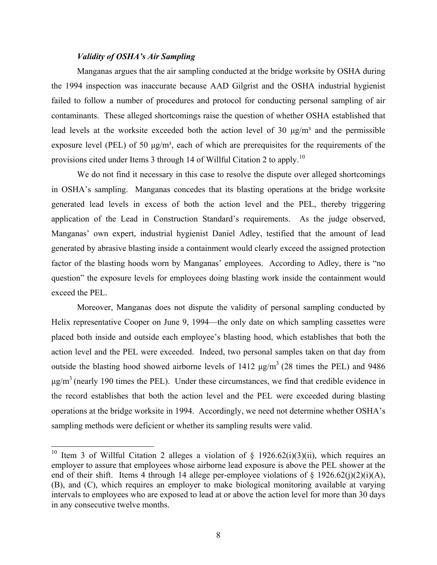### *Validity of OSHA's Air Sampling*

Manganas argues that the air sampling conducted at the bridge worksite by OSHA during the 1994 inspection was inaccurate because AAD Gilgrist and the OSHA industrial hygienist failed to follow a number of procedures and protocol for conducting personal sampling of air contaminants. These alleged shortcomings raise the question of whether OSHA established that lead levels at the worksite exceeded both the action level of 30  $\mu$ g/m<sup>3</sup> and the permissible exposure level (PEL) of 50  $\mu$ g/m<sup>3</sup>, each of which are prerequisites for the requirements of the provisions cited under Items 3 through 14 of Willful Citation 2 to apply.<sup>10</sup>

We do not find it necessary in this case to resolve the dispute over alleged shortcomings in OSHA's sampling. Manganas concedes that its blasting operations at the bridge worksite generated lead levels in excess of both the action level and the PEL, thereby triggering application of the Lead in Construction Standard's requirements. As the judge observed, Manganas' own expert, industrial hygienist Daniel Adley, testified that the amount of lead generated by abrasive blasting inside a containment would clearly exceed the assigned protection factor of the blasting hoods worn by Manganas' employees. According to Adley, there is "no question" the exposure levels for employees doing blasting work inside the containment would exceed the PEL.

Moreover, Manganas does not dispute the validity of personal sampling conducted by Helix representative Cooper on June 9, 1994—the only date on which sampling cassettes were placed both inside and outside each employee's blasting hood, which establishes that both the action level and the PEL were exceeded. Indeed, two personal samples taken on that day from outside the blasting hood showed airborne levels of 1412  $\mu$ g/m<sup>3</sup> (28 times the PEL) and 9486  $\mu$ g/m<sup>3</sup> (nearly 190 times the PEL). Under these circumstances, we find that credible evidence in the record establishes that both the action level and the PEL were exceeded during blasting operations at the bridge worksite in 1994. Accordingly, we need not determine whether OSHA's sampling methods were deficient or whether its sampling results were valid.

<span id="page-7-0"></span><sup>&</sup>lt;sup>10</sup> Item 3 of Willful Citation 2 alleges a violation of § 1926.62(i)(3)(ii), which requires an employer to assure that employees whose airborne lead exposure is above the PEL shower at the end of their shift. Items 4 through 14 allege per-employee violations of  $\S$  1926.62(j)(2)(i)(A), (B), and (C), which requires an employer to make biological monitoring available at varying intervals to employees who are exposed to lead at or above the action level for more than 30 days in any consecutive twelve months.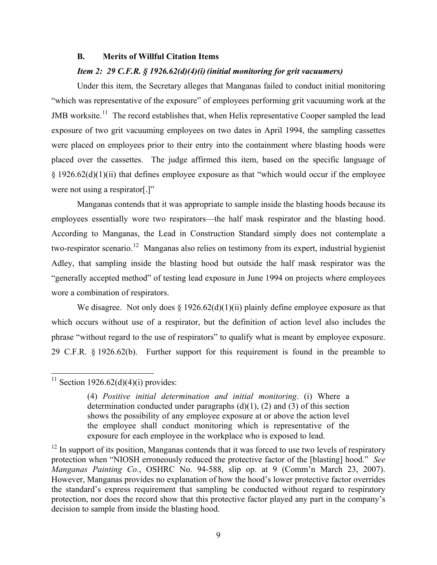#### **B. Merits of Willful Citation Items**

### *Item 2: 29 C.F.R. § 1926.62(d)(4)(i) (initial monitoring for grit vacuumers)*

Under this item, the Secretary alleges that Manganas failed to conduct initial monitoring "which was representative of the exposure" of employees performing grit vacuuming work at the JMB worksite.<sup>[11](#page-8-0)</sup> The record establishes that, when Helix representative Cooper sampled the lead exposure of two grit vacuuming employees on two dates in April 1994, the sampling cassettes were placed on employees prior to their entry into the containment where blasting hoods were placed over the cassettes. The judge affirmed this item, based on the specific language of  $§$  1926.62(d)(1)(ii) that defines employee exposure as that "which would occur if the employee were not using a respirator[.]"

Manganas contends that it was appropriate to sample inside the blasting hoods because its employees essentially wore two respirators—the half mask respirator and the blasting hood. According to Manganas, the Lead in Construction Standard simply does not contemplate a two-respirator scenario.<sup>[12](#page-8-1)</sup> Manganas also relies on testimony from its expert, industrial hygienist Adley, that sampling inside the blasting hood but outside the half mask respirator was the "generally accepted method" of testing lead exposure in June 1994 on projects where employees wore a combination of respirators.

We disagree. Not only does  $\S 1926.62(d)(1)(ii)$  plainly define employee exposure as that which occurs without use of a respirator, but the definition of action level also includes the phrase "without regard to the use of respirators" to qualify what is meant by employee exposure. 29 C.F.R. § 1926.62(b). Further support for this requirement is found in the preamble to

# <span id="page-8-0"></span><sup>11</sup> Section 1926.62(d)(4)(i) provides:

<sup>(4)</sup> *Positive initial determination and initial monitoring*. (i) Where a determination conducted under paragraphs  $(d)(1)$ ,  $(2)$  and  $(3)$  of this section shows the possibility of any employee exposure at or above the action level the employee shall conduct monitoring which is representative of the exposure for each employee in the workplace who is exposed to lead.

<span id="page-8-1"></span> $12$  In support of its position, Manganas contends that it was forced to use two levels of respiratory protection when "NIOSH erroneously reduced the protective factor of the [blasting] hood." *See Manganas Painting Co.*, OSHRC No. 94-588, slip op. at 9 (Comm'n March 23, 2007). However, Manganas provides no explanation of how the hood's lower protective factor overrides the standard's express requirement that sampling be conducted without regard to respiratory protection, nor does the record show that this protective factor played any part in the company's decision to sample from inside the blasting hood.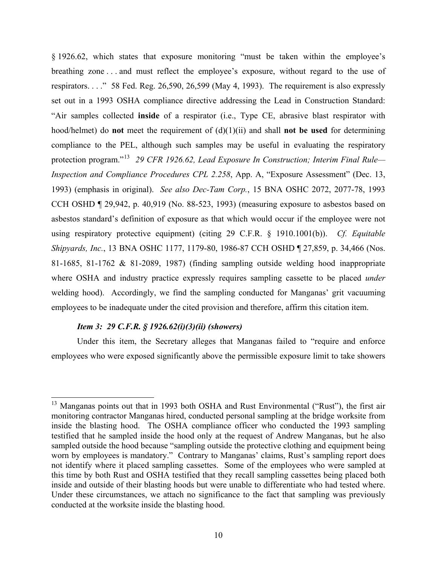§ 1926.62, which states that exposure monitoring "must be taken within the employee's breathing zone . . . and must reflect the employee's exposure, without regard to the use of respirators. . . ." 58 Fed. Reg. 26,590, 26,599 (May 4, 1993). The requirement is also expressly set out in a 1993 OSHA compliance directive addressing the Lead in Construction Standard: "Air samples collected **inside** of a respirator (i.e., Type CE, abrasive blast respirator with hood/helmet) do **not** meet the requirement of (d)(1)(ii) and shall **not be used** for determining compliance to the PEL, although such samples may be useful in evaluating the respiratory protection program."[13](#page-9-0) *29 CFR 1926.62, Lead Exposure In Construction; Interim Final Rule— Inspection and Compliance Procedures CPL 2.258*, App. A, "Exposure Assessment" (Dec. 13, 1993) (emphasis in original). *See also Dec-Tam Corp.*, 15 BNA OSHC 2072, 2077-78, 1993 CCH OSHD ¶ 29,942, p. 40,919 (No. 88-523, 1993) (measuring exposure to asbestos based on asbestos standard's definition of exposure as that which would occur if the employee were not using respiratory protective equipment) (citing 29 C.F.R. § 1910.1001(b)). *Cf. Equitable Shipyards, Inc.*, 13 BNA OSHC 1177, 1179-80, 1986-87 CCH OSHD ¶ 27,859, p. 34,466 (Nos. 81-1685, 81-1762 & 81-2089, 1987) (finding sampling outside welding hood inappropriate where OSHA and industry practice expressly requires sampling cassette to be placed *under*  welding hood). Accordingly, we find the sampling conducted for Manganas' grit vacuuming employees to be inadequate under the cited provision and therefore, affirm this citation item.

### *Item 3: 29 C.F.R. § 1926.62(i)(3)(ii) (showers)*

Under this item, the Secretary alleges that Manganas failed to "require and enforce employees who were exposed significantly above the permissible exposure limit to take showers

<span id="page-9-0"></span> $13$  Manganas points out that in 1993 both OSHA and Rust Environmental ("Rust"), the first air monitoring contractor Manganas hired, conducted personal sampling at the bridge worksite from inside the blasting hood. The OSHA compliance officer who conducted the 1993 sampling testified that he sampled inside the hood only at the request of Andrew Manganas, but he also sampled outside the hood because "sampling outside the protective clothing and equipment being worn by employees is mandatory." Contrary to Manganas' claims, Rust's sampling report does not identify where it placed sampling cassettes. Some of the employees who were sampled at this time by both Rust and OSHA testified that they recall sampling cassettes being placed both inside and outside of their blasting hoods but were unable to differentiate who had tested where. Under these circumstances, we attach no significance to the fact that sampling was previously conducted at the worksite inside the blasting hood.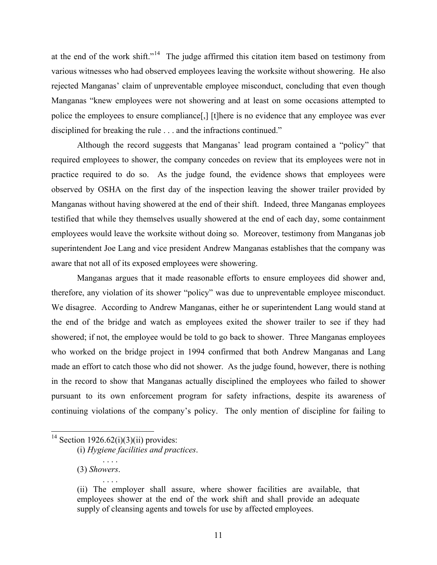at the end of the work shift."[14](#page-10-0) The judge affirmed this citation item based on testimony from various witnesses who had observed employees leaving the worksite without showering. He also rejected Manganas' claim of unpreventable employee misconduct, concluding that even though Manganas "knew employees were not showering and at least on some occasions attempted to police the employees to ensure compliance[,] [t]here is no evidence that any employee was ever disciplined for breaking the rule . . . and the infractions continued."

Although the record suggests that Manganas' lead program contained a "policy" that required employees to shower, the company concedes on review that its employees were not in practice required to do so. As the judge found, the evidence shows that employees were observed by OSHA on the first day of the inspection leaving the shower trailer provided by Manganas without having showered at the end of their shift. Indeed, three Manganas employees testified that while they themselves usually showered at the end of each day, some containment employees would leave the worksite without doing so. Moreover, testimony from Manganas job superintendent Joe Lang and vice president Andrew Manganas establishes that the company was aware that not all of its exposed employees were showering.

Manganas argues that it made reasonable efforts to ensure employees did shower and, therefore, any violation of its shower "policy" was due to unpreventable employee misconduct. We disagree. According to Andrew Manganas, either he or superintendent Lang would stand at the end of the bridge and watch as employees exited the shower trailer to see if they had showered; if not, the employee would be told to go back to shower. Three Manganas employees who worked on the bridge project in 1994 confirmed that both Andrew Manganas and Lang made an effort to catch those who did not shower. As the judge found, however, there is nothing in the record to show that Manganas actually disciplined the employees who failed to shower pursuant to its own enforcement program for safety infractions, despite its awareness of continuing violations of the company's policy. The only mention of discipline for failing to

# <span id="page-10-0"></span><sup>14</sup> Section 1926.62(i)(3)(ii) provides:

(i) *Hygiene facilities and practices*.

<sup>(3)</sup> *Showers*. . . . .

<sup>(</sup>ii) The employer shall assure, where shower facilities are available, that employees shower at the end of the work shift and shall provide an adequate supply of cleansing agents and towels for use by affected employees.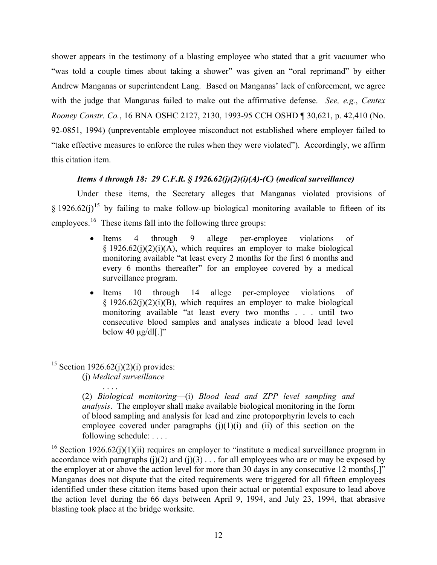shower appears in the testimony of a blasting employee who stated that a grit vacuumer who "was told a couple times about taking a shower" was given an "oral reprimand" by either Andrew Manganas or superintendent Lang. Based on Manganas' lack of enforcement, we agree with the judge that Manganas failed to make out the affirmative defense. *See, e.g.*, *Centex Rooney Constr. Co.*, 16 BNA OSHC 2127, 2130, 1993-95 CCH OSHD ¶ 30,621, p. 42,410 (No. 92-0851, 1994) (unpreventable employee misconduct not established where employer failed to "take effective measures to enforce the rules when they were violated"). Accordingly, we affirm this citation item.

# *Items 4 through 18: 29 C.F.R. § 1926.62(j)(2)(i)(A)-(C) (medical surveillance)*

Under these items, the Secretary alleges that Manganas violated provisions of § 1926.62(i)<sup>[15](#page-11-0)</sup> by failing to make follow-up biological monitoring available to fifteen of its employees.<sup>[16](#page-11-1)</sup> These items fall into the following three groups:

- Items 4 through 9 allege per-employee violations of  $§$  1926.62(j)(2)(j)(A), which requires an employer to make biological monitoring available "at least every 2 months for the first 6 months and every 6 months thereafter" for an employee covered by a medical surveillance program.
- Items 10 through 14 allege per-employee violations of  $§$  1926.62(j)(2)(i)(B), which requires an employer to make biological monitoring available "at least every two months . . . until two consecutive blood samples and analyses indicate a blood lead level below 40  $\mu$ g/dl[.]"

<span id="page-11-0"></span><sup>&</sup>lt;sup>15</sup> Section 1926.62(j)(2)(i) provides: (j) *Medical surveillance*

<sup>. . . .</sup>  (2) *Biological monitoring*—(i) *Blood lead and ZPP level sampling and analysis*. The employer shall make available biological monitoring in the form of blood sampling and analysis for lead and zinc protoporphyrin levels to each employee covered under paragraphs  $(i)(1)(i)$  and  $(ii)$  of this section on the following schedule: . . . .

<span id="page-11-1"></span><sup>&</sup>lt;sup>16</sup> Section 1926.62(j)(1)(ii) requires an employer to "institute a medical surveillance program in accordance with paragraphs  $(j)(2)$  and  $(j)(3)$ ... for all employees who are or may be exposed by the employer at or above the action level for more than 30 days in any consecutive 12 months[.]" Manganas does not dispute that the cited requirements were triggered for all fifteen employees identified under these citation items based upon their actual or potential exposure to lead above the action level during the 66 days between April 9, 1994, and July 23, 1994, that abrasive blasting took place at the bridge worksite.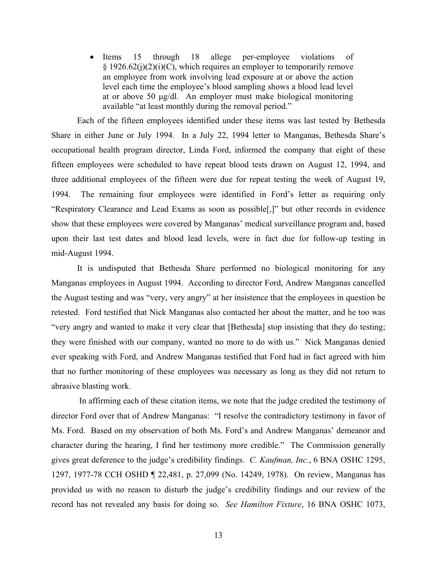• Items 15 through 18 allege per-employee violations of § 1926.62(j)(2)(i)(C), which requires an employer to temporarily remove an employee from work involving lead exposure at or above the action level each time the employee's blood sampling shows a blood lead level at or above 50 μg/dl. An employer must make biological monitoring available "at least monthly during the removal period."

Each of the fifteen employees identified under these items was last tested by Bethesda Share in either June or July 1994. In a July 22, 1994 letter to Manganas, Bethesda Share's occupational health program director, Linda Ford, informed the company that eight of these fifteen employees were scheduled to have repeat blood tests drawn on August 12, 1994, and three additional employees of the fifteen were due for repeat testing the week of August 19, 1994. The remaining four employees were identified in Ford's letter as requiring only "Respiratory Clearance and Lead Exams as soon as possible[,]" but other records in evidence show that these employees were covered by Manganas' medical surveillance program and, based upon their last test dates and blood lead levels, were in fact due for follow-up testing in mid-August 1994.

It is undisputed that Bethesda Share performed no biological monitoring for any Manganas employees in August 1994. According to director Ford, Andrew Manganas cancelled the August testing and was "very, very angry" at her insistence that the employees in question be retested. Ford testified that Nick Manganas also contacted her about the matter, and he too was "very angry and wanted to make it very clear that [Bethesda] stop insisting that they do testing; they were finished with our company, wanted no more to do with us." Nick Manganas denied ever speaking with Ford, and Andrew Manganas testified that Ford had in fact agreed with him that no further monitoring of these employees was necessary as long as they did not return to abrasive blasting work.

In affirming each of these citation items, we note that the judge credited the testimony of director Ford over that of Andrew Manganas: "I resolve the contradictory testimony in favor of Ms. Ford. Based on my observation of both Ms. Ford's and Andrew Manganas' demeanor and character during the hearing, I find her testimony more credible." The Commission generally gives great deference to the judge's credibility findings. *C. Kaufman, Inc.*[, 6 BNA OSHC 1295,](http://web2.westlaw.com/find/default.wl?tf=-1&rs=WLW7.02&referencepositiontype=S&serialnum=1978169081&fn=_top&sv=Split&tc=-1&findtype=Y&referenceposition=1297&db=0003227&utid=%7b036FB79A-0179-427E-9560-1C13110AEC66%7d&vr=2.0&rp=%2ffind%2fdefault.wl&mt=LaborAndEmployment)  [1297, 1977-78](http://web2.westlaw.com/find/default.wl?tf=-1&rs=WLW7.02&referencepositiontype=S&serialnum=1978169081&fn=_top&sv=Split&tc=-1&findtype=Y&referenceposition=1297&db=0003227&utid=%7b036FB79A-0179-427E-9560-1C13110AEC66%7d&vr=2.0&rp=%2ffind%2fdefault.wl&mt=LaborAndEmployment) CCH OSHD ¶ 22,481, p. 27,099 (No. 14249, 1978). On review, Manganas has provided us with no reason to disturb the judge's credibility findings and our review of the record has not revealed any basis for doing so. *See Hamilton Fixture*, 16 BNA OSHC 1073,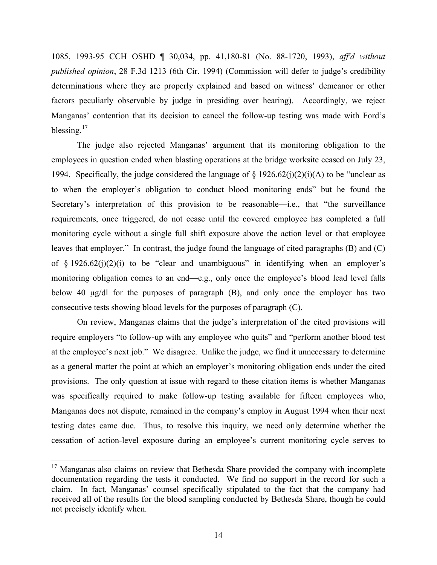1085, 1993-95 CCH OSHD ¶ 30,034, pp. 41,180-81 (No. 88-1720, 1993), *aff'd without published opinion*, [28 F.3d 1213 \(6th Cir. 1994\)](http://web2.westlaw.com/find/default.wl?tf=-1&rs=WLW7.02&fn=_top&sv=Split&tc=-1&findtype=Y&docname=28FE3D1213&db=506&utid=%7b036FB79A-0179-427E-9560-1C13110AEC66%7d&vr=2.0&rp=%2ffind%2fdefault.wl&mt=LaborAndEmployment) (Commission will defer to judge's credibility determinations where they are properly explained and based on witness' demeanor or other factors peculiarly observable by judge in presiding over hearing). Accordingly, we reject Manganas' contention that its decision to cancel the follow-up testing was made with Ford's blessing.<sup>17</sup>

The judge also rejected Manganas' argument that its monitoring obligation to the employees in question ended when blasting operations at the bridge worksite ceased on July 23, 1994. Specifically, the judge considered the language of  $\S$  1926.62(j)(2)(i)(A) to be "unclear as to when the employer's obligation to conduct blood monitoring ends" but he found the Secretary's interpretation of this provision to be reasonable—i.e., that "the surveillance requirements, once triggered, do not cease until the covered employee has completed a full monitoring cycle without a single full shift exposure above the action level or that employee leaves that employer." In contrast, the judge found the language of cited paragraphs (B) and (C) of  $\S$  1926.62(j)(2)(i) to be "clear and unambiguous" in identifying when an employer's monitoring obligation comes to an end—e.g., only once the employee's blood lead level falls below 40 μg/dl for the purposes of paragraph (B), and only once the employer has two consecutive tests showing blood levels for the purposes of paragraph (C).

On review, Manganas claims that the judge's interpretation of the cited provisions will require employers "to follow-up with any employee who quits" and "perform another blood test at the employee's next job." We disagree. Unlike the judge, we find it unnecessary to determine as a general matter the point at which an employer's monitoring obligation ends under the cited provisions. The only question at issue with regard to these citation items is whether Manganas was specifically required to make follow-up testing available for fifteen employees who, Manganas does not dispute, remained in the company's employ in August 1994 when their next testing dates came due. Thus, to resolve this inquiry, we need only determine whether the cessation of action-level exposure during an employee's current monitoring cycle serves to

<span id="page-13-0"></span><sup>&</sup>lt;sup>17</sup> Manganas also claims on review that Bethesda Share provided the company with incomplete documentation regarding the tests it conducted. We find no support in the record for such a claim. In fact, Manganas' counsel specifically stipulated to the fact that the company had received all of the results for the blood sampling conducted by Bethesda Share, though he could not precisely identify when.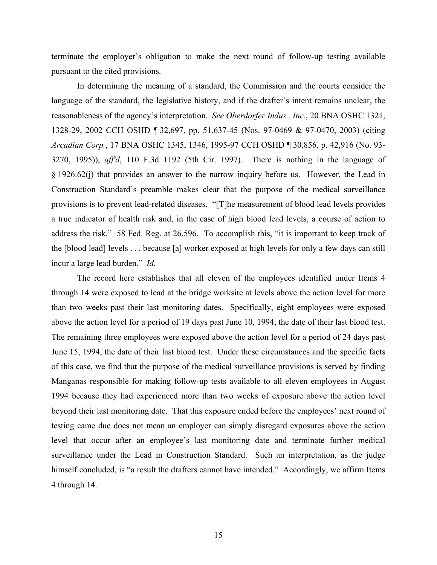terminate the employer's obligation to make the next round of follow-up testing available pursuant to the cited provisions.

In determining the meaning of a standard, the Commission and the courts consider the language of the standard, the legislative history, and if the drafter's intent remains unclear, the reasonableness of the agency's interpretation. *See Oberdorfer Indus., Inc.*, 20 BNA OSHC 1321, 1328-29, 2002 CCH OSHD ¶ 32,697, pp. 51,637-45 (Nos. 97-0469 & 97-0470, 2003) (citing *Arcadian Corp.*, 17 BNA OSHC 1345, 1346, 1995-97 CCH OSHD ¶ 30,856, p. 42,916 (No. 93 3270, 1995)), *aff'd*, 110 F.3d 1192 (5th Cir. 1997). There is nothing in the language of § 1926.62(j) that provides an answer to the narrow inquiry before us. However, the Lead in Construction Standard's preamble makes clear that the purpose of the medical surveillance provisions is to prevent lead-related diseases. "[T]he measurement of blood lead levels provides a true indicator of health risk and, in the case of high blood lead levels, a course of action to address the risk." 58 Fed. Reg. at 26,596. To accomplish this, "it is important to keep track of the [blood lead] levels . . . because [a] worker exposed at high levels for only a few days can still incur a large lead burden." *Id.* 

The record here establishes that all eleven of the employees identified under Items 4 through 14 were exposed to lead at the bridge worksite at levels above the action level for more than two weeks past their last monitoring dates. Specifically, eight employees were exposed above the action level for a period of 19 days past June 10, 1994, the date of their last blood test. The remaining three employees were exposed above the action level for a period of 24 days past June 15, 1994, the date of their last blood test. Under these circumstances and the specific facts of this case, we find that the purpose of the medical surveillance provisions is served by finding Manganas responsible for making follow-up tests available to all eleven employees in August 1994 because they had experienced more than two weeks of exposure above the action level beyond their last monitoring date. That this exposure ended before the employees' next round of testing came due does not mean an employer can simply disregard exposures above the action level that occur after an employee's last monitoring date and terminate further medical surveillance under the Lead in Construction Standard. Such an interpretation, as the judge himself concluded, is "a result the drafters cannot have intended." Accordingly, we affirm Items 4 through 14.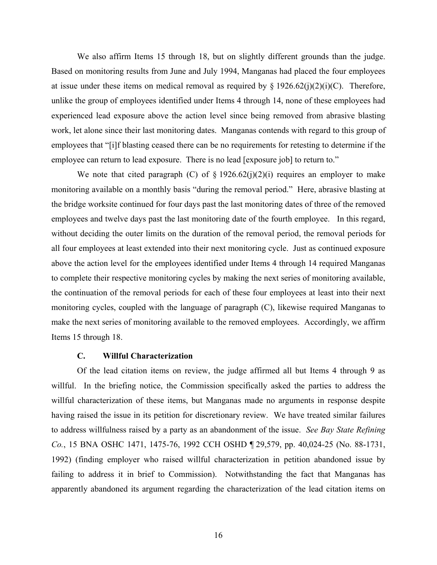We also affirm Items 15 through 18, but on slightly different grounds than the judge. Based on monitoring results from June and July 1994, Manganas had placed the four employees at issue under these items on medical removal as required by  $\S 1926.62(j)(2)(i)(C)$ . Therefore, unlike the group of employees identified under Items 4 through 14, none of these employees had experienced lead exposure above the action level since being removed from abrasive blasting work, let alone since their last monitoring dates. Manganas contends with regard to this group of employees that "[i]f blasting ceased there can be no requirements for retesting to determine if the employee can return to lead exposure. There is no lead [exposure job] to return to."

We note that cited paragraph (C) of  $\S$  1926.62(j)(2)(i) requires an employer to make monitoring available on a monthly basis "during the removal period." Here, abrasive blasting at the bridge worksite continued for four days past the last monitoring dates of three of the removed employees and twelve days past the last monitoring date of the fourth employee. In this regard, without deciding the outer limits on the duration of the removal period, the removal periods for all four employees at least extended into their next monitoring cycle. Just as continued exposure above the action level for the employees identified under Items 4 through 14 required Manganas to complete their respective monitoring cycles by making the next series of monitoring available, the continuation of the removal periods for each of these four employees at least into their next monitoring cycles, coupled with the language of paragraph (C), likewise required Manganas to make the next series of monitoring available to the removed employees. Accordingly, we affirm Items 15 through 18.

#### **C. Willful Characterization**

Of the lead citation items on review, the judge affirmed all but Items 4 through 9 as willful. In the briefing notice, the Commission specifically asked the parties to address the willful characterization of these items, but Manganas made no arguments in response despite having raised the issue in its petition for discretionary review. We have treated similar failures to address willfulness raised by a party as an abandonment of the issue. *See Bay State Refining Co.*, 15 BNA OSHC 1471, 1475-76, 1992 CCH OSHD ¶ 29,579, pp. 40,024-25 (No. 88-1731, 1992) (finding employer who raised willful characterization in petition abandoned issue by failing to address it in brief to Commission). Notwithstanding the fact that Manganas has apparently abandoned its argument regarding the characterization of the lead citation items on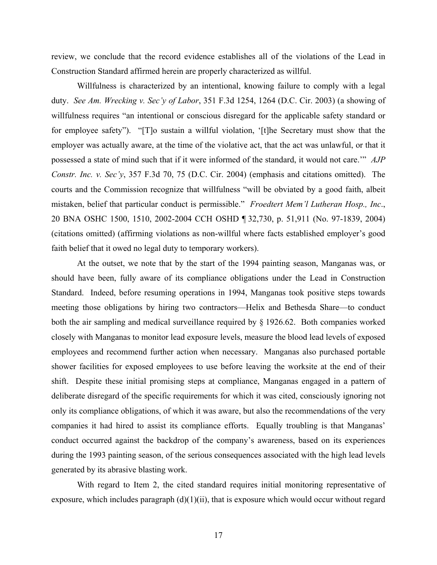review, we conclude that the record evidence establishes all of the violations of the Lead in Construction Standard affirmed herein are properly characterized as willful.

Willfulness is characterized by an intentional, knowing failure to comply with a legal duty. *See Am. Wrecking v. Sec'y of Labor*, 351 F.3d 1254, 1264 (D.C. Cir. 2003) (a showing of willfulness requires "an intentional or conscious disregard for the applicable safety standard or for employee safety"). "[T]o sustain a willful violation, '[t]he Secretary must show that the employer was actually aware, at the time of the violative act, that the act was unlawful, or that it possessed a state of mind such that if it were informed of the standard, it would not care.'" *AJP Constr. Inc. v. Sec'y*, 357 F.3d 70, 75 (D.C. Cir. 2004) (emphasis and citations omitted). The courts and the Commission recognize that willfulness "will be obviated by a good faith, albeit mistaken, belief that particular conduct is permissible." *Froedtert Mem'l Lutheran Hosp., Inc*., 20 BNA OSHC 1500, 1510, 2002-2004 CCH OSHD ¶ 32,730, p. 51,911 (No. 97-1839, 2004) (citations omitted) (affirming violations as non-willful where facts established employer's good faith belief that it owed no legal duty to temporary workers).

 At the outset, we note that by the start of the 1994 painting season, Manganas was, or should have been, fully aware of its compliance obligations under the Lead in Construction Standard. Indeed, before resuming operations in 1994, Manganas took positive steps towards meeting those obligations by hiring two contractors—Helix and Bethesda Share—to conduct both the air sampling and medical surveillance required by § 1926.62. Both companies worked closely with Manganas to monitor lead exposure levels, measure the blood lead levels of exposed employees and recommend further action when necessary. Manganas also purchased portable shower facilities for exposed employees to use before leaving the worksite at the end of their shift. Despite these initial promising steps at compliance, Manganas engaged in a pattern of deliberate disregard of the specific requirements for which it was cited, consciously ignoring not only its compliance obligations, of which it was aware, but also the recommendations of the very companies it had hired to assist its compliance efforts. Equally troubling is that Manganas' conduct occurred against the backdrop of the company's awareness, based on its experiences during the 1993 painting season, of the serious consequences associated with the high lead levels generated by its abrasive blasting work.

With regard to Item 2, the cited standard requires initial monitoring representative of exposure, which includes paragraph  $(d)(1)(ii)$ , that is exposure which would occur without regard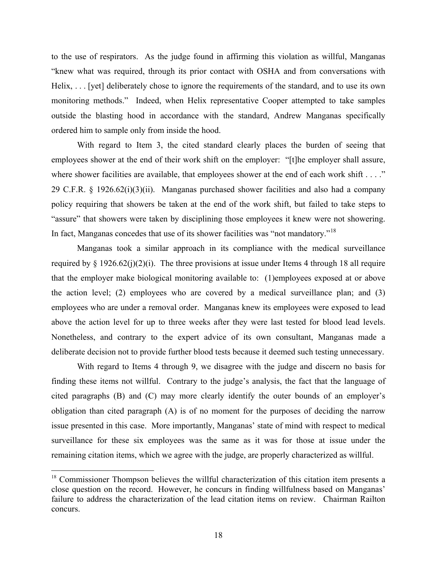to the use of respirators. As the judge found in affirming this violation as willful, Manganas "knew what was required, through its prior contact with OSHA and from conversations with Helix, ... [yet] deliberately chose to ignore the requirements of the standard, and to use its own monitoring methods." Indeed, when Helix representative Cooper attempted to take samples outside the blasting hood in accordance with the standard, Andrew Manganas specifically ordered him to sample only from inside the hood.

With regard to Item 3, the cited standard clearly places the burden of seeing that employees shower at the end of their work shift on the employer: "[t]he employer shall assure, where shower facilities are available, that employees shower at the end of each work shift . . . ." 29 C.F.R. § 1926.62(i)(3)(ii). Manganas purchased shower facilities and also had a company policy requiring that showers be taken at the end of the work shift, but failed to take steps to "assure" that showers were taken by disciplining those employees it knew were not showering. In fact, Manganas concedes that use of its shower facilities was "not mandatory."[18](#page-17-0) 

Manganas took a similar approach in its compliance with the medical surveillance required by  $\S$  1926.62(j)(2)(i). The three provisions at issue under Items 4 through 18 all require that the employer make biological monitoring available to: (1)employees exposed at or above the action level; (2) employees who are covered by a medical surveillance plan; and (3) employees who are under a removal order. Manganas knew its employees were exposed to lead above the action level for up to three weeks after they were last tested for blood lead levels. Nonetheless, and contrary to the expert advice of its own consultant, Manganas made a deliberate decision not to provide further blood tests because it deemed such testing unnecessary.

With regard to Items 4 through 9, we disagree with the judge and discern no basis for finding these items not willful. Contrary to the judge's analysis, the fact that the language of cited paragraphs (B) and (C) may more clearly identify the outer bounds of an employer's obligation than cited paragraph (A) is of no moment for the purposes of deciding the narrow issue presented in this case. More importantly, Manganas' state of mind with respect to medical surveillance for these six employees was the same as it was for those at issue under the remaining citation items, which we agree with the judge, are properly characterized as willful.

<span id="page-17-0"></span><sup>&</sup>lt;sup>18</sup> Commissioner Thompson believes the willful characterization of this citation item presents a close question on the record. However, he concurs in finding willfulness based on Manganas' failure to address the characterization of the lead citation items on review. Chairman Railton concurs.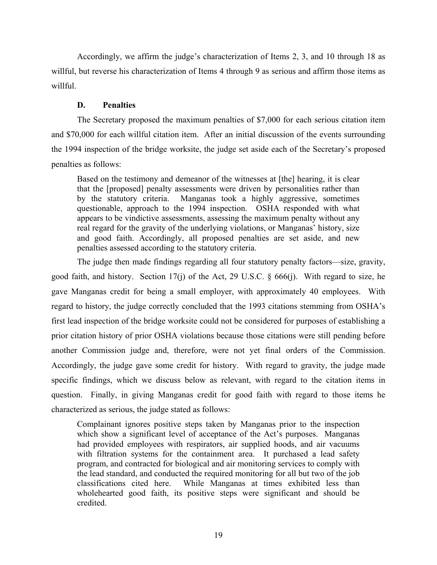Accordingly, we affirm the judge's characterization of Items 2, 3, and 10 through 18 as willful, but reverse his characterization of Items 4 through 9 as serious and affirm those items as willful.

# **D. Penalties**

The Secretary proposed the maximum penalties of \$7,000 for each serious citation item and \$70,000 for each willful citation item. After an initial discussion of the events surrounding the 1994 inspection of the bridge worksite, the judge set aside each of the Secretary's proposed penalties as follows:

Based on the testimony and demeanor of the witnesses at [the] hearing, it is clear that the [proposed] penalty assessments were driven by personalities rather than<br>by the statutory criteria. Manganas took a highly aggressive, sometimes Manganas took a highly aggressive, sometimes questionable, approach to the 1994 inspection. OSHA responded with what appears to be vindictive assessments, assessing the maximum penalty without any real regard for the gravity of the underlying violations, or Manganas' history, size and good faith. Accordingly, all proposed penalties are set aside, and new penalties assessed according to the statutory criteria.

The judge then made findings regarding all four statutory penalty factors—size, gravity, good faith, and history. Section 17(j) of the Act, 29 U.S.C. § 666(j). With regard to size, he gave Manganas credit for being a small employer, with approximately 40 employees. With regard to history, the judge correctly concluded that the 1993 citations stemming from OSHA's first lead inspection of the bridge worksite could not be considered for purposes of establishing a prior citation history of prior OSHA violations because those citations were still pending before another Commission judge and, therefore, were not yet final orders of the Commission. Accordingly, the judge gave some credit for history. With regard to gravity, the judge made specific findings, which we discuss below as relevant, with regard to the citation items in question. Finally, in giving Manganas credit for good faith with regard to those items he characterized as serious, the judge stated as follows:

Complainant ignores positive steps taken by Manganas prior to the inspection which show a significant level of acceptance of the Act's purposes. Manganas had provided employees with respirators, air supplied hoods, and air vacuums with filtration systems for the containment area. It purchased a lead safety program, and contracted for biological and air monitoring services to comply with the lead standard, and conducted the required monitoring for all but two of the job classifications cited here. While Manganas at times exhibited less than wholehearted good faith, its positive steps were significant and should be credited.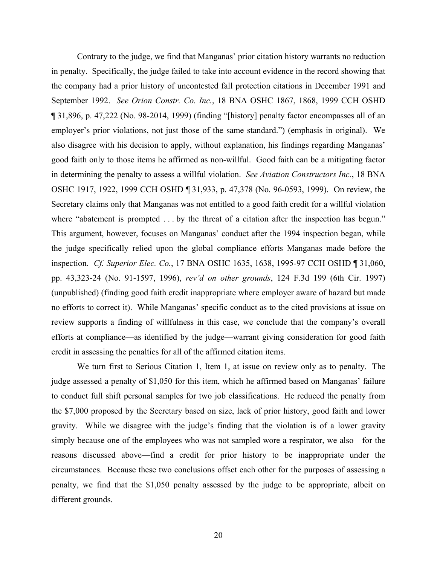Contrary to the judge, we find that Manganas' prior citation history warrants no reduction in penalty. Specifically, the judge failed to take into account evidence in the record showing that the company had a prior history of uncontested fall protection citations in December 1991 and September 1992. *See Orion Constr. Co. Inc.*, 18 BNA OSHC 1867, 1868, 1999 CCH OSHD ¶ 31,896, p. 47,222 (No. 98-2014, 1999) (finding "[history] penalty factor encompasses all of an employer's prior violations, not just those of the same standard.") (emphasis in original). We also disagree with his decision to apply, without explanation, his findings regarding Manganas' good faith only to those items he affirmed as non-willful. Good faith can be a mitigating factor in determining the penalty to assess a willful violation. *See Aviation Constructors Inc.*, 18 BNA OSHC 1917, 1922, 1999 CCH OSHD ¶ 31,933, p. 47,378 (No. 96-0593, 1999). On review, the Secretary claims only that Manganas was not entitled to a good faith credit for a willful violation where "abatement is prompted . . . by the threat of a citation after the inspection has begun." This argument, however, focuses on Manganas' conduct after the 1994 inspection began, while the judge specifically relied upon the global compliance efforts Manganas made before the inspection. *Cf. Superior Elec. Co.*, 17 BNA OSHC 1635, 1638, 1995-97 CCH OSHD ¶ 31,060, pp. 43,323-24 (No. 91-1597, 1996), *rev'd on other grounds*, 124 F.3d 199 (6th Cir. 1997) (unpublished) (finding good faith credit inappropriate where employer aware of hazard but made no efforts to correct it). While Manganas' specific conduct as to the cited provisions at issue on review supports a finding of willfulness in this case, we conclude that the company's overall efforts at compliance—as identified by the judge—warrant giving consideration for good faith credit in assessing the penalties for all of the affirmed citation items.

We turn first to Serious Citation 1, Item 1, at issue on review only as to penalty. The judge assessed a penalty of \$1,050 for this item, which he affirmed based on Manganas' failure to conduct full shift personal samples for two job classifications. He reduced the penalty from the \$7,000 proposed by the Secretary based on size, lack of prior history, good faith and lower gravity. While we disagree with the judge's finding that the violation is of a lower gravity simply because one of the employees who was not sampled wore a respirator, we also—for the reasons discussed above—find a credit for prior history to be inappropriate under the circumstances. Because these two conclusions offset each other for the purposes of assessing a penalty, we find that the \$1,050 penalty assessed by the judge to be appropriate, albeit on different grounds.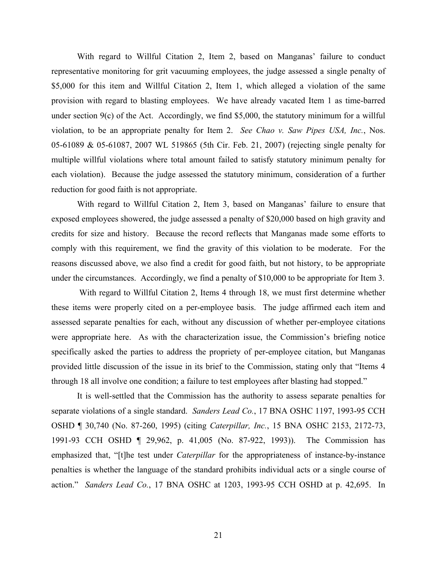With regard to Willful Citation 2, Item 2, based on Manganas' failure to conduct representative monitoring for grit vacuuming employees, the judge assessed a single penalty of \$5,000 for this item and Willful Citation 2, Item 1, which alleged a violation of the same provision with regard to blasting employees. We have already vacated Item 1 as time-barred under section 9(c) of the Act. Accordingly, we find \$5,000, the statutory minimum for a willful violation, to be an appropriate penalty for Item 2. *See Chao v. Saw Pipes USA, Inc.*, Nos. 05-61089 & 05-61087, 2007 WL 519865 (5th Cir. Feb. 21, 2007) (rejecting single penalty for multiple willful violations where total amount failed to satisfy statutory minimum penalty for each violation). Because the judge assessed the statutory minimum, consideration of a further reduction for good faith is not appropriate.

With regard to Willful Citation 2, Item 3, based on Manganas' failure to ensure that exposed employees showered, the judge assessed a penalty of \$20,000 based on high gravity and credits for size and history. Because the record reflects that Manganas made some efforts to comply with this requirement, we find the gravity of this violation to be moderate. For the reasons discussed above, we also find a credit for good faith, but not history, to be appropriate under the circumstances. Accordingly, we find a penalty of \$10,000 to be appropriate for Item 3.

With regard to Willful Citation 2, Items 4 through 18, we must first determine whether these items were properly cited on a per-employee basis. The judge affirmed each item and assessed separate penalties for each, without any discussion of whether per-employee citations were appropriate here. As with the characterization issue, the Commission's briefing notice specifically asked the parties to address the propriety of per-employee citation, but Manganas provided little discussion of the issue in its brief to the Commission, stating only that "Items 4 through 18 all involve one condition; a failure to test employees after blasting had stopped."

It is well-settled that the Commission has the authority to assess separate penalties for separate violations of a single standard. *Sanders Lead Co.*, 17 BNA OSHC 1197, 1993-95 CCH OSHD ¶ 30,740 (No. 87-260, 1995) (citing *Caterpillar, Inc.*, 15 BNA OSHC 2153, 2172-73, 1991-93 CCH OSHD ¶ 29,962, p. 41,005 (No. 87-922, 1993)). The Commission has emphasized that, "[t]he test under *Caterpillar* for the appropriateness of instance-by-instance penalties is whether the language of the standard prohibits individual acts or a single course of action." *Sanders Lead Co.*, 17 BNA OSHC at 1203, 1993-95 CCH OSHD at p. 42,695. In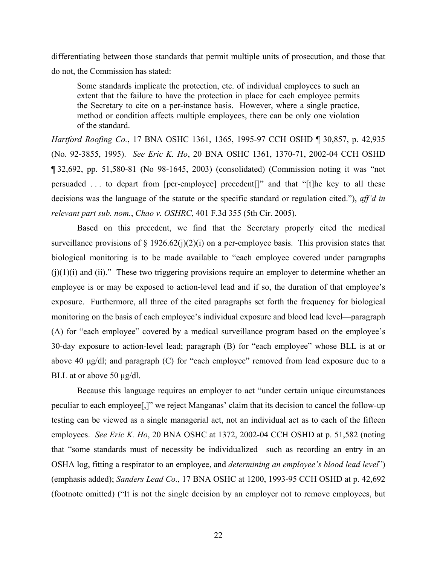differentiating between those standards that permit multiple units of prosecution, and those that do not, the Commission has stated:

Some standards implicate the protection, etc. of individual employees to such an extent that the failure to have the protection in place for each employee permits the Secretary to cite on a per-instance basis. However, where a single practice, method or condition affects multiple employees, there can be only one violation of the standard.

*Hartford Roofing Co.*, 17 BNA OSHC 1361, 1365, 1995-97 CCH OSHD ¶ 30,857, p. 42,935 (No. 92-3855, 1995). *See Eric K. Ho*, 20 BNA OSHC 1361, 1370-71, 2002-04 CCH OSHD ¶ 32,692, pp. 51,580-81 (No 98-1645, 2003) (consolidated) (Commission noting it was "not persuaded . . . to depart from [per-employee] precedent[]" and that "[t]he key to all these decisions was the language of the statute or the specific standard or regulation cited."), *aff'd in relevant part sub. nom.*, *Chao v. OSHRC*, 401 F.3d 355 (5th Cir. 2005).

Based on this precedent, we find that the Secretary properly cited the medical surveillance provisions of  $\S$  1926.62(j)(2)(i) on a per-employee basis. This provision states that biological monitoring is to be made available to "each employee covered under paragraphs  $(i)(1)(i)$  and  $(ii)$ ." These two triggering provisions require an employer to determine whether an employee is or may be exposed to action-level lead and if so, the duration of that employee's exposure. Furthermore, all three of the cited paragraphs set forth the frequency for biological monitoring on the basis of each employee's individual exposure and blood lead level—paragraph (A) for "each employee" covered by a medical surveillance program based on the employee's 30-day exposure to action-level lead; paragraph (B) for "each employee" whose BLL is at or above 40 μg/dl; and paragraph (C) for "each employee" removed from lead exposure due to a BLL at or above 50 μg/dl.

Because this language requires an employer to act "under certain unique circumstances peculiar to each employee[,]" we reject Manganas' claim that its decision to cancel the follow-up testing can be viewed as a single managerial act, not an individual act as to each of the fifteen employees. *See Eric K. Ho*, 20 BNA OSHC at 1372, 2002-04 CCH OSHD at p. 51,582 (noting that "some standards must of necessity be individualized—such as recording an entry in an OSHA log, fitting a respirator to an employee, and *determining an employee's blood lead level*") (emphasis added); *Sanders Lead Co.*, 17 BNA OSHC at 1200, 1993-95 CCH OSHD at p. 42,692 (footnote omitted) ("It is not the single decision by an employer not to remove employees, but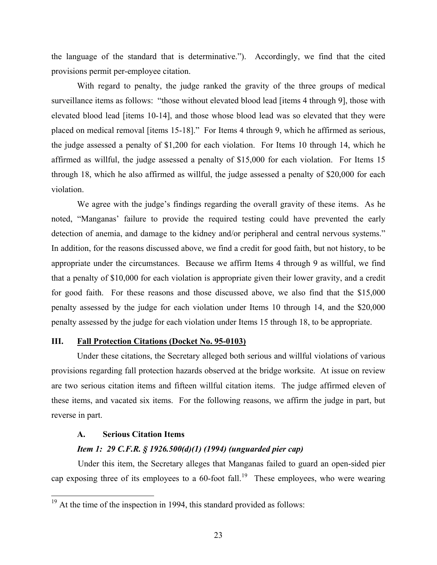the language of the standard that is determinative."). Accordingly, we find that the cited provisions permit per-employee citation.

With regard to penalty, the judge ranked the gravity of the three groups of medical surveillance items as follows: "those without elevated blood lead [items 4 through 9], those with elevated blood lead [items 10-14], and those whose blood lead was so elevated that they were placed on medical removal [items 15-18]." For Items 4 through 9, which he affirmed as serious, the judge assessed a penalty of \$1,200 for each violation. For Items 10 through 14, which he affirmed as willful, the judge assessed a penalty of \$15,000 for each violation. For Items 15 through 18, which he also affirmed as willful, the judge assessed a penalty of \$20,000 for each violation.

We agree with the judge's findings regarding the overall gravity of these items. As he noted, "Manganas' failure to provide the required testing could have prevented the early detection of anemia, and damage to the kidney and/or peripheral and central nervous systems." In addition, for the reasons discussed above, we find a credit for good faith, but not history, to be appropriate under the circumstances. Because we affirm Items 4 through 9 as willful, we find that a penalty of \$10,000 for each violation is appropriate given their lower gravity, and a credit for good faith. For these reasons and those discussed above, we also find that the \$15,000 penalty assessed by the judge for each violation under Items 10 through 14, and the \$20,000 penalty assessed by the judge for each violation under Items 15 through 18, to be appropriate.

### **III. Fall Protection Citations (Docket No. 95-0103)**

Under these citations, the Secretary alleged both serious and willful violations of various provisions regarding fall protection hazards observed at the bridge worksite. At issue on review are two serious citation items and fifteen willful citation items. The judge affirmed eleven of these items, and vacated six items. For the following reasons, we affirm the judge in part, but reverse in part.

#### **A. Serious Citation Items**

#### *Item 1: 29 C.F.R. § 1926.500(d)(1) (1994) (unguarded pier cap)*

Under this item, the Secretary alleges that Manganas failed to guard an open-sided pier cap exposing three of its employees to a 60-foot fall.<sup>[19](#page-22-0)</sup> These employees, who were wearing

<span id="page-22-0"></span> $19<sup>19</sup>$  At the time of the inspection in 1994, this standard provided as follows: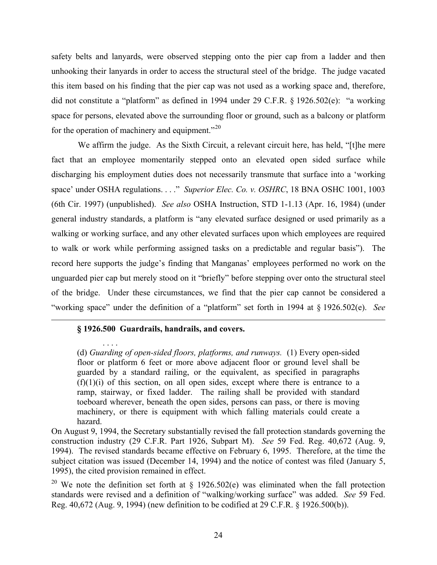safety belts and lanyards, were observed stepping onto the pier cap from a ladder and then unhooking their lanyards in order to access the structural steel of the bridge. The judge vacated this item based on his finding that the pier cap was not used as a working space and, therefore, did not constitute a "platform" as defined in 1994 under 29 C.F.R. § 1926.502(e): "a working space for persons, elevated above the surrounding floor or ground, such as a balcony or platform for the operation of machinery and equipment. $^{220}$  $^{220}$  $^{220}$ 

We affirm the judge. As the Sixth Circuit, a relevant circuit here, has held, "[t]he mere fact that an employee momentarily stepped onto an elevated open sided surface while discharging his employment duties does not necessarily transmute that surface into a 'working space' under OSHA regulations. . . ." *Superior Elec. Co. v. OSHRC*, 18 BNA OSHC 1001, 1003 (6th Cir. 1997) (unpublished). *See also* OSHA Instruction, STD 1-1.13 (Apr. 16, 1984) (under general industry standards, a platform is "any elevated surface designed or used primarily as a walking or working surface, and any other elevated surfaces upon which employees are required to walk or work while performing assigned tasks on a predictable and regular basis"). The record here supports the judge's finding that Manganas' employees performed no work on the unguarded pier cap but merely stood on it "briefly" before stepping over onto the structural steel of the bridge. Under these circumstances, we find that the pier cap cannot be considered a "working space" under the definition of a "platform" set forth in 1994 at § 1926.502(e). *See* 

# **§ 1926.500 Guardrails, handrails, and covers.**

. . . . (d) *Guarding of open-sided floors, platforms, and runways.* (1) Every open-sided floor or platform 6 feet or more above adjacent floor or ground level shall be guarded by a standard railing, or the equivalent, as specified in paragraphs  $(f)(1)(i)$  of this section, on all open sides, except where there is entrance to a ramp, stairway, or fixed ladder. The railing shall be provided with standard toeboard wherever, beneath the open sides, persons can pass, or there is moving machinery, or there is equipment with which falling materials could create a hazard.

On August 9, 1994, the Secretary substantially revised the fall protection standards governing the construction industry (29 C.F.R. Part 1926, Subpart M). *See* 59 Fed. Reg. 40,672 (Aug. 9, 1994). The revised standards became effective on February 6, 1995. Therefore, at the time the subject citation was issued (December 14, 1994) and the notice of contest was filed (January 5, 1995), the cited provision remained in effect.

<span id="page-23-0"></span><sup>20</sup> We note the definition set forth at  $\S$  1926.502(e) was eliminated when the fall protection standards were revised and a definition of "walking/working surface" was added. *See* 59 Fed. Reg. 40,672 (Aug. 9, 1994) (new definition to be codified at 29 C.F.R. § 1926.500(b)).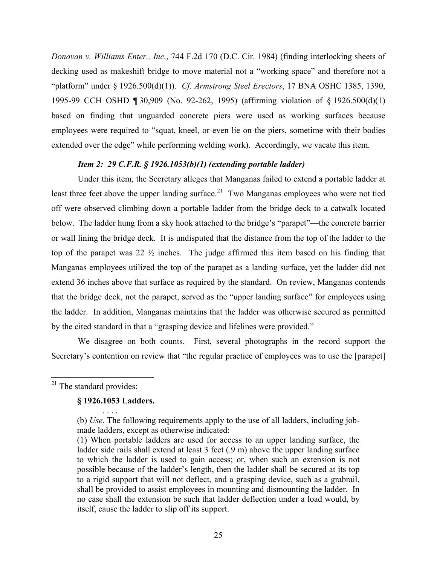*Donovan v. Williams Enter., Inc.*, 744 F.2d 170 (D.C. Cir. 1984) (finding interlocking sheets of decking used as makeshift bridge to move material not a "working space" and therefore not a "platform" under § 1926.500(d)(1)). *Cf. Armstrong Steel Erectors*, 17 BNA OSHC 1385, 1390, 1995-99 CCH OSHD ¶ 30,909 (No. 92-262, 1995) (affirming violation of § 1926.500(d)(1) based on finding that unguarded concrete piers were used as working surfaces because employees were required to "squat, kneel, or even lie on the piers, sometime with their bodies extended over the edge" while performing welding work). Accordingly, we vacate this item.

#### *Item 2: 29 C.F.R. § 1926.1053(b)(1) (extending portable ladder)*

Under this item, the Secretary alleges that Manganas failed to extend a portable ladder at least three feet above the upper landing surface.<sup>[21](#page-24-0)</sup> Two Manganas employees who were not tied off were observed climbing down a portable ladder from the bridge deck to a catwalk located below. The ladder hung from a sky hook attached to the bridge's "parapet"—the concrete barrier or wall lining the bridge deck. It is undisputed that the distance from the top of the ladder to the top of the parapet was 22 ½ inches. The judge affirmed this item based on his finding that Manganas employees utilized the top of the parapet as a landing surface, yet the ladder did not extend 36 inches above that surface as required by the standard. On review, Manganas contends that the bridge deck, not the parapet, served as the "upper landing surface" for employees using the ladder. In addition, Manganas maintains that the ladder was otherwise secured as permitted by the cited standard in that a "grasping device and lifelines were provided."

We disagree on both counts. First, several photographs in the record support the Secretary's contention on review that "the regular practice of employees was to use the [parapet]

<span id="page-24-0"></span><sup>21</sup> The standard provides:

# **§ 1926.1053 Ladders.**  . . . .

<sup>(</sup>b) *Use.* The following requirements apply to the use of all ladders, including jobmade ladders, except as otherwise indicated:

<sup>(1)</sup> When portable ladders are used for access to an upper landing surface, the ladder side rails shall extend at least 3 feet (.9 m) above the upper landing surface to which the ladder is used to gain access; or, when such an extension is not possible because of the ladder's length, then the ladder shall be secured at its top to a rigid support that will not deflect, and a grasping device, such as a grabrail, shall be provided to assist employees in mounting and dismounting the ladder. In no case shall the extension be such that ladder deflection under a load would, by itself, cause the ladder to slip off its support.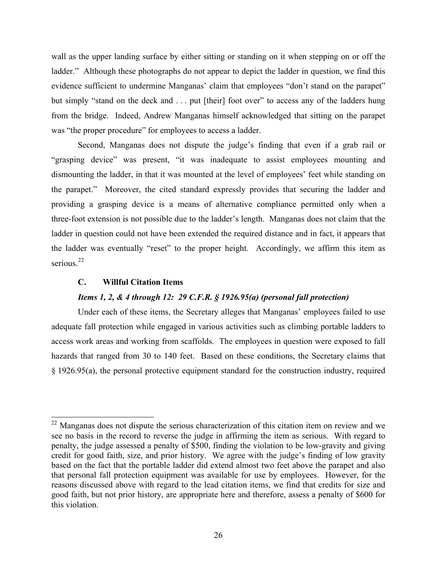wall as the upper landing surface by either sitting or standing on it when stepping on or off the ladder." Although these photographs do not appear to depict the ladder in question, we find this evidence sufficient to undermine Manganas' claim that employees "don't stand on the parapet" but simply "stand on the deck and . . . put [their] foot over" to access any of the ladders hung from the bridge. Indeed, Andrew Manganas himself acknowledged that sitting on the parapet was "the proper procedure" for employees to access a ladder.

Second, Manganas does not dispute the judge's finding that even if a grab rail or "grasping device" was present, "it was inadequate to assist employees mounting and dismounting the ladder, in that it was mounted at the level of employees' feet while standing on the parapet." Moreover, the cited standard expressly provides that securing the ladder and providing a grasping device is a means of alternative compliance permitted only when a three-foot extension is not possible due to the ladder's length. Manganas does not claim that the ladder in question could not have been extended the required distance and in fact, it appears that the ladder was eventually "reset" to the proper height. Accordingly, we affirm this item as serious. $22$ 

# **C. Willful Citation Items**

# *Items 1, 2, & 4 through 12: 29 C.F.R. § 1926.95(a) (personal fall protection)*

Under each of these items, the Secretary alleges that Manganas' employees failed to use adequate fall protection while engaged in various activities such as climbing portable ladders to access work areas and working from scaffolds. The employees in question were exposed to fall hazards that ranged from 30 to 140 feet. Based on these conditions, the Secretary claims that § 1926.95(a), the personal protective equipment standard for the construction industry, required

<span id="page-25-0"></span><sup>&</sup>lt;sup>22</sup> Manganas does not dispute the serious characterization of this citation item on review and we see no basis in the record to reverse the judge in affirming the item as serious. With regard to penalty, the judge assessed a penalty of \$500, finding the violation to be low-gravity and giving credit for good faith, size, and prior history. We agree with the judge's finding of low gravity based on the fact that the portable ladder did extend almost two feet above the parapet and also that personal fall protection equipment was available for use by employees. However, for the reasons discussed above with regard to the lead citation items, we find that credits for size and good faith, but not prior history, are appropriate here and therefore, assess a penalty of \$600 for this violation.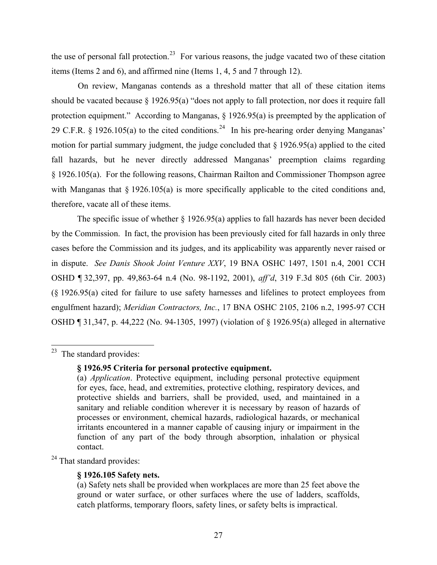the use of personal fall protection.<sup>[23](#page-26-0)</sup> For various reasons, the judge vacated two of these citation items (Items 2 and 6), and affirmed nine (Items 1, 4, 5 and 7 through 12).

On review, Manganas contends as a threshold matter that all of these citation items should be vacated because § 1926.95(a) "does not apply to fall protection, nor does it require fall protection equipment." According to Manganas, § 1926.95(a) is preempted by the application of 29 C.F.R.  $\S$  1926.105(a) to the cited conditions.<sup>[24](#page-26-1)</sup> In his pre-hearing order denying Manganas' motion for partial summary judgment, the judge concluded that  $\S$  1926.95(a) applied to the cited fall hazards, but he never directly addressed Manganas' preemption claims regarding § 1926.105(a). For the following reasons, Chairman Railton and Commissioner Thompson agree with Manganas that  $\S$  1926.105(a) is more specifically applicable to the cited conditions and, therefore, vacate all of these items.

The specific issue of whether  $\S$  1926.95(a) applies to fall hazards has never been decided by the Commission. In fact, the provision has been previously cited for fall hazards in only three cases before the Commission and its judges, and its applicability was apparently never raised or in dispute. *See Danis Shook Joint Venture XXV*, 19 BNA OSHC 1497, 1501 n.4, 2001 CCH OSHD ¶ 32,397, pp. 49,863-64 n.4 (No. 98-1192, 2001), *aff'd*, 319 F.3d 805 (6th Cir. 2003) (§ 1926.95(a) cited for failure to use safety harnesses and lifelines to protect employees from engulfment hazard); *Meridian Contractors, Inc.*, 17 BNA OSHC 2105, 2106 n.2, 1995-97 CCH OSHD ¶ 31,347, p. 44,222 (No. 94-1305, 1997) (violation of § 1926.95(a) alleged in alternative

<span id="page-26-0"></span> $23$  The standard provides:

# **§ 1926.95 Criteria for personal protective equipment.**

<span id="page-26-1"></span><sup>24</sup> That standard provides:

# **§ 1926.105 Safety nets.**

<sup>(</sup>a) *Application*. Protective equipment, including personal protective equipment for eyes, face, head, and extremities, protective clothing, respiratory devices, and protective shields and barriers, shall be provided, used, and maintained in a sanitary and reliable condition wherever it is necessary by reason of hazards of processes or environment, chemical hazards, radiological hazards, or mechanical irritants encountered in a manner capable of causing injury or impairment in the function of any part of the body through absorption, inhalation or physical contact.

<sup>(</sup>a) Safety nets shall be provided when workplaces are more than 25 feet above the ground or water surface, or other surfaces where the use of ladders, scaffolds, catch platforms, temporary floors, safety lines, or safety belts is impractical.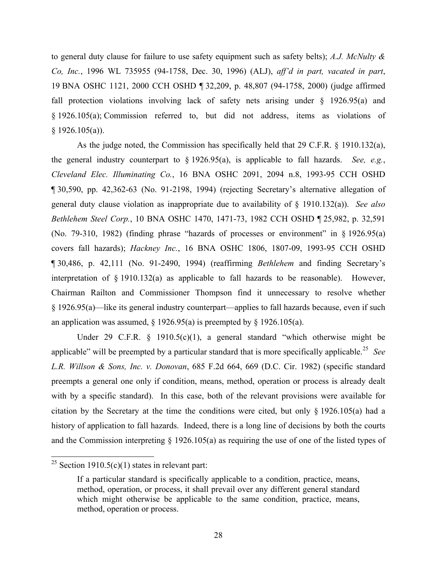to general duty clause for failure to use safety equipment such as safety belts); *A.J. McNulty & Co, Inc.*, 1996 WL 735955 (94-1758, Dec. 30, 1996) (ALJ), *aff'd in part, vacated in part*, 19 BNA OSHC 1121, 2000 CCH OSHD ¶ 32,209, p. 48,807 (94-1758, 2000) (judge affirmed fall protection violations involving lack of safety nets arising under § 1926.95(a) and § 1926.105(a); Commission referred to, but did not address, items as violations of  $§$  1926.105(a)).

As the judge noted, the Commission has specifically held that 29 C.F.R. § 1910.132(a), the general industry counterpart to § 1926.95(a), is applicable to fall hazards. *See, e.g.*, *Cleveland Elec. Illuminating Co.*, 16 BNA OSHC 2091, 2094 n.8, 1993-95 CCH OSHD ¶ 30,590, pp. 42,362-63 (No. 91-2198, 1994) (rejecting Secretary's alternative allegation of general duty clause violation as inappropriate due to availability of § 1910.132(a)). *See also Bethlehem Steel Corp.*, 10 BNA OSHC 1470, 1471-73, 1982 CCH OSHD ¶ 25,982, p. 32,591 (No. 79-310, 1982) (finding phrase "hazards of processes or environment" in § 1926.95(a) covers fall hazards); *Hackney Inc.*, 16 BNA OSHC 1806, 1807-09, 1993-95 CCH OSHD ¶ 30,486, p. 42,111 (No. 91-2490, 1994) (reaffirming *Bethlehem* and finding Secretary's interpretation of § 1910.132(a) as applicable to fall hazards to be reasonable). However, Chairman Railton and Commissioner Thompson find it unnecessary to resolve whether § 1926.95(a)—like its general industry counterpart—applies to fall hazards because, even if such an application was assumed,  $\S$  1926.95(a) is preempted by  $\S$  1926.105(a).

Under 29 C.F.R. § 1910.5(c)(1), a general standard "which otherwise might be applicable" will be preempted by a particular standard that is more specifically applicable.[25](#page-27-0) *See L.R. Willson & Sons, Inc. v. Donovan*, 685 F.2d 664, 669 (D.C. Cir. 1982) (specific standard preempts a general one only if condition, means, method, operation or process is already dealt with by a specific standard). In this case, both of the relevant provisions were available for citation by the Secretary at the time the conditions were cited, but only § 1926.105(a) had a history of application to fall hazards. Indeed, there is a long line of decisions by both the courts and the Commission interpreting  $\S$  1926.105(a) as requiring the use of one of the listed types of

<span id="page-27-0"></span><sup>&</sup>lt;sup>25</sup> Section 1910.5(c)(1) states in relevant part:

If a particular standard is specifically applicable to a condition, practice, means, method, operation, or process, it shall prevail over any different general standard which might otherwise be applicable to the same condition, practice, means, method, operation or process.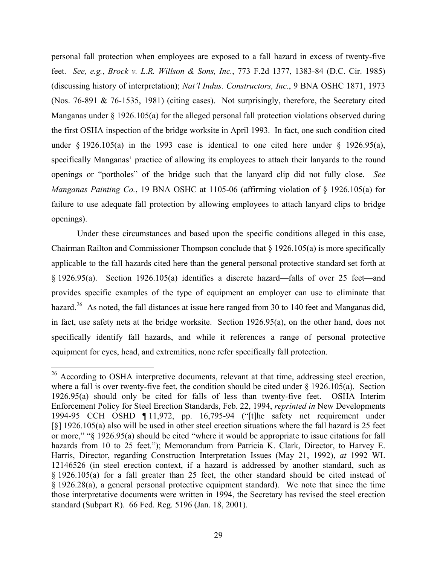personal fall protection when employees are exposed to a fall hazard in excess of twenty-five feet. *See, e.g.*, *Brock v. L.R. Willson & Sons, Inc.*, 773 F.2d 1377, 1383-84 (D.C. Cir. 1985) (discussing history of interpretation); *Nat'l Indus. Constructors, Inc.*, 9 BNA OSHC 1871, 1973 (Nos. 76-891 & 76-1535, 1981) (citing cases). Not surprisingly, therefore, the Secretary cited Manganas under § 1926.105(a) for the alleged personal fall protection violations observed during the first OSHA inspection of the bridge worksite in April 1993. In fact, one such condition cited under  $\S$  1926.105(a) in the 1993 case is identical to one cited here under  $\S$  1926.95(a), specifically Manganas' practice of allowing its employees to attach their lanyards to the round openings or "portholes" of the bridge such that the lanyard clip did not fully close. *See Manganas Painting Co.*, 19 BNA OSHC at 1105-06 (affirming violation of § 1926.105(a) for failure to use adequate fall protection by allowing employees to attach lanyard clips to bridge openings).

Under these circumstances and based upon the specific conditions alleged in this case, Chairman Railton and Commissioner Thompson conclude that  $\S 1926.105(a)$  is more specifically applicable to the fall hazards cited here than the general personal protective standard set forth at § 1926.95(a). Section 1926.105(a) identifies a discrete hazard—falls of over 25 feet—and provides specific examples of the type of equipment an employer can use to eliminate that hazard.<sup>[26](#page-28-0)</sup> As noted, the fall distances at issue here ranged from 30 to 140 feet and Manganas did, in fact, use safety nets at the bridge worksite. Section 1926.95(a), on the other hand, does not specifically identify fall hazards, and while it references a range of personal protective equipment for eyes, head, and extremities, none refer specifically fall protection.

<span id="page-28-0"></span><sup>&</sup>lt;sup>26</sup> According to OSHA interpretive documents, relevant at that time, addressing steel erection, where a fall is over twenty-five feet, the condition should be cited under § 1926.105(a). Section 1926.95(a) should only be cited for falls of less than twenty-five feet. OSHA Interim Enforcement Policy for Steel Erection Standards, Feb. 22, 1994, *reprinted in* New Developments 1994-95 CCH OSHD ¶ 11,972, pp. 16,795-94 ("[t]he safety net requirement under [§] 1926.105(a) also will be used in other steel erection situations where the fall hazard is 25 feet or more," "§ 1926.95(a) should be cited "where it would be appropriate to issue citations for fall hazards from 10 to 25 feet."); Memorandum from Patricia K. Clark, Director, to Harvey E. Harris, Director, regarding Construction Interpretation Issues (May 21, 1992), *at* 1992 WL 12146526 (in steel erection context, if a hazard is addressed by another standard, such as § 1926.105(a) for a fall greater than 25 feet, the other standard should be cited instead of § 1926.28(a), a general personal protective equipment standard). We note that since the time those interpretative documents were written in 1994, the Secretary has revised the steel erection standard (Subpart R). 66 Fed. Reg. 5196 (Jan. 18, 2001).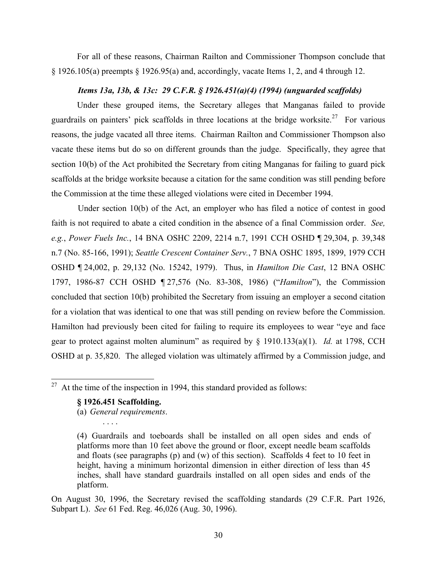For all of these reasons, Chairman Railton and Commissioner Thompson conclude that  $\S$  1926.105(a) preempts  $\S$  1926.95(a) and, accordingly, vacate Items 1, 2, and 4 through 12.

# *Items 13a, 13b, & 13c: 29 C.F.R. § 1926.451(a)(4) (1994) (unguarded scaffolds)*

Under these grouped items, the Secretary alleges that Manganas failed to provide guardrails on painters' pick scaffolds in three locations at the bridge worksite.<sup>[27](#page-29-0)</sup> For various reasons, the judge vacated all three items. Chairman Railton and Commissioner Thompson also vacate these items but do so on different grounds than the judge. Specifically, they agree that section 10(b) of the Act prohibited the Secretary from citing Manganas for failing to guard pick scaffolds at the bridge worksite because a citation for the same condition was still pending before the Commission at the time these alleged violations were cited in December 1994.

Under section 10(b) of the Act, an employer who has filed a notice of contest in good faith is not required to abate a cited condition in the absence of a final Commission order. *See, e.g.*, *Power Fuels Inc.*, 14 BNA OSHC 2209, 2214 n.7, 1991 CCH OSHD ¶ 29,304, p. 39,348 n.7 (No. 85-166, 1991); *Seattle Crescent Container Serv.*, 7 BNA OSHC 1895, 1899, 1979 CCH OSHD ¶ 24,002, p. 29,132 (No. 15242, 1979). Thus, in *Hamilton Die Cast*, 12 BNA OSHC 1797, 1986-87 CCH OSHD ¶ 27,576 (No. 83-308, 1986) ("*Hamilton*"), the Commission concluded that section 10(b) prohibited the Secretary from issuing an employer a second citation for a violation that was identical to one that was still pending on review before the Commission. Hamilton had previously been cited for failing to require its employees to wear "eye and face gear to protect against molten aluminum" as required by § 1910.133(a)(1). *Id.* at 1798, CCH OSHD at p. 35,820. The alleged violation was ultimately affirmed by a Commission judge, and

#### **§ 1926.451 Scaffolding.**

(a) *General requirements*.

On August 30, 1996, the Secretary revised the scaffolding standards (29 C.F.R. Part 1926, Subpart L). *See* 61 Fed. Reg. 46,026 (Aug. 30, 1996).

<span id="page-29-0"></span> $27$  At the time of the inspection in 1994, this standard provided as follows:

<sup>(4)</sup> Guardrails and toeboards shall be installed on all open sides and ends of platforms more than 10 feet above the ground or floor, except needle beam scaffolds and floats (see paragraphs (p) and (w) of this section). Scaffolds 4 feet to 10 feet in height, having a minimum horizontal dimension in either direction of less than 45 inches, shall have standard guardrails installed on all open sides and ends of the platform.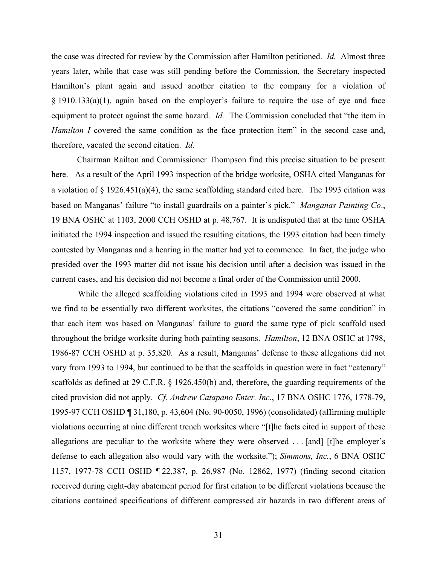the case was directed for review by the Commission after Hamilton petitioned. *Id.* Almost three years later, while that case was still pending before the Commission, the Secretary inspected Hamilton's plant again and issued another citation to the company for a violation of § 1910.133(a)(1), again based on the employer's failure to require the use of eye and face equipment to protect against the same hazard. *Id.* The Commission concluded that "the item in *Hamilton I* covered the same condition as the face protection item" in the second case and, therefore, vacated the second citation. *Id.* 

Chairman Railton and Commissioner Thompson find this precise situation to be present here. As a result of the April 1993 inspection of the bridge worksite, OSHA cited Manganas for a violation of  $\S$  1926.451(a)(4), the same scaffolding standard cited here. The 1993 citation was based on Manganas' failure "to install guardrails on a painter's pick." *Manganas Painting Co*., 19 BNA OSHC at 1103, 2000 CCH OSHD at p. 48,767. It is undisputed that at the time OSHA initiated the 1994 inspection and issued the resulting citations, the 1993 citation had been timely contested by Manganas and a hearing in the matter had yet to commence. In fact, the judge who presided over the 1993 matter did not issue his decision until after a decision was issued in the current cases, and his decision did not become a final order of the Commission until 2000.

While the alleged scaffolding violations cited in 1993 and 1994 were observed at what we find to be essentially two different worksites, the citations "covered the same condition" in that each item was based on Manganas' failure to guard the same type of pick scaffold used throughout the bridge worksite during both painting seasons. *Hamilton*, 12 BNA OSHC at 1798, 1986-87 CCH OSHD at p. 35,820. As a result, Manganas' defense to these allegations did not vary from 1993 to 1994, but continued to be that the scaffolds in question were in fact "catenary" scaffolds as defined at 29 C.F.R. § 1926.450(b) and, therefore, the guarding requirements of the cited provision did not apply. *Cf. Andrew Catapano Enter. Inc.*, 17 BNA OSHC 1776, 1778-79, 1995-97 CCH OSHD ¶ 31,180, p. 43,604 (No. 90-0050, 1996) (consolidated) (affirming multiple violations occurring at nine different trench worksites where "[t]he facts cited in support of these allegations are peculiar to the worksite where they were observed . . . [and] [t]he employer's defense to each allegation also would vary with the worksite."); *Simmons, Inc.*, 6 BNA OSHC 1157, 1977-78 CCH OSHD ¶ 22,387, p. 26,987 (No. 12862, 1977) (finding second citation received during eight-day abatement period for first citation to be different violations because the citations contained specifications of different compressed air hazards in two different areas of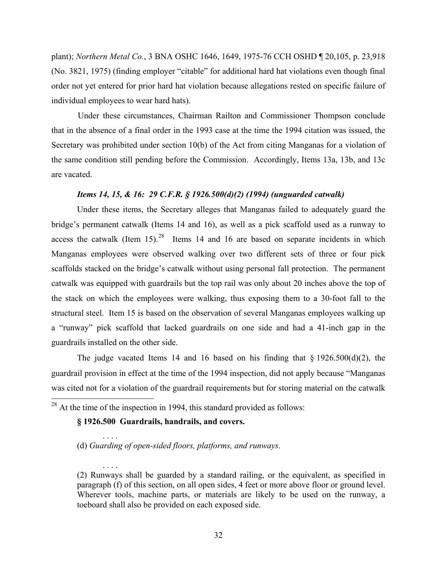plant); *Northern Metal Co.*, 3 BNA OSHC 1646, 1649, 1975-76 CCH OSHD ¶ 20,105, p. 23,918 (No. 3821, 1975) (finding employer "citable" for additional hard hat violations even though final order not yet entered for prior hard hat violation because allegations rested on specific failure of individual employees to wear hard hats).

Under these circumstances, Chairman Railton and Commissioner Thompson conclude that in the absence of a final order in the 1993 case at the time the 1994 citation was issued, the Secretary was prohibited under section 10(b) of the Act from citing Manganas for a violation of the same condition still pending before the Commission. Accordingly, Items 13a, 13b, and 13c are vacated.

#### *Items 14, 15, & 16: 29 C.F.R. § 1926.500(d)(2) (1994) (unguarded catwalk)*

Under these items, the Secretary alleges that Manganas failed to adequately guard the bridge's permanent catwalk (Items 14 and 16), as well as a pick scaffold used as a runway to access the catwalk (Item  $15$ ).<sup>[28](#page-31-0)</sup> Items 14 and 16 are based on separate incidents in which Manganas employees were observed walking over two different sets of three or four pick scaffolds stacked on the bridge's catwalk without using personal fall protection. The permanent catwalk was equipped with guardrails but the top rail was only about 20 inches above the top of the stack on which the employees were walking, thus exposing them to a 30-foot fall to the structural steel. Item 15 is based on the observation of several Manganas employees walking up a "runway" pick scaffold that lacked guardrails on one side and had a 41-inch gap in the guardrails installed on the other side.

The judge vacated Items 14 and 16 based on his finding that  $\S$  1926.500(d)(2), the guardrail provision in effect at the time of the 1994 inspection, did not apply because "Manganas was cited not for a violation of the guardrail requirements but for storing material on the catwalk

<span id="page-31-0"></span> $28$  At the time of the inspection in 1994, this standard provided as follows:

#### **§ 1926.500 Guardrails, handrails, and covers.**

. . . .

. . . .

(d) *Guarding of open-sided floors, platforms, and runways*.

(2) Runways shall be guarded by a standard railing, or the equivalent, as specified in paragraph (f) of this section, on all open sides, 4 feet or more above floor or ground level. Wherever tools, machine parts, or materials are likely to be used on the runway, a toeboard shall also be provided on each exposed side.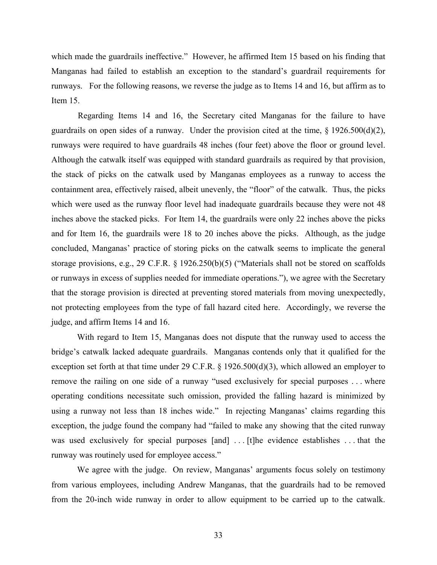which made the guardrails ineffective." However, he affirmed Item 15 based on his finding that Manganas had failed to establish an exception to the standard's guardrail requirements for runways. For the following reasons, we reverse the judge as to Items 14 and 16, but affirm as to Item 15.

Regarding Items 14 and 16, the Secretary cited Manganas for the failure to have guardrails on open sides of a runway. Under the provision cited at the time,  $\S$  1926.500(d)(2), runways were required to have guardrails 48 inches (four feet) above the floor or ground level. Although the catwalk itself was equipped with standard guardrails as required by that provision, the stack of picks on the catwalk used by Manganas employees as a runway to access the containment area, effectively raised, albeit unevenly, the "floor" of the catwalk. Thus, the picks which were used as the runway floor level had inadequate guardrails because they were not 48 inches above the stacked picks. For Item 14, the guardrails were only 22 inches above the picks and for Item 16, the guardrails were 18 to 20 inches above the picks. Although, as the judge concluded, Manganas' practice of storing picks on the catwalk seems to implicate the general storage provisions, e.g., 29 C.F.R. § 1926.250(b)(5) ("Materials shall not be stored on scaffolds or runways in excess of supplies needed for immediate operations."), we agree with the Secretary that the storage provision is directed at preventing stored materials from moving unexpectedly, not protecting employees from the type of fall hazard cited here. Accordingly, we reverse the judge, and affirm Items 14 and 16.

With regard to Item 15, Manganas does not dispute that the runway used to access the bridge's catwalk lacked adequate guardrails. Manganas contends only that it qualified for the exception set forth at that time under 29 C.F.R. § 1926.500(d)(3), which allowed an employer to remove the railing on one side of a runway "used exclusively for special purposes . . . where operating conditions necessitate such omission, provided the falling hazard is minimized by using a runway not less than 18 inches wide." In rejecting Manganas' claims regarding this exception, the judge found the company had "failed to make any showing that the cited runway was used exclusively for special purposes [and] ... [t]he evidence establishes ... that the runway was routinely used for employee access."

We agree with the judge. On review, Manganas' arguments focus solely on testimony from various employees, including Andrew Manganas, that the guardrails had to be removed from the 20-inch wide runway in order to allow equipment to be carried up to the catwalk.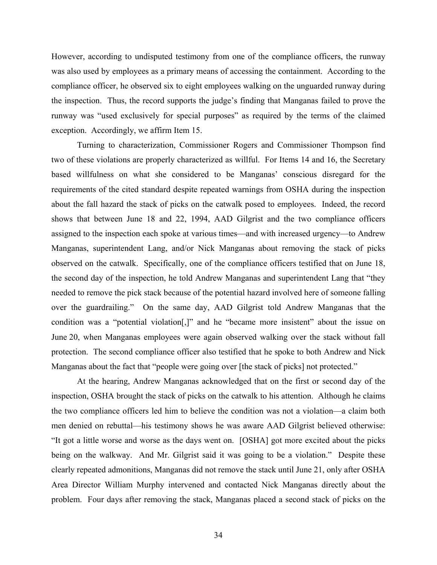However, according to undisputed testimony from one of the compliance officers, the runway was also used by employees as a primary means of accessing the containment. According to the compliance officer, he observed six to eight employees walking on the unguarded runway during the inspection. Thus, the record supports the judge's finding that Manganas failed to prove the runway was "used exclusively for special purposes" as required by the terms of the claimed exception. Accordingly, we affirm Item 15.

Turning to characterization, Commissioner Rogers and Commissioner Thompson find two of these violations are properly characterized as willful. For Items 14 and 16, the Secretary based willfulness on what she considered to be Manganas' conscious disregard for the requirements of the cited standard despite repeated warnings from OSHA during the inspection about the fall hazard the stack of picks on the catwalk posed to employees. Indeed, the record shows that between June 18 and 22, 1994, AAD Gilgrist and the two compliance officers assigned to the inspection each spoke at various times—and with increased urgency—to Andrew Manganas, superintendent Lang, and/or Nick Manganas about removing the stack of picks observed on the catwalk. Specifically, one of the compliance officers testified that on June 18, the second day of the inspection, he told Andrew Manganas and superintendent Lang that "they needed to remove the pick stack because of the potential hazard involved here of someone falling over the guardrailing." On the same day, AAD Gilgrist told Andrew Manganas that the condition was a "potential violation[,]" and he "became more insistent" about the issue on June 20, when Manganas employees were again observed walking over the stack without fall protection. The second compliance officer also testified that he spoke to both Andrew and Nick Manganas about the fact that "people were going over [the stack of picks] not protected."

At the hearing, Andrew Manganas acknowledged that on the first or second day of the inspection, OSHA brought the stack of picks on the catwalk to his attention. Although he claims the two compliance officers led him to believe the condition was not a violation—a claim both men denied on rebuttal—his testimony shows he was aware AAD Gilgrist believed otherwise: "It got a little worse and worse as the days went on. [OSHA] got more excited about the picks being on the walkway. And Mr. Gilgrist said it was going to be a violation." Despite these clearly repeated admonitions, Manganas did not remove the stack until June 21, only after OSHA Area Director William Murphy intervened and contacted Nick Manganas directly about the problem. Four days after removing the stack, Manganas placed a second stack of picks on the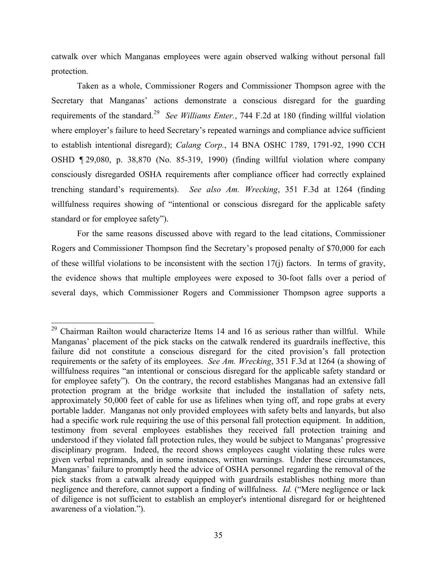catwalk over which Manganas employees were again observed walking without personal fall protection.

Taken as a whole, Commissioner Rogers and Commissioner Thompson agree with the Secretary that Manganas' actions demonstrate a conscious disregard for the guarding requirements of the standard.[29](#page-34-0) *See Williams Enter.*, 744 F.2d at 180 (finding willful violation where employer's failure to heed Secretary's repeated warnings and compliance advice sufficient to establish intentional disregard); *Calang Corp.*, 14 BNA OSHC 1789, 1791-92, 1990 CCH OSHD ¶ 29,080, p. 38,870 (No. 85-319, 1990) (finding willful violation where company consciously disregarded OSHA requirements after compliance officer had correctly explained trenching standard's requirements). *See also Am. Wrecking*, 351 F.3d at 1264 (finding willfulness requires showing of "intentional or conscious disregard for the applicable safety standard or for employee safety").

For the same reasons discussed above with regard to the lead citations, Commissioner Rogers and Commissioner Thompson find the Secretary's proposed penalty of \$70,000 for each of these willful violations to be inconsistent with the section 17(j) factors. In terms of gravity, the evidence shows that multiple employees were exposed to 30-foot falls over a period of several days, which Commissioner Rogers and Commissioner Thompson agree supports a

<span id="page-34-0"></span> $29$  Chairman Railton would characterize Items 14 and 16 as serious rather than willful. While Manganas' placement of the pick stacks on the catwalk rendered its guardrails ineffective, this failure did not constitute a conscious disregard for the cited provision's fall protection requirements or the safety of its employees. *See Am. Wrecking*, 351 F.3d at 1264 (a showing of willfulness requires "an intentional or conscious disregard for the applicable safety standard or for employee safety"). On the contrary, the record establishes Manganas had an extensive fall protection program at the bridge worksite that included the installation of safety nets, approximately 50,000 feet of cable for use as lifelines when tying off, and rope grabs at every portable ladder. Manganas not only provided employees with safety belts and lanyards, but also had a specific work rule requiring the use of this personal fall protection equipment. In addition, testimony from several employees establishes they received fall protection training and understood if they violated fall protection rules, they would be subject to Manganas' progressive disciplinary program. Indeed, the record shows employees caught violating these rules were given verbal reprimands, and in some instances, written warnings. Under these circumstances, Manganas' failure to promptly heed the advice of OSHA personnel regarding the removal of the pick stacks from a catwalk already equipped with guardrails establishes nothing more than negligence and therefore, cannot support a finding of willfulness. *Id.* ("Mere negligence or lack of diligence is not sufficient to establish an employer's intentional disregard for or heightened awareness of a violation.").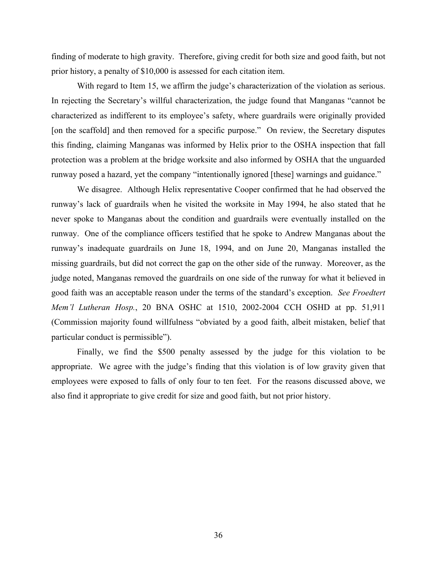finding of moderate to high gravity. Therefore, giving credit for both size and good faith, but not prior history, a penalty of \$10,000 is assessed for each citation item.

With regard to Item 15, we affirm the judge's characterization of the violation as serious. In rejecting the Secretary's willful characterization, the judge found that Manganas "cannot be characterized as indifferent to its employee's safety, where guardrails were originally provided [on the scaffold] and then removed for a specific purpose." On review, the Secretary disputes this finding, claiming Manganas was informed by Helix prior to the OSHA inspection that fall protection was a problem at the bridge worksite and also informed by OSHA that the unguarded runway posed a hazard, yet the company "intentionally ignored [these] warnings and guidance."

We disagree. Although Helix representative Cooper confirmed that he had observed the runway's lack of guardrails when he visited the worksite in May 1994, he also stated that he never spoke to Manganas about the condition and guardrails were eventually installed on the runway. One of the compliance officers testified that he spoke to Andrew Manganas about the runway's inadequate guardrails on June 18, 1994, and on June 20, Manganas installed the missing guardrails, but did not correct the gap on the other side of the runway. Moreover, as the judge noted, Manganas removed the guardrails on one side of the runway for what it believed in good faith was an acceptable reason under the terms of the standard's exception. *See Froedtert Mem'l Lutheran Hosp.*, 20 BNA OSHC at 1510, 2002-2004 CCH OSHD at pp. 51,911 (Commission majority found willfulness "obviated by a good faith, albeit mistaken, belief that particular conduct is permissible").

Finally, we find the \$500 penalty assessed by the judge for this violation to be appropriate. We agree with the judge's finding that this violation is of low gravity given that employees were exposed to falls of only four to ten feet. For the reasons discussed above, we also find it appropriate to give credit for size and good faith, but not prior history.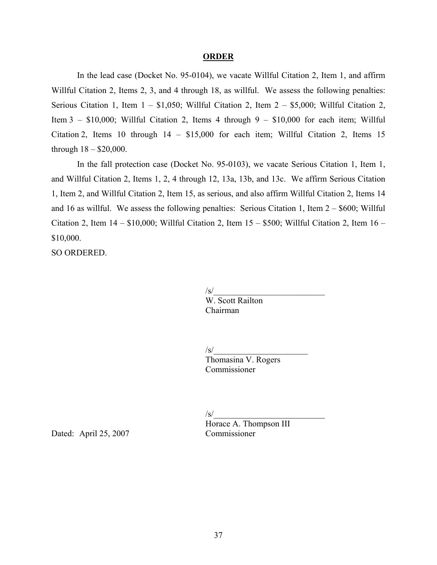#### **ORDER**

In the lead case (Docket No. 95-0104), we vacate Willful Citation 2, Item 1, and affirm Willful Citation 2, Items 2, 3, and 4 through 18, as willful. We assess the following penalties: Serious Citation 1, Item  $1 - $1,050$ ; Willful Citation 2, Item  $2 - $5,000$ ; Willful Citation 2, Item 3 –  $$10,000$ ; Willful Citation 2, Items 4 through 9 –  $$10,000$  for each item; Willful Citation 2, Items 10 through 14 – \$15,000 for each item; Willful Citation 2, Items 15 through  $18 - $20,000$ .

In the fall protection case (Docket No. 95-0103), we vacate Serious Citation 1, Item 1, and Willful Citation 2, Items 1, 2, 4 through 12, 13a, 13b, and 13c. We affirm Serious Citation 1, Item 2, and Willful Citation 2, Item 15, as serious, and also affirm Willful Citation 2, Items 14 and 16 as willful. We assess the following penalties: Serious Citation 1, Item  $2 - $600$ ; Willful Citation 2, Item 14 – \$10,000; Willful Citation 2, Item 15 – \$500; Willful Citation 2, Item 16 – \$10,000.

SO ORDERED.

 $\mathsf{/s}/\mathsf{...}$ W. Scott Railton Chairman

 $\sqrt{s}$ /

Thomasina V. Rogers **Commissioner** 

 $\sqrt{s}$ /

Horace A. Thompson III

Dated: April 25, 2007 Commissioner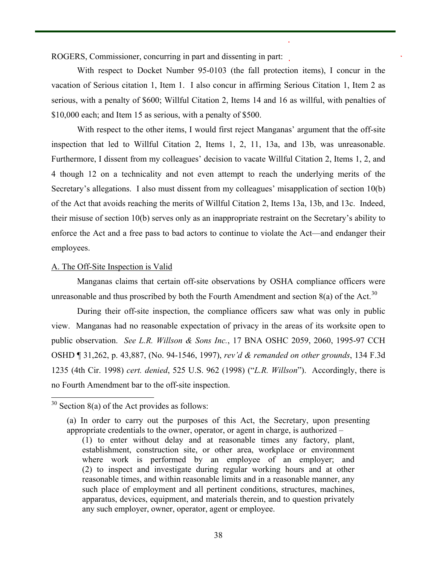ROGERS, Commissioner, concurring in part and dissenting in part:

With respect to Docket Number 95-0103 (the fall protection items), I concur in the vacation of Serious citation 1, Item 1. I also concur in affirming Serious Citation 1, Item 2 as serious, with a penalty of \$600; Willful Citation 2, Items 14 and 16 as willful, with penalties of \$10,000 each; and Item 15 as serious, with a penalty of \$500.

With respect to the other items, I would first reject Manganas' argument that the off-site inspection that led to Willful Citation 2, Items 1, 2, 11, 13a, and 13b, was unreasonable. Furthermore, I dissent from my colleagues' decision to vacate Willful Citation 2, Items 1, 2, and 4 though 12 on a technicality and not even attempt to reach the underlying merits of the Secretary's allegations. I also must dissent from my colleagues' misapplication of section 10(b) of the Act that avoids reaching the merits of Willful Citation 2, Items 13a, 13b, and 13c. Indeed, their misuse of section 10(b) serves only as an inappropriate restraint on the Secretary's ability to enforce the Act and a free pass to bad actors to continue to violate the Act—and endanger their employees.

# A. The Off-Site Inspection is Valid

Manganas claims that certain off-site observations by OSHA compliance officers were unreasonable and thus proscribed by both the Fourth Amendment and section  $8(a)$  of the Act.<sup>30</sup>

During their off-site inspection, the compliance officers saw what was only in public view. Manganas had no reasonable expectation of privacy in the areas of its worksite open to public observation. *See L.R. Willson & Sons Inc.*, 17 BNA OSHC 2059, 2060, 1995-97 CCH OSHD ¶ 31,262, p. 43,887, (No. 94-1546, 1997), *rev'd & remanded on other grounds*, 134 F.3d 1235 (4th Cir. 1998) *cert. denied*, 525 U.S. 962 (1998) ("*L.R. Willson*"). Accordingly, there is no Fourth Amendment bar to the off-site inspection.

<span id="page-37-0"></span> $30$  Section 8(a) of the Act provides as follows:

<sup>(</sup>a) In order to carry out the purposes of this Act, the Secretary, upon presenting appropriate credentials to the owner, operator, or agent in charge, is authorized –

<sup>(1)</sup> to enter without delay and at reasonable times any factory, plant, establishment, construction site, or other area, workplace or environment where work is performed by an employee of an employer; and (2) to inspect and investigate during regular working hours and at other reasonable times, and within reasonable limits and in a reasonable manner, any such place of employment and all pertinent conditions, structures, machines, apparatus, devices, equipment, and materials therein, and to question privately any such employer, owner, operator, agent or employee.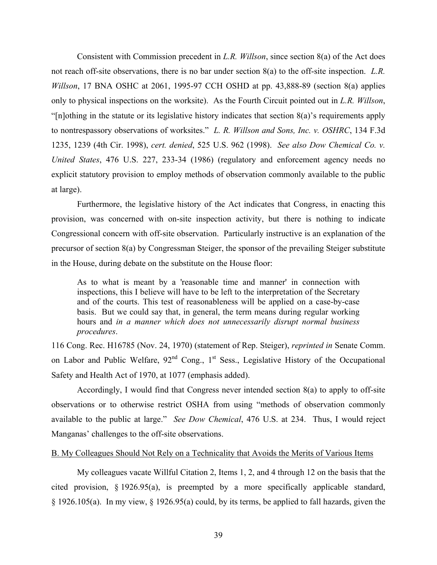Consistent with Commission precedent in *L.R. Willson*, since section 8(a) of the Act does not reach off-site observations, there is no bar under section 8(a) to the off-site inspection. *L.R. Willson*, 17 BNA OSHC at 2061, 1995-97 CCH OSHD at pp. 43,888-89 (section 8(a) applies only to physical inspections on the worksite). As the Fourth Circuit pointed out in *L.R. Willson*, "[n]othing in the statute or its legislative history indicates that section 8(a)'s requirements apply to nontrespassory observations of worksites." *L. R. Willson and Sons, Inc. v. OSHRC*, 134 F.3d 1235, 1239 (4th Cir. 1998), *cert. denied*, 525 U.S. 962 (1998). *See also Dow Chemical Co. v. United States*, 476 U.S. 227, 233-34 (1986) (regulatory and enforcement agency needs no explicit statutory provision to employ methods of observation commonly available to the public at large).

Furthermore, the legislative history of the Act indicates that Congress, in enacting this provision, was concerned with on-site inspection activity, but there is nothing to indicate Congressional concern with off-site observation. Particularly instructive is an explanation of the precursor of section 8(a) by Congressman Steiger, the sponsor of the prevailing Steiger substitute in the House, during debate on the substitute on the House floor:

As to what is meant by a 'reasonable time and manner' in connection with inspections, this I believe will have to be left to the interpretation of the Secretary and of the courts. This test of reasonableness will be applied on a case-by-case basis. But we could say that, in general, the term means during regular working hours and *in a manner which does not unnecessarily disrupt normal business procedures*.

116 Cong. Rec. H16785 (Nov. 24, 1970) (statement of Rep. Steiger), *reprinted in* Senate Comm. on Labor and Public Welfare,  $92<sup>nd</sup>$  Cong.,  $1<sup>st</sup>$  Sess., Legislative History of the Occupational Safety and Health Act of 1970, at 1077 (emphasis added).

Accordingly, I would find that Congress never intended section 8(a) to apply to off-site observations or to otherwise restrict OSHA from using "methods of observation commonly available to the public at large." *See Dow Chemical*, 476 U.S. at 234. Thus, I would reject Manganas' challenges to the off-site observations.

### B. My Colleagues Should Not Rely on a Technicality that Avoids the Merits of Various Items

My colleagues vacate Willful Citation 2, Items 1, 2, and 4 through 12 on the basis that the cited provision, § 1926.95(a), is preempted by a more specifically applicable standard, § 1926.105(a). In my view, § 1926.95(a) could, by its terms, be applied to fall hazards, given the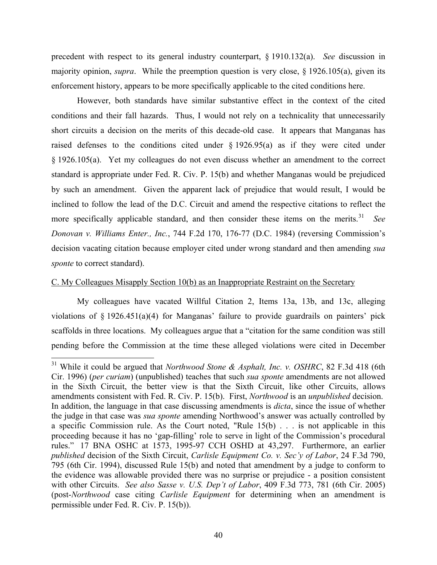precedent with respect to its general industry counterpart, § 1910.132(a). *See* discussion in majority opinion, *supra*. While the preemption question is very close, § 1926.105(a), given its enforcement history, appears to be more specifically applicable to the cited conditions here.

However, both standards have similar substantive effect in the context of the cited conditions and their fall hazards. Thus, I would not rely on a technicality that unnecessarily short circuits a decision on the merits of this decade-old case. It appears that Manganas has raised defenses to the conditions cited under  $\S$  1926.95(a) as if they were cited under § 1926.105(a). Yet my colleagues do not even discuss whether an amendment to the correct standard is appropriate under Fed. R. Civ. P. 15(b) and whether Manganas would be prejudiced by such an amendment. Given the apparent lack of prejudice that would result, I would be inclined to follow the lead of the D.C. Circuit and amend the respective citations to reflect the more specifically applicable standard, and then consider these items on the merits.<sup>[31](#page-39-0)</sup> See *Donovan v. Williams Enter., Inc.*, 744 F.2d 170, 176-77 (D.C. 1984) (reversing Commission's decision vacating citation because employer cited under wrong standard and then amending *sua sponte* to correct standard).

## C. My Colleagues Misapply Section 10(b) as an Inappropriate Restraint on the Secretary

My colleagues have vacated Willful Citation 2, Items 13a, 13b, and 13c, alleging violations of  $\S$  1926.451(a)(4) for Manganas' failure to provide guardrails on painters' pick scaffolds in three locations. My colleagues argue that a "citation for the same condition was still pending before the Commission at the time these alleged violations were cited in December

<span id="page-39-0"></span><sup>31</sup> While it could be argued that *Northwood Stone & Asphalt, Inc. v. OSHRC*, 82 F.3d 418 (6th Cir. 1996) (*per curiam*) (unpublished) teaches that such *sua sponte* amendments are not allowed in the Sixth Circuit, the better view is that the Sixth Circuit, like other Circuits, allows amendments consistent with Fed. R. Civ. P. 15(b). First, *Northwood* is an *unpublished* decision. In addition, the language in that case discussing amendments is *dicta*, since the issue of whether the judge in that case was *sua sponte* amending Northwood's answer was actually controlled by a specific Commission rule. As the Court noted, "Rule 15(b) . . . is not applicable in this proceeding because it has no 'gap-filling' role to serve in light of the Commission's procedural rules." 17 BNA OSHC at 1573, 1995-97 CCH OSHD at 43,297. Furthermore, an earlier *published* decision of the Sixth Circuit, *Carlisle Equipment Co. v. Sec'y of Labor*, 24 F.3d 790, 795 (6th Cir. 1994), discussed Rule 15(b) and noted that amendment by a judge to conform to the evidence was allowable provided there was no surprise or prejudice - a position consistent with other Circuits. *See also Sasse v. U.S. Dep't of Labor*, 409 F.3d 773, 781 (6th Cir. 2005) (post-*Northwood* case citing *Carlisle Equipment* for determining when an amendment is permissible under Fed. R. Civ. P. 15(b)).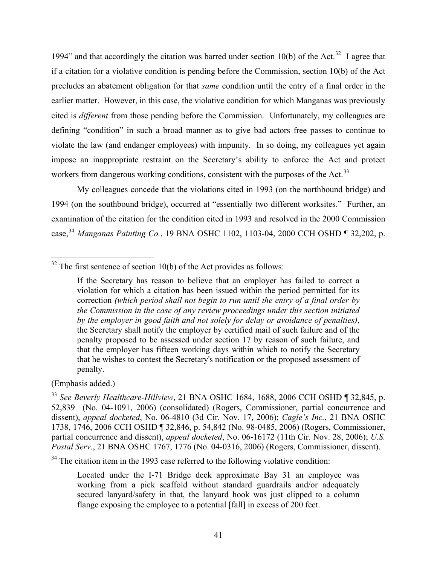1994" and that accordingly the citation was barred under section 10(b) of the Act.<sup>[32](#page-40-0)</sup> I agree that if a citation for a violative condition is pending before the Commission, section 10(b) of the Act precludes an abatement obligation for that *same* condition until the entry of a final order in the earlier matter. However, in this case, the violative condition for which Manganas was previously cited is *different* from those pending before the Commission. Unfortunately, my colleagues are defining "condition" in such a broad manner as to give bad actors free passes to continue to violate the law (and endanger employees) with impunity. In so doing, my colleagues yet again impose an inappropriate restraint on the Secretary's ability to enforce the Act and protect workers from dangerous working conditions, consistent with the purposes of the Act.<sup>[33](#page-40-1)</sup>

My colleagues concede that the violations cited in 1993 (on the northbound bridge) and 1994 (on the southbound bridge), occurred at "essentially two different worksites." Further, an examination of the citation for the condition cited in 1993 and resolved in the 2000 Commission case,[34](#page-40-2) *Manganas Painting Co.*, 19 BNA OSHC 1102, 1103-04, 2000 CCH OSHD ¶ 32,202, p.

<span id="page-40-0"></span> $32$  The first sentence of section 10(b) of the Act provides as follows:

(Emphasis added.)

<span id="page-40-2"></span><sup>34</sup> The citation item in the 1993 case referred to the following violative condition:

Located under the I-71 Bridge deck approximate Bay 31 an employee was working from a pick scaffold without standard guardrails and/or adequately secured lanyard/safety in that, the lanyard hook was just clipped to a column flange exposing the employee to a potential [fall] in excess of 200 feet.

If the Secretary has reason to believe that an employer has failed to correct a violation for which a citation has been issued within the period permitted for its correction *(which period shall not begin to run until the entry of a final order by the Commission in the case of any review proceedings under this section initiated by the employer in good faith and not solely for delay or avoidance of penalties)*, the Secretary shall notify the employer by certified mail of such failure and of the penalty proposed to be assessed under section 17 by reason of such failure, and that the employer has fifteen working days within which to notify the Secretary that he wishes to contest the Secretary's notification or the proposed assessment of penalty.

<span id="page-40-1"></span><sup>33</sup>*See Beverly Healthcare-Hillview*, 21 BNA OSHC 1684, 1688, 2006 CCH OSHD ¶ 32,845, p. 52,839 (No. 04-1091, 2006) (consolidated) (Rogers, Commissioner, partial concurrence and dissent), *appeal docketed*, No. 06-4810 (3d Cir. Nov. 17, 2006); *Cagle's Inc.*, 21 BNA OSHC 1738, 1746, 2006 CCH OSHD ¶ 32,846, p. 54,842 (No. 98-0485, 2006) (Rogers, Commissioner, partial concurrence and dissent), *appeal docketed*, No. 06-16172 (11th Cir. Nov. 28, 2006); *U.S. Postal Serv.*, 21 BNA OSHC 1767, 1776 (No. 04-0316, 2006) (Rogers, Commissioner, dissent).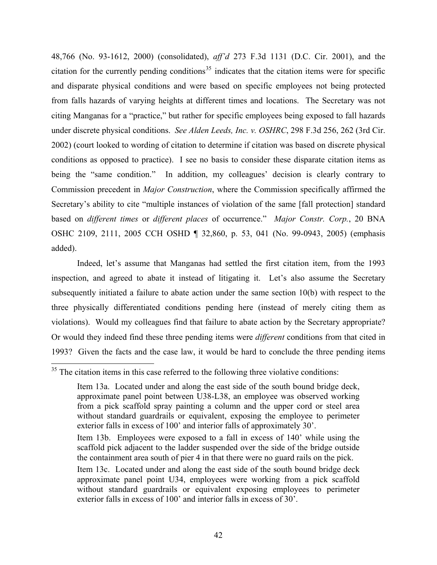48,766 (No. 93-1612, 2000) (consolidated), *aff'd* 273 F.3d 1131 (D.C. Cir. 2001), and the citation for the currently pending conditions<sup>[35](#page-41-0)</sup> indicates that the citation items were for specific and disparate physical conditions and were based on specific employees not being protected from falls hazards of varying heights at different times and locations. The Secretary was not citing Manganas for a "practice," but rather for specific employees being exposed to fall hazards under discrete physical conditions. *See Alden Leeds, Inc. v. OSHRC*, 298 F.3d 256, 262 (3rd Cir. 2002) (court looked to wording of citation to determine if citation was based on discrete physical conditions as opposed to practice). I see no basis to consider these disparate citation items as being the "same condition." In addition, my colleagues' decision is clearly contrary to Commission precedent in *Major Construction*, where the Commission specifically affirmed the Secretary's ability to cite "multiple instances of violation of the same [fall protection] standard based on *different times* or *different places* of occurrence." *Major Constr. Corp.*, 20 BNA OSHC 2109, 2111, 2005 CCH OSHD ¶ 32,860, p. 53, 041 (No. 99-0943, 2005) (emphasis added).

Indeed, let's assume that Manganas had settled the first citation item, from the 1993 inspection, and agreed to abate it instead of litigating it. Let's also assume the Secretary subsequently initiated a failure to abate action under the same section 10(b) with respect to the three physically differentiated conditions pending here (instead of merely citing them as violations). Would my colleagues find that failure to abate action by the Secretary appropriate? Or would they indeed find these three pending items were *different* conditions from that cited in 1993? Given the facts and the case law, it would be hard to conclude the three pending items

<span id="page-41-0"></span> $35$  The citation items in this case referred to the following three violative conditions:

Item 13a. Located under and along the east side of the south bound bridge deck, approximate panel point between U38-L38, an employee was observed working from a pick scaffold spray painting a column and the upper cord or steel area without standard guardrails or equivalent, exposing the employee to perimeter exterior falls in excess of 100' and interior falls of approximately 30'.

Item 13b. Employees were exposed to a fall in excess of 140' while using the scaffold pick adjacent to the ladder suspended over the side of the bridge outside the containment area south of pier 4 in that there were no guard rails on the pick.

Item 13c. Located under and along the east side of the south bound bridge deck approximate panel point U34, employees were working from a pick scaffold without standard guardrails or equivalent exposing employees to perimeter exterior falls in excess of 100' and interior falls in excess of 30'.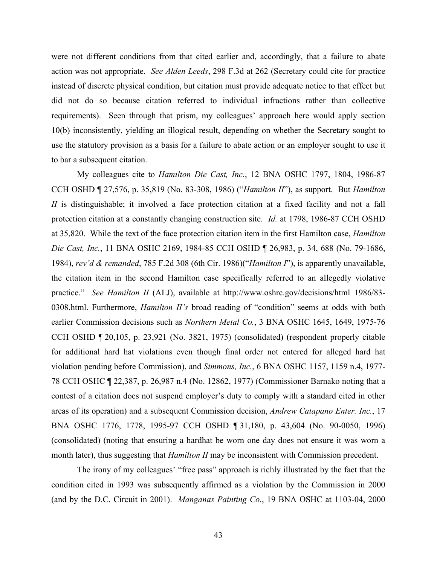were not different conditions from that cited earlier and, accordingly, that a failure to abate action was not appropriate. *See Alden Leeds*, 298 F.3d at 262 (Secretary could cite for practice instead of discrete physical condition, but citation must provide adequate notice to that effect but did not do so because citation referred to individual infractions rather than collective requirements). Seen through that prism, my colleagues' approach here would apply section 10(b) inconsistently, yielding an illogical result, depending on whether the Secretary sought to use the statutory provision as a basis for a failure to abate action or an employer sought to use it to bar a subsequent citation.

My colleagues cite to *Hamilton Die Cast, Inc.*, 12 BNA OSHC 1797, 1804, 1986-87 CCH OSHD ¶ 27,576, p. 35,819 (No. 83-308, 1986) ("*Hamilton II*"), as support. But *Hamilton II* is distinguishable; it involved a face protection citation at a fixed facility and not a fall protection citation at a constantly changing construction site. *Id.* at 1798, 1986-87 CCH OSHD at 35,820. While the text of the face protection citation item in the first Hamilton case, *Hamilton Die Cast, Inc.*, 11 BNA OSHC 2169, 1984-85 CCH OSHD ¶ 26,983, p. 34, 688 (No. 79-1686, 1984), *rev'd & remanded*, 785 F.2d 308 (6th Cir. 1986)("*Hamilton I*"), is apparently unavailable, the citation item in the second Hamilton case specifically referred to an allegedly violative practice." *See Hamilton II* (ALJ), available at http://www.oshrc.gov/decisions/html 1986/83-0308.html. Furthermore, *Hamilton II's* broad reading of "condition" seems at odds with both earlier Commission decisions such as *Northern Metal Co.*, 3 BNA OSHC 1645, 1649, 1975-76 CCH OSHD ¶ 20,105, p. 23,921 (No. 3821, 1975) (consolidated) (respondent properly citable for additional hard hat violations even though final order not entered for alleged hard hat violation pending before Commission), and *Simmons, Inc.*, 6 BNA OSHC 1157, 1159 n.4, 1977 78 CCH OSHC ¶ 22,387, p. 26,987 n.4 (No. 12862, 1977) (Commissioner Barnako noting that a contest of a citation does not suspend employer's duty to comply with a standard cited in other areas of its operation) and a subsequent Commission decision, *Andrew Catapano Enter. Inc.*, 17 BNA OSHC 1776, 1778, 1995-97 CCH OSHD ¶ 31,180, p. 43,604 (No. 90-0050, 1996) (consolidated) (noting that ensuring a hardhat be worn one day does not ensure it was worn a month later), thus suggesting that *Hamilton II* may be inconsistent with Commission precedent.

The irony of my colleagues' "free pass" approach is richly illustrated by the fact that the condition cited in 1993 was subsequently affirmed as a violation by the Commission in 2000 (and by the D.C. Circuit in 2001). *Manganas Painting Co.*, 19 BNA OSHC at 1103-04, 2000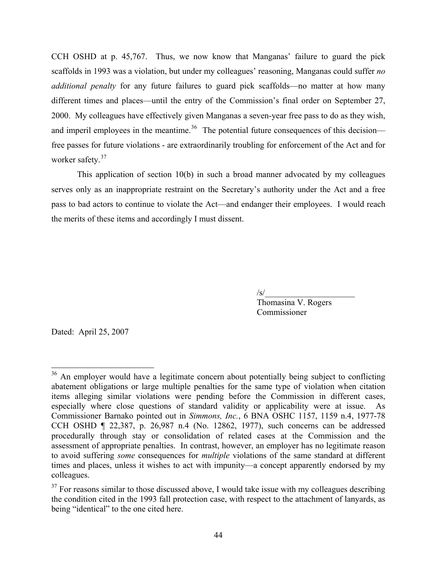CCH OSHD at p. 45,767. Thus, we now know that Manganas' failure to guard the pick scaffolds in 1993 was a violation, but under my colleagues' reasoning, Manganas could suffer *no additional penalty* for any future failures to guard pick scaffolds—no matter at how many different times and places—until the entry of the Commission's final order on September 27, 2000. My colleagues have effectively given Manganas a seven-year free pass to do as they wish, and imperil employees in the meantime.<sup>[36](#page-43-0)</sup> The potential future consequences of this decision free passes for future violations - are extraordinarily troubling for enforcement of the Act and for worker safety.<sup>37</sup>

This application of section 10(b) in such a broad manner advocated by my colleagues serves only as an inappropriate restraint on the Secretary's authority under the Act and a free pass to bad actors to continue to violate the Act—and endanger their employees. I would reach the merits of these items and accordingly I must dissent.

 $\sqrt{s}$ /

 Thomasina V. Rogers Commissioner

Dated: April 25, 2007

<span id="page-43-0"></span><sup>&</sup>lt;sup>36</sup> An employer would have a legitimate concern about potentially being subject to conflicting abatement obligations or large multiple penalties for the same type of violation when citation items alleging similar violations were pending before the Commission in different cases, especially where close questions of standard validity or applicability were at issue. As Commissioner Barnako pointed out in *Simmons, Inc.*, 6 BNA OSHC 1157, 1159 n.4, 1977-78 CCH OSHD ¶ 22,387, p. 26,987 n.4 (No. 12862, 1977), such concerns can be addressed procedurally through stay or consolidation of related cases at the Commission and the assessment of appropriate penalties. In contrast, however, an employer has no legitimate reason to avoid suffering *some* consequences for *multiple* violations of the same standard at different times and places, unless it wishes to act with impunity—a concept apparently endorsed by my colleagues.

<span id="page-43-1"></span> $37$  For reasons similar to those discussed above, I would take issue with my colleagues describing the condition cited in the 1993 fall protection case, with respect to the attachment of lanyards, as being "identical" to the one cited here.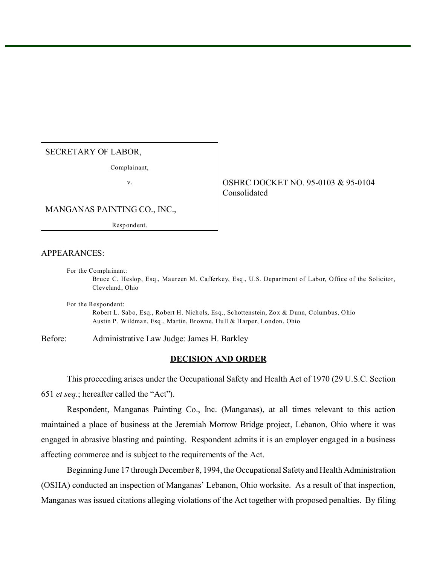## SECRETARY OF LABOR,

Complainant,

v. Same Strategy of the SHRC DOCKET NO. 95-0103 & 95-0104 Consolidated

MANGANAS PAINTING CO., INC.,

Resp ondent.

## APPEARANCES:

For the Complainant: Bruce C. Heslop, Esq., Maureen M. Cafferkey, Esq., U.S. Department of Labor, Office of the Solicitor, Cleveland, Ohio

For the Respondent: Robert L. Sabo, Esq., Robert H. Nichols, Esq., Schottenstein, Zox & Dunn, Columbus, Ohio Austin P. Wildman, Esq., Martin, Browne, Hull & Harper, London, Ohio

Before: Administrative Law Judge: James H. Barkley

# **DECISION AND ORDER**

This proceeding arises under the Occupational Safety and Health Act of 1970 (29 U.S.C. Section 651 *et seq.*; hereafter called the "Act").

Respondent, Manganas Painting Co., Inc. (Manganas), at all times relevant to this action maintained a place of business at the Jeremiah Morrow Bridge project, Lebanon, Ohio where it was engaged in abrasive blasting and painting. Respondent admits it is an employer engaged in a business affecting commerce and is subject to the requirements of the Act.

Beginning June 17 through December 8, 1994, the Occupational Safety and Health Administration (OSHA) conducted an inspection of Manganas' Lebanon, Ohio worksite. As a result of that inspection, Manganas was issued citations alleging violations of the Act together with proposed penalties. By filing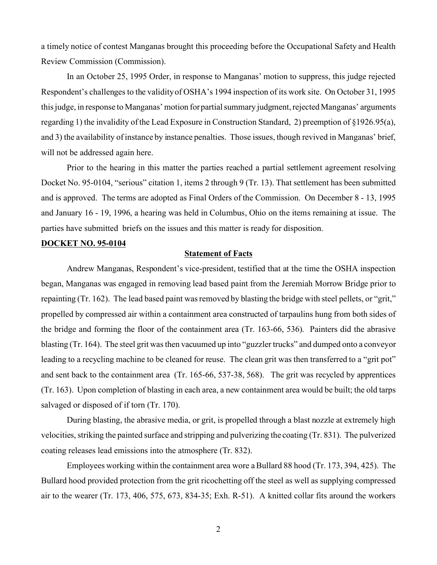a timely notice of contest Manganas brought this proceeding before the Occupational Safety and Health Review Commission (Commission).

In an October 25, 1995 Order, in response to Manganas' motion to suppress, this judge rejected Respondent's challenges to the validity of OSHA's 1994 inspection of its work site. On October 31, 1995 this judge, in response to Manganas' motion for partial summary judgment, rejected Manganas' arguments regarding 1) the invalidity of the Lead Exposure in Construction Standard, 2) preemption of §1926.95(a), and 3) the availability of instance by instance penalties. Those issues, though revived in Manganas' brief, will not be addressed again here.

Prior to the hearing in this matter the parties reached a partial settlement agreement resolving Docket No. 95-0104, "serious" citation 1, items 2 through 9 (Tr. 13). That settlement has been submitted and is approved. The terms are adopted as Final Orders of the Commission. On December 8 - 13, 1995 and January 16 - 19, 1996, a hearing was held in Columbus, Ohio on the items remaining at issue. The parties have submitted briefs on the issues and this matter is ready for disposition.

#### **DOCKET NO. 95-0104**

### **Statement of Facts**

Andrew Manganas, Respondent's vice-president, testified that at the time the OSHA inspection began, Manganas was engaged in removing lead based paint from the Jeremiah Morrow Bridge prior to repainting (Tr. 162). The lead based paint was removed by blasting the bridge with steel pellets, or "grit," propelled by compressed air within a containment area constructed of tarpaulins hung from both sides of the bridge and forming the floor of the containment area (Tr. 163-66, 536). Painters did the abrasive blasting (Tr. 164). The steel grit was then vacuumed up into "guzzler trucks" and dumped onto a conveyor leading to a recycling machine to be cleaned for reuse. The clean grit was then transferred to a "grit pot" and sent back to the containment area (Tr. 165-66, 537-38, 568). The grit was recycled by apprentices (Tr. 163). Upon completion of blasting in each area, a new containment area would be built; the old tarps salvaged or disposed of if torn (Tr. 170).

During blasting, the abrasive media, or grit, is propelled through a blast nozzle at extremely high velocities, striking the painted surface and stripping and pulverizing the coating (Tr. 831). The pulverized coating releases lead emissions into the atmosphere (Tr. 832).

Employees working within the containment area wore a Bullard 88 hood (Tr. 173, 394, 425). The Bullard hood provided protection from the grit ricochetting off the steel as well as supplying compressed air to the wearer (Tr. 173, 406, 575, 673, 834-35; Exh. R-51). A knitted collar fits around the workers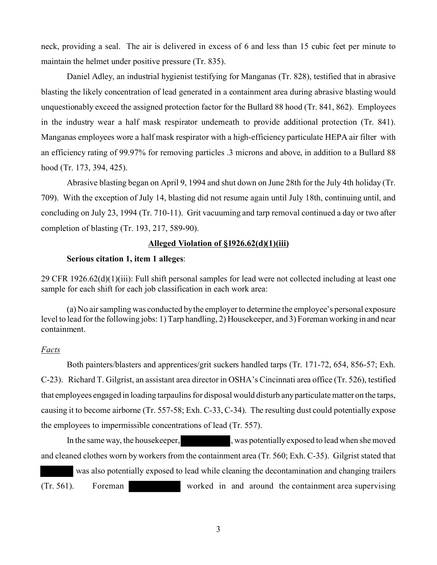neck, providing a seal. The air is delivered in excess of 6 and less than 15 cubic feet per minute to maintain the helmet under positive pressure (Tr. 835).

Daniel Adley, an industrial hygienist testifying for Manganas (Tr. 828), testified that in abrasive blasting the likely concentration of lead generated in a containment area during abrasive blasting would unquestionably exceed the assigned protection factor for the Bullard 88 hood (Tr. 841, 862). Employees in the industry wear a half mask respirator underneath to provide additional protection (Tr. 841). Manganas employees wore a half mask respirator with a high-efficiency particulate HEPA air filter with an efficiency rating of 99.97% for removing particles .3 microns and above, in addition to a Bullard 88 hood (Tr. 173, 394, 425).

Abrasive blasting began on April 9, 1994 and shut down on June 28th for the July 4th holiday (Tr. 709). With the exception of July 14, blasting did not resume again until July 18th, continuing until, and concluding on July 23, 1994 (Tr. 710-11). Grit vacuuming and tarp removal continued a day or two after completion of blasting (Tr. 193, 217, 589-90).

### **Alleged Violation of §1926.62(d)(1)(iii)**

# **Serious citation 1, item 1 alleges**:

29 CFR 1926.62(d)(1)(iii): Full shift personal samples for lead were not collected including at least one sample for each shift for each job classification in each work area:

(a) No air sampling was conducted by the employer to determine the employee's personal exposure level to lead for the following jobs: 1) Tarp handling, 2) Housekeeper, and 3) Foreman working in and near containment.

# *Facts*

Both painters/blasters and apprentices/grit suckers handled tarps (Tr. 171-72, 654, 856-57; Exh. C-23). Richard T. Gilgrist, an assistant area director in OSHA's Cincinnati area office (Tr. 526), testified that employees engaged in loading tarpaulins for disposal would disturb any particulate matter on the tarps, causing it to become airborne (Tr. 557-58; Exh. C-33, C-34). The resulting dust could potentially expose the employees to impermissible concentrations of lead (Tr. 557).

In the same way, the house keeper,  $\mu$ , was potentially exposed to lead when she moved and cleaned clothes worn by workers from the containment area (Tr. 560; Exh. C-35). Gilgrist stated that

 was also potentially exposed to lead while cleaning the decontamination and changing trailers (Tr. 561). Foreman worked in and around the containment area supervising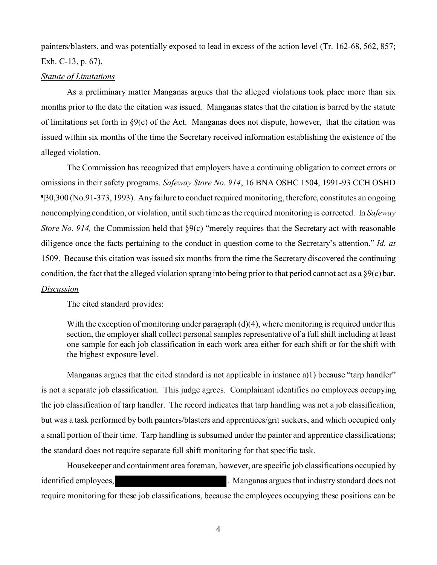painters/blasters, and was potentially exposed to lead in excess of the action level (Tr. 162-68, 562, 857; Exh. C-13, p. 67).

#### *Statute of Limitations*

As a preliminary matter Manganas argues that the alleged violations took place more than six months prior to the date the citation was issued. Manganas states that the citation is barred by the statute of limitations set forth in  $\S9(c)$  of the Act. Manganas does not dispute, however, that the citation was issued within six months of the time the Secretary received information establishing the existence of the alleged violation.

The Commission has recognized that employers have a continuing obligation to correct errors or omissions in their safety programs. *Safeway Store No. 914*, 16 BNA OSHC 1504, 1991-93 CCH OSHD ¶30,300 (No.91-373, 1993). Any failure to conduct required monitoring, therefore, constitutes an ongoing noncomplying condition, or violation, until such time as the required monitoring is corrected. In *Safeway Store No. 914,* the Commission held that §9(c) "merely requires that the Secretary act with reasonable diligence once the facts pertaining to the conduct in question come to the Secretary's attention." *Id. at*  1509. Because this citation was issued six months from the time the Secretary discovered the continuing condition, the fact that the alleged violation sprang into being prior to that period cannot act as a §9(c) bar.

# *Discussion*

The cited standard provides:

With the exception of monitoring under paragraph (d)(4), where monitoring is required under this section, the employer shall collect personal samples representative of a full shift including at least one sample for each job classification in each work area either for each shift or for the shift with the highest exposure level.

Manganas argues that the cited standard is not applicable in instance a)1) because "tarp handler" is not a separate job classification. This judge agrees. Complainant identifies no employees occupying but was a task performed by both painters/blasters and apprentices/grit suckers, and which occupied only a small portion of their time. Tarp handling is subsumed under the painter and apprentice classifications; the standard does not require separate full shift monitoring for that specific task. the job classification of tarp handler. The record indicates that tarp handling was not a job classification,

Housekeeper and containment area foreman, however, are specific job classifications occupied by identified employees, *Manganas argues that industry standard does not* require monitoring for these job classifications, because the employees occupying these positions can be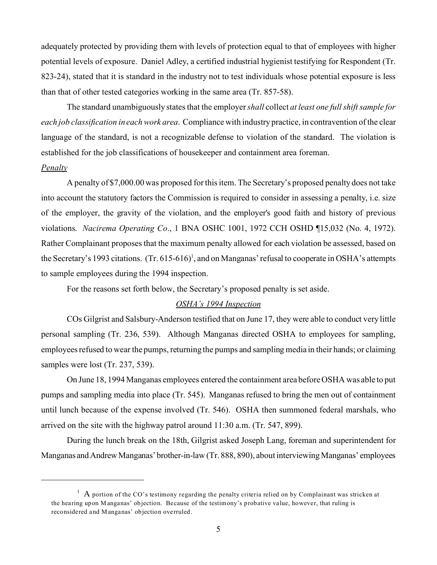adequately protected by providing them with levels of protection equal to that of employees with higher potential levels of exposure. Daniel Adley, a certified industrial hygienist testifying for Respondent (Tr. 823-24), stated that it is standard in the industry not to test individuals whose potential exposure is less than that of other tested categories working in the same area (Tr. 857-58).

The standard unambiguously states that the employer *shall* collect *at least one full shift sample for each job classification in each work area*. Compliance with industry practice, in contravention of the clear language of the standard, is not a recognizable defense to violation of the standard. The violation is established for the job classifications of housekeeper and containment area foreman.

#### *Penalty*

A penalty of \$7,000.00 was proposed for this item. The Secretary's proposed penalty does not take into account the statutory factors the Commission is required to consider in assessing a penalty, i.e. size of the employer, the gravity of the violation, and the employer's good faith and history of previous violations. *Nacirema Operating Co*., 1 BNA OSHC 1001, 1972 CCH OSHD ¶15,032 (No. 4, 1972). Rather Complainant proposes that the maximum penalty allowed for each violation be assessed, based on the Secretary's 1993 citations.  $(Tr. 615-616)^1$ , and on Manganas' refusal to cooperate in OSHA's attempts to sample employees during the 1994 inspection.

For the reasons set forth below, the Secretary's proposed penalty is set aside.

## *OSHA's 1994 Inspection*

COs Gilgrist and Salsbury-Anderson testified that on June 17, they were able to conduct very little personal sampling (Tr. 236, 539). Although Manganas directed OSHA to employees for sampling, employees refused to wear the pumps, returning the pumps and sampling media in their hands; or claiming samples were lost (Tr. 237, 539).

On June 18, 1994 Manganas employees entered the containment area before OSHA was able to put pumps and sampling media into place (Tr. 545). Manganas refused to bring the men out of containment until lunch because of the expense involved (Tr. 546). OSHA then summoned federal marshals, who arrived on the site with the highway patrol around 11:30 a.m. (Tr. 547, 899).

During the lunch break on the 18th, Gilgrist asked Joseph Lang, foreman and superintendent for Manganas and Andrew Manganas'brother-in-law (Tr. 888, 890), about interviewing Manganas' employees

 $1$  A portion of the CO's testimony regarding the penalty criteria relied on by Complainant was stricken at the hearing upon Manganas' objection. Because of the testimony's probative value, however, that ruling is reconsidered and Manganas' objection overruled.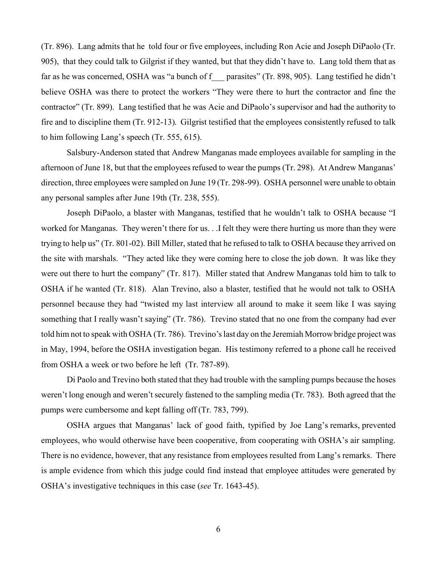(Tr. 896). Lang admits that he told four or five employees, including Ron Acie and Joseph DiPaolo (Tr. 905), that they could talk to Gilgrist if they wanted, but that they didn't have to. Lang told them that as far as he was concerned, OSHA was "a bunch of f parasites" (Tr. 898, 905). Lang testified he didn't believe OSHA was there to protect the workers "They were there to hurt the contractor and fine the contractor" (Tr. 899). Lang testified that he was Acie and DiPaolo's supervisor and had the authority to fire and to discipline them (Tr. 912-13). Gilgrist testified that the employees consistently refused to talk to him following Lang's speech (Tr. 555, 615).

Salsbury-Anderson stated that Andrew Manganas made employees available for sampling in the afternoon of June 18, but that the employees refused to wear the pumps (Tr. 298). At Andrew Manganas' direction, three employees were sampled on June 19 (Tr. 298-99). OSHA personnel were unable to obtain any personal samples after June 19th (Tr. 238, 555).

Joseph DiPaolo, a blaster with Manganas, testified that he wouldn't talk to OSHA because "I worked for Manganas. They weren't there for us. . .I felt they were there hurting us more than they were trying to help us" (Tr. 801-02). Bill Miller, stated that he refused to talk to OSHA because they arrived on the site with marshals. "They acted like they were coming here to close the job down. It was like they were out there to hurt the company" (Tr. 817). Miller stated that Andrew Manganas told him to talk to OSHA if he wanted (Tr. 818). Alan Trevino, also a blaster, testified that he would not talk to OSHA personnel because they had "twisted my last interview all around to make it seem like I was saying something that I really wasn't saying" (Tr. 786). Trevino stated that no one from the company had ever told him not to speak with OSHA (Tr. 786). Trevino's last day on the Jeremiah Morrow bridge project was in May, 1994, before the OSHA investigation began. His testimony referred to a phone call he received from OSHA a week or two before he left (Tr. 787-89).

Di Paolo and Trevino both stated that they had trouble with the sampling pumps because the hoses weren't long enough and weren't securely fastened to the sampling media (Tr. 783). Both agreed that the pumps were cumbersome and kept falling off (Tr. 783, 799).

OSHA argues that Manganas' lack of good faith, typified by Joe Lang's remarks, prevented employees, who would otherwise have been cooperative, from cooperating with OSHA's air sampling. There is no evidence, however, that any resistance from employees resulted from Lang's remarks. There is ample evidence from which this judge could find instead that employee attitudes were generated by OSHA's investigative techniques in this case (*see* Tr. 1643-45).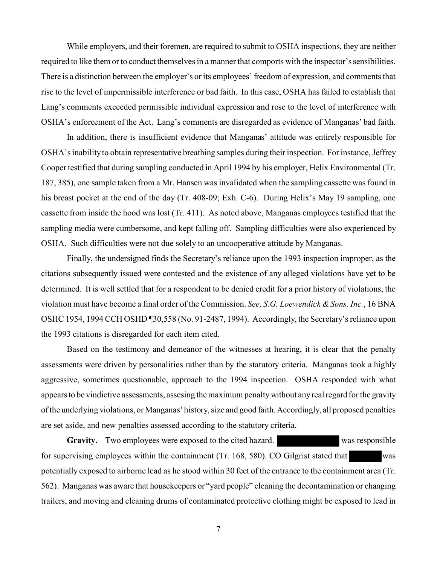While employers, and their foremen, are required to submit to OSHA inspections, they are neither required to like them or to conduct themselves in a manner that comports with the inspector's sensibilities. There is a distinction between the employer's or its employees' freedom of expression, and comments that rise to the level of impermissible interference or bad faith. In this case, OSHA has failed to establish that Lang's comments exceeded permissible individual expression and rose to the level of interference with OSHA's enforcement of the Act. Lang's comments are disregarded as evidence of Manganas' bad faith.

In addition, there is insufficient evidence that Manganas' attitude was entirely responsible for OSHA's inability to obtain representative breathing samples during their inspection. For instance, Jeffrey Cooper testified that during sampling conducted in April 1994 by his employer, Helix Environmental (Tr. 187, 385), one sample taken from a Mr. Hansen was invalidated when the sampling cassette was found in his breast pocket at the end of the day (Tr. 408-09; Exh. C-6). During Helix's May 19 sampling, one cassette from inside the hood was lost (Tr. 411). As noted above, Manganas employees testified that the sampling media were cumbersome, and kept falling off. Sampling difficulties were also experienced by OSHA. Such difficulties were not due solely to an uncooperative attitude by Manganas.

Finally, the undersigned finds the Secretary's reliance upon the 1993 inspection improper, as the citations subsequently issued were contested and the existence of any alleged violations have yet to be determined. It is well settled that for a respondent to be denied credit for a prior history of violations, the violation must have become a final order of the Commission. *See, S.G. Loewendick & Sons, Inc.*, 16 BNA OSHC 1954, 1994 CCH OSHD ¶30,558 (No. 91-2487, 1994). Accordingly, the Secretary's reliance upon the 1993 citations is disregarded for each item cited.

Based on the testimony and demeanor of the witnesses at hearing, it is clear that the penalty assessments were driven by personalities rather than by the statutory criteria. Manganas took a highly aggressive, sometimes questionable, approach to the 1994 inspection. OSHA responded with what appears to be vindictive assessments, assesing the maximum penalty without any real regard for the gravity of the underlying violations, or Manganas' history, size and good faith. Accordingly, all proposed penalties are set aside, and new penalties assessed according to the statutory criteria.

Gravity. Two employees were exposed to the cited hazard. Was responsible for supervising employees within the containment (Tr. 168, 580). CO Gilgrist stated that was potentially exposed to airborne lead as he stood within 30 feet of the entrance to the containment area (Tr. 562). Manganas was aware that housekeepers or "yard people" cleaning the decontamination or changing trailers, and moving and cleaning drums of contaminated protective clothing might be exposed to lead in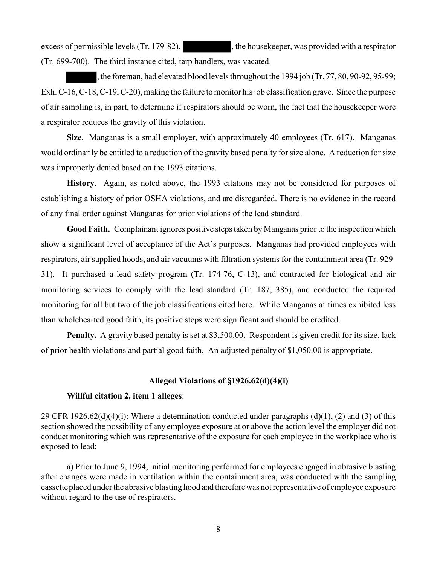excess of permissible levels (Tr. 179-82).  $\blacksquare$ , the housekeeper, was provided with a respirator (Tr. 699-700). The third instance cited, tarp handlers, was vacated.

, the foreman, had elevated blood levels throughout the 1994 job (Tr. 77, 80, 90-92, 95-99; Exh. C-16, C-18, C-19, C-20), making the failure to monitor his job classification grave. Since the purpose of air sampling is, in part, to determine if respirators should be worn, the fact that the housekeeper wore a respirator reduces the gravity of this violation.

**Size**. Manganas is a small employer, with approximately 40 employees (Tr. 617). Manganas would ordinarily be entitled to a reduction of the gravity based penalty for size alone. A reduction for size was improperly denied based on the 1993 citations.

**History**. Again, as noted above, the 1993 citations may not be considered for purposes of establishing a history of prior OSHA violations, and are disregarded. There is no evidence in the record of any final order against Manganas for prior violations of the lead standard.

**Good Faith.** Complainant ignores positive steps taken by Manganas prior to the inspection which show a significant level of acceptance of the Act's purposes. Manganas had provided employees with respirators, air supplied hoods, and air vacuums with filtration systems for the containment area (Tr. 929- 31). It purchased a lead safety program (Tr. 174-76, C-13), and contracted for biological and air monitoring services to comply with the lead standard (Tr. 187, 385), and conducted the required monitoring for all but two of the job classifications cited here. While Manganas at times exhibited less than wholehearted good faith, its positive steps were significant and should be credited.

**Penalty.** A gravity based penalty is set at \$3,500.00. Respondent is given credit for its size. lack of prior health violations and partial good faith. An adjusted penalty of \$1,050.00 is appropriate.

### **Alleged Violations of §1926.62(d)(4)(i)**

### **Willful citation 2, item 1 alleges**:

29 CFR 1926.62(d)(4)(i): Where a determination conducted under paragraphs (d)(1), (2) and (3) of this section showed the possibility of any employee exposure at or above the action level the employer did not conduct monitoring which was representative of the exposure for each employee in the workplace who is exposed to lead:

a) Prior to June 9, 1994, initial monitoring performed for employees engaged in abrasive blasting after changes were made in ventilation within the containment area, was conducted with the sampling cassette placed under the abrasive blasting hood and therefore was not representative of employee exposure without regard to the use of respirators.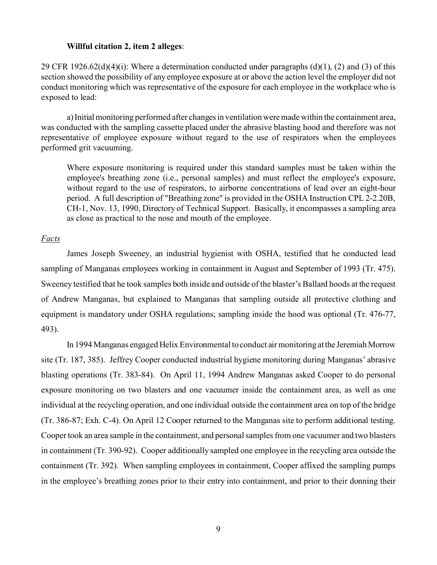#### **Willful citation 2, item 2 alleges**:

29 CFR 1926.62(d)(4)(i): Where a determination conducted under paragraphs (d)(1), (2) and (3) of this section showed the possibility of any employee exposure at or above the action level the employer did not conduct monitoring which was representative of the exposure for each employee in the workplace who is exposed to lead:

a) Initial monitoring performed after changes in ventilation were made within the containment area, was conducted with the sampling cassette placed under the abrasive blasting hood and therefore was not representative of employee exposure without regard to the use of respirators when the employees performed grit vacuuming.

Where exposure monitoring is required under this standard samples must be taken within the employee's breathing zone (i.e., personal samples) and must reflect the employee's exposure, without regard to the use of respirators, to airborne concentrations of lead over an eight-hour period. A full description of "Breathing zone" is provided in the OSHA Instruction CPL 2-2.20B, CH-1, Nov. 13, 1990, Directory of Technical Support. Basically, it encompasses a sampling area as close as practical to the nose and mouth of the employee.

#### *Facts*

James Joseph Sweeney, an industrial hygienist with OSHA, testified that he conducted lead sampling of Manganas employees working in containment in August and September of 1993 (Tr. 475). Sweeney testified that he took samples both inside and outside of the blaster's Ballard hoods at the request of Andrew Manganas, but explained to Manganas that sampling outside all protective clothing and equipment is mandatory under OSHA regulations; sampling inside the hood was optional (Tr. 476-77, 493).

In 1994 Manganas engaged Helix Environmental to conduct air monitoring at the Jeremiah Morrow site (Tr. 187, 385). Jeffrey Cooper conducted industrial hygiene monitoring during Manganas' abrasive blasting operations (Tr. 383-84). On April 11, 1994 Andrew Manganas asked Cooper to do personal exposure monitoring on two blasters and one vacuumer inside the containment area, as well as one individual at the recycling operation, and one individual outside the containment area on top of the bridge (Tr. 386-87; Exh. C-4). On April 12 Cooper returned to the Manganas site to perform additional testing. Cooper took an area sample in the containment, and personal samples from one vacuumer and two blasters in containment (Tr. 390-92). Cooper additionally sampled one employee in the recycling area outside the containment (Tr. 392). When sampling employees in containment, Cooper affixed the sampling pumps in the employee's breathing zones prior to their entry into containment, and prior to their donning their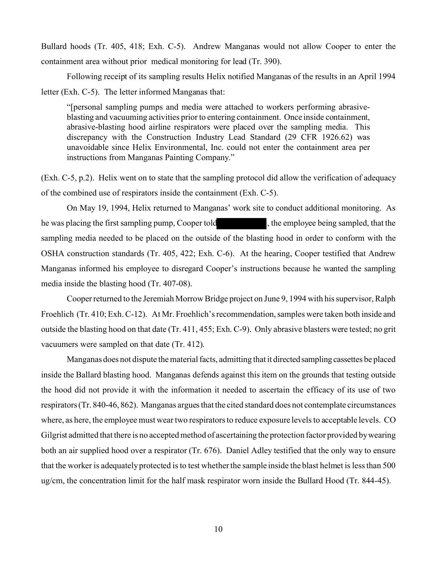Bullard hoods (Tr. 405, 418; Exh. C-5). Andrew Manganas would not allow Cooper to enter the containment area without prior medical monitoring for lead (Tr. 390).

Following receipt of its sampling results Helix notified Manganas of the results in an April 1994 letter (Exh. C-5). The letter informed Manganas that:

"[personal sampling pumps and media were attached to workers performing abrasiveblasting and vacuuming activities prior to entering containment. Once inside containment, abrasive-blasting hood airline respirators were placed over the sampling media. This discrepancy with the Construction Industry Lead Standard (29 CFR 1926.62) was unavoidable since Helix Environmental, Inc. could not enter the containment area per instructions from Manganas Painting Company."

(Exh. C-5, p.2). Helix went on to state that the sampling protocol did allow the verification of adequacy of the combined use of respirators inside the containment (Exh. C-5).

On May 19, 1994, Helix returned to Manganas' work site to conduct additional monitoring. As he was placing the first sampling pump, Cooper told  $\blacksquare$ , the employee being sampled, that the sampling media needed to be placed on the outside of the blasting hood in order to conform with the OSHA construction standards (Tr. 405, 422; Exh. C-6). At the hearing, Cooper testified that Andrew Manganas informed his employee to disregard Cooper's instructions because he wanted the sampling media inside the blasting hood (Tr. 407-08).

Cooper returned to the Jeremiah Morrow Bridge project on June 9, 1994 with his supervisor, Ralph Froehlich (Tr. 410; Exh. C-12). At Mr. Froehlich's recommendation, samples were taken both inside and outside the blasting hood on that date (Tr. 411, 455; Exh. C-9). Only abrasive blasters were tested; no grit vacuumers were sampled on that date (Tr. 412).

Manganas does not dispute the material facts, admitting that it directed sampling cassettes be placed inside the Ballard blasting hood. Manganas defends against this item on the grounds that testing outside the hood did not provide it with the information it needed to ascertain the efficacy of its use of two respirators (Tr. 840-46, 862). Manganas argues that the cited standard does not contemplate circumstances where, as here, the employee must wear two respirators to reduce exposure levels to acceptable levels. CO Gilgrist admitted that there is no accepted method of ascertaining the protection factor provided by wearing both an air supplied hood over a respirator (Tr. 676). Daniel Adley testified that the only way to ensure that the worker is adequately protected is to test whether the sample inside the blast helmet is less than 500 ug/cm, the concentration limit for the half mask respirator worn inside the Bullard Hood (Tr. 844-45).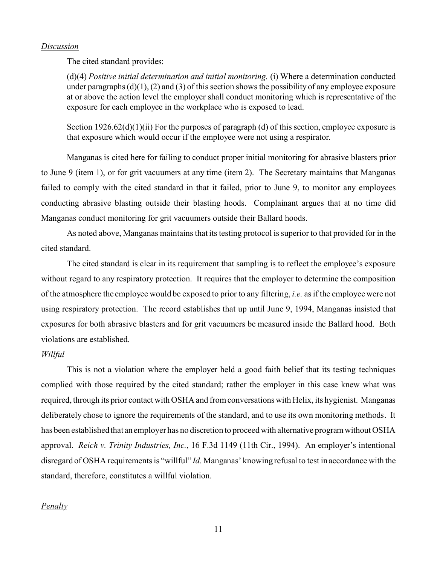### *Discussion*

The cited standard provides:

(d)(4) *Positive initial determination and initial monitoring.* (i) Where a determination conducted under paragraphs  $(d)(1)$ ,  $(2)$  and  $(3)$  of this section shows the possibility of any employee exposure at or above the action level the employer shall conduct monitoring which is representative of the exposure for each employee in the workplace who is exposed to lead.

Section 1926.62(d)(1)(ii) For the purposes of paragraph (d) of this section, employee exposure is that exposure which would occur if the employee were not using a respirator.

Manganas is cited here for failing to conduct proper initial monitoring for abrasive blasters prior to June 9 (item 1), or for grit vacuumers at any time (item 2). The Secretary maintains that Manganas failed to comply with the cited standard in that it failed, prior to June 9, to monitor any employees conducting abrasive blasting outside their blasting hoods. Complainant argues that at no time did Manganas conduct monitoring for grit vacuumers outside their Ballard hoods.

As noted above, Manganas maintains that its testing protocol is superior to that provided for in the cited standard.

The cited standard is clear in its requirement that sampling is to reflect the employee's exposure without regard to any respiratory protection. It requires that the employer to determine the composition of the atmosphere the employee would be exposed to prior to any filtering, *i.e.* as if the employee were not using respiratory protection. The record establishes that up until June 9, 1994, Manganas insisted that exposures for both abrasive blasters and for grit vacuumers be measured inside the Ballard hood. Both violations are established.

## *Willful*

This is not a violation where the employer held a good faith belief that its testing techniques complied with those required by the cited standard; rather the employer in this case knew what was required, through its prior contact with OSHA and from conversations with Helix, its hygienist. Manganas deliberately chose to ignore the requirements of the standard, and to use its own monitoring methods. It has been established that an employer has no discretion to proceed with alternative program without OSHA approval. *Reich v. Trinity Industries, Inc.*, 16 F.3d 1149 (11th Cir., 1994). An employer's intentional disregard of OSHA requirements is "willful" *Id.* Manganas' knowing refusal to test in accordance with the standard, therefore, constitutes a willful violation.

## *Penalty*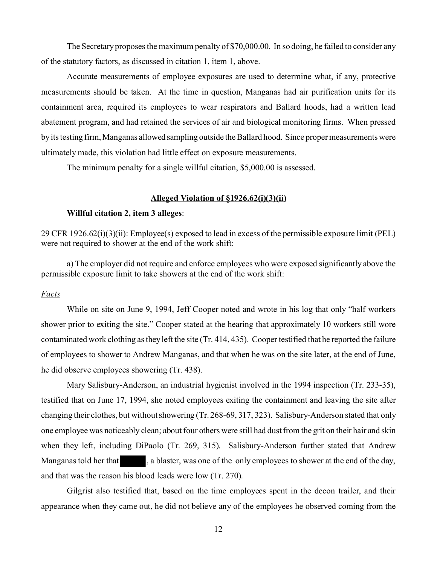The Secretary proposes the maximum penalty of \$70,000.00. In so doing, he failed to consider any of the statutory factors, as discussed in citation 1, item 1, above.

Accurate measurements of employee exposures are used to determine what, if any, protective measurements should be taken. At the time in question, Manganas had air purification units for its containment area, required its employees to wear respirators and Ballard hoods, had a written lead abatement program, and had retained the services of air and biological monitoring firms. When pressed by its testing firm, Manganas allowed sampling outside the Ballard hood. Since proper measurements were ultimately made, this violation had little effect on exposure measurements.

The minimum penalty for a single willful citation, \$5,000.00 is assessed.

### **Alleged Violation of §1926.62(i)(3)(ii)**

### **Willful citation 2, item 3 alleges**:

29 CFR 1926.62(i)(3)(ii): Employee(s) exposed to lead in excess of the permissible exposure limit (PEL) were not required to shower at the end of the work shift:

a) The employer did not require and enforce employees who were exposed significantly above the permissible exposure limit to take showers at the end of the work shift:

## *Facts*

While on site on June 9, 1994, Jeff Cooper noted and wrote in his log that only "half workers shower prior to exiting the site." Cooper stated at the hearing that approximately 10 workers still wore contaminated work clothing as they left the site (Tr. 414, 435). Cooper testified that he reported the failure of employees to shower to Andrew Manganas, and that when he was on the site later, at the end of June, he did observe employees showering (Tr. 438).

Mary Salisbury-Anderson, an industrial hygienist involved in the 1994 inspection (Tr. 233-35), testified that on June 17, 1994, she noted employees exiting the containment and leaving the site after changing their clothes, but without showering (Tr. 268-69, 317, 323). Salisbury-Anderson stated that only one employee was noticeably clean; about four others were still had dust from the grit on their hair and skin when they left, including DiPaolo (Tr. 269, 315). Salisbury-Anderson further stated that Andrew Manganas told her that , a blaster, was one of the only employees to shower at the end of the day, and that was the reason his blood leads were low (Tr. 270).

Gilgrist also testified that, based on the time employees spent in the decon trailer, and their appearance when they came out, he did not believe any of the employees he observed coming from the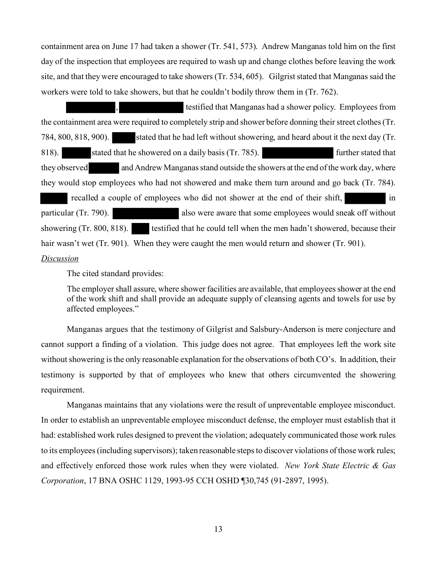containment area on June 17 had taken a shower (Tr. 541, 573). Andrew Manganas told him on the first day of the inspection that employees are required to wash up and change clothes before leaving the work site, and that they were encouraged to take showers (Tr. 534, 605). Gilgrist stated that Manganas said the workers were told to take showers, but that he couldn't bodily throw them in (Tr. 762).

, testified that Manganas had a shower policy. Employees from the containment area were required to completely strip and shower before donning their street clothes (Tr. 784, 800, 818, 900). stated that he had left without showering, and heard about it the next day (Tr. 818). Stated that he showered on a daily basis (Tr. 785). Further stated that they observed and Andrew Manganas stand outside the showers at the end of the work day, where they would stop employees who had not showered and make them turn around and go back (Tr. 784). recalled a couple of employees who did not shower at the end of their shift, in particular (Tr. 790). also were aware that some employees would sneak off without showering (Tr. 800, 818). testified that he could tell when the men hadn't showered, because their hair wasn't wet (Tr. 901). When they were caught the men would return and shower (Tr. 901).

# *Discussion*

The cited standard provides:

The employer shall assure, where shower facilities are available, that employees shower at the end of the work shift and shall provide an adequate supply of cleansing agents and towels for use by affected employees."

Manganas argues that the testimony of Gilgrist and Salsbury-Anderson is mere conjecture and cannot support a finding of a violation. This judge does not agree. That employees left the work site without showering is the only reasonable explanation for the observations of both CO's. In addition, their testimony is supported by that of employees who knew that others circumvented the showering requirement.

Manganas maintains that any violations were the result of unpreventable employee misconduct. In order to establish an unpreventable employee misconduct defense, the employer must establish that it had: established work rules designed to prevent the violation; adequately communicated those work rules to its employees (including supervisors); taken reasonable steps to discover violations of those work rules; and effectively enforced those work rules when they were violated. *New York State Electric & Gas Corporation*, 17 BNA OSHC 1129, 1993-95 CCH OSHD ¶30,745 (91-2897, 1995).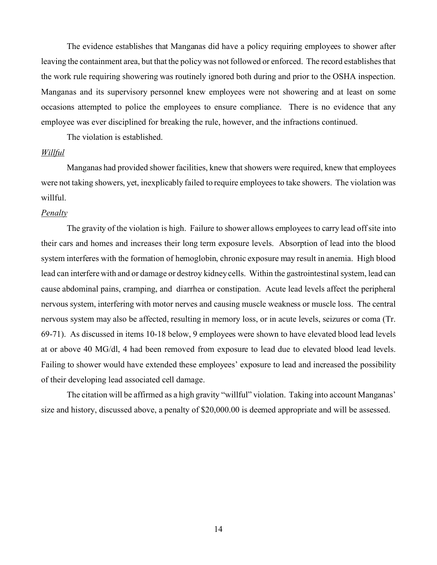The evidence establishes that Manganas did have a policy requiring employees to shower after leaving the containment area, but that the policy was not followed or enforced. The record establishes that the work rule requiring showering was routinely ignored both during and prior to the OSHA inspection. Manganas and its supervisory personnel knew employees were not showering and at least on some occasions attempted to police the employees to ensure compliance. There is no evidence that any employee was ever disciplined for breaking the rule, however, and the infractions continued.

The violation is established.

#### *Willful*

Manganas had provided shower facilities, knew that showers were required, knew that employees were not taking showers, yet, inexplicably failed to require employees to take showers. The violation was willful.

### *Penalty*

The gravity of the violation is high. Failure to shower allows employees to carry lead off site into their cars and homes and increases their long term exposure levels. Absorption of lead into the blood system interferes with the formation of hemoglobin, chronic exposure may result in anemia. High blood lead can interfere with and or damage or destroy kidney cells. Within the gastrointestinal system, lead can cause abdominal pains, cramping, and diarrhea or constipation. Acute lead levels affect the peripheral nervous system, interfering with motor nerves and causing muscle weakness or muscle loss. The central nervous system may also be affected, resulting in memory loss, or in acute levels, seizures or coma (Tr. 69-71). As discussed in items 10-18 below, 9 employees were shown to have elevated blood lead levels at or above 40 MG/dl, 4 had been removed from exposure to lead due to elevated blood lead levels. Failing to shower would have extended these employees' exposure to lead and increased the possibility of their developing lead associated cell damage.

The citation will be affirmed as a high gravity "willful" violation. Taking into account Manganas' size and history, discussed above, a penalty of \$20,000.00 is deemed appropriate and will be assessed.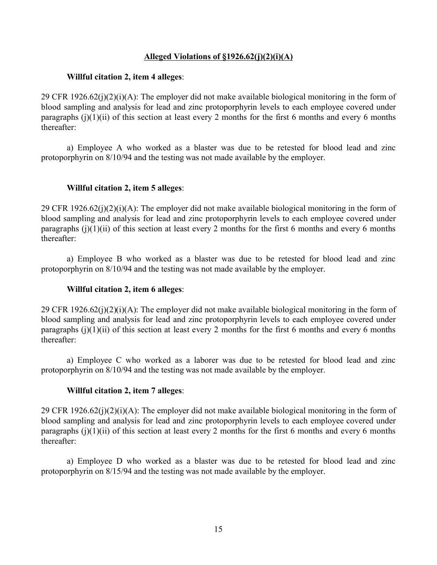# **Alleged Violations of §1926.62(j)(2)(i)(A)**

# **Willful citation 2, item 4 alleges**:

29 CFR 1926.62(j)(2)(i)(A): The employer did not make available biological monitoring in the form of blood sampling and analysis for lead and zinc protoporphyrin levels to each employee covered under paragraphs  $(i)(1)(ii)$  of this section at least every 2 months for the first 6 months and every 6 months thereafter:

a) Employee A who worked as a blaster was due to be retested for blood lead and zinc protoporphyrin on 8/10/94 and the testing was not made available by the employer.

# **Willful citation 2, item 5 alleges**:

29 CFR 1926.62(j)(2)(i)(A): The employer did not make available biological monitoring in the form of blood sampling and analysis for lead and zinc protoporphyrin levels to each employee covered under paragraphs (i)(1)(ii) of this section at least every 2 months for the first 6 months and every 6 months thereafter:

a) Employee B who worked as a blaster was due to be retested for blood lead and zinc protoporphyrin on 8/10/94 and the testing was not made available by the employer.

# **Willful citation 2, item 6 alleges**:

29 CFR 1926.62(j)(2)(i)(A): The employer did not make available biological monitoring in the form of blood sampling and analysis for lead and zinc protoporphyrin levels to each employee covered under paragraphs  $(i)(1)(ii)$  of this section at least every 2 months for the first 6 months and every 6 months thereafter:

a) Employee C who worked as a laborer was due to be retested for blood lead and zinc protoporphyrin on 8/10/94 and the testing was not made available by the employer.

# **Willful citation 2, item 7 alleges**:

29 CFR 1926.62(j)(2)(i)(A): The employer did not make available biological monitoring in the form of blood sampling and analysis for lead and zinc protoporphyrin levels to each employee covered under paragraphs (j)(1)(ii) of this section at least every 2 months for the first 6 months and every 6 months thereafter:

a) Employee D who worked as a blaster was due to be retested for blood lead and zinc protoporphyrin on 8/15/94 and the testing was not made available by the employer.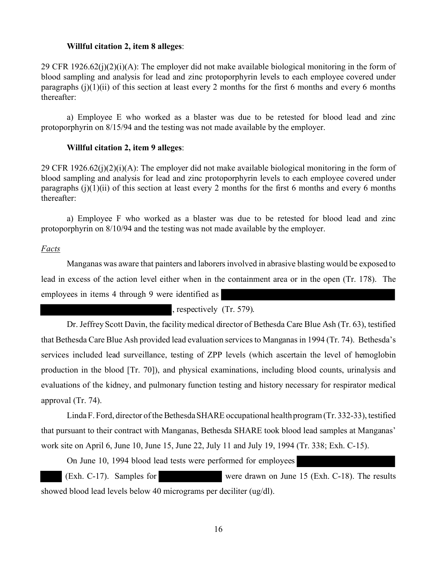#### **Willful citation 2, item 8 alleges**:

29 CFR 1926.62(j)(2)(i)(A): The employer did not make available biological monitoring in the form of blood sampling and analysis for lead and zinc protoporphyrin levels to each employee covered under paragraphs  $(i)(1)(ii)$  of this section at least every 2 months for the first 6 months and every 6 months thereafter:

a) Employee E who worked as a blaster was due to be retested for blood lead and zinc protoporphyrin on 8/15/94 and the testing was not made available by the employer.

#### **Willful citation 2, item 9 alleges**:

29 CFR 1926.62(j)(2)(i)(A): The employer did not make available biological monitoring in the form of blood sampling and analysis for lead and zinc protoporphyrin levels to each employee covered under paragraphs  $(i)(1)(ii)$  of this section at least every 2 months for the first 6 months and every 6 months thereafter:

a) Employee F who worked as a blaster was due to be retested for blood lead and zinc protoporphyrin on 8/10/94 and the testing was not made available by the employer.

## *Facts*

Manganas was aware that painters and laborers involved in abrasive blasting would be exposed to lead in excess of the action level either when in the containment area or in the open (Tr. 178). The employees in items 4 through 9 were identified as

, respectively (Tr. 579).

Dr. Jeffrey Scott Davin, the facility medical director of Bethesda Care Blue Ash (Tr. 63), testified that Bethesda Care Blue Ash provided lead evaluation services to Manganas in 1994 (Tr. 74). Bethesda's services included lead surveillance, testing of ZPP levels (which ascertain the level of hemoglobin production in the blood [Tr. 70]), and physical examinations, including blood counts, urinalysis and evaluations of the kidney, and pulmonary function testing and history necessary for respirator medical approval (Tr. 74).

Linda F. Ford, director of the Bethesda SHARE occupational health program (Tr. 332-33), testified that pursuant to their contract with Manganas, Bethesda SHARE took blood lead samples at Manganas' work site on April 6, June 10, June 15, June 22, July 11 and July 19, 1994 (Tr. 338; Exh. C-15).

On June 10, 1994 blood lead tests were performed for employees

(Exh. C-17). Samples for were drawn on June 15 (Exh. C-18). The results showed blood lead levels below 40 micrograms per deciliter (ug/dl).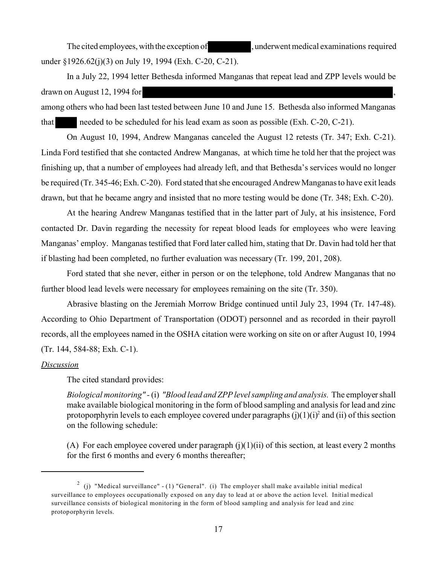The cited employees, with the exception of the subset of detail examinations required under §1926.62(j)(3) on July 19, 1994 (Exh. C-20, C-21).

In a July 22, 1994 letter Bethesda informed Manganas that repeat lead and ZPP levels would be drawn on August 12, 1994 for , among others who had been last tested between June 10 and June 15. Bethesda also informed Manganas

that needed to be scheduled for his lead exam as soon as possible (Exh. C-20, C-21).

On August 10, 1994, Andrew Manganas canceled the August 12 retests (Tr. 347; Exh. C-21). Linda Ford testified that she contacted Andrew Manganas, at which time he told her that the project was finishing up, that a number of employees had already left, and that Bethesda's services would no longer be required (Tr. 345-46; Exh. C-20). Ford stated that she encouraged Andrew Manganas to have exit leads drawn, but that he became angry and insisted that no more testing would be done (Tr. 348; Exh. C-20).

At the hearing Andrew Manganas testified that in the latter part of July, at his insistence, Ford contacted Dr. Davin regarding the necessity for repeat blood leads for employees who were leaving Manganas' employ. Manganas testified that Ford later called him, stating that Dr. Davin had told her that if blasting had been completed, no further evaluation was necessary (Tr. 199, 201, 208).

Ford stated that she never, either in person or on the telephone, told Andrew Manganas that no further blood lead levels were necessary for employees remaining on the site (Tr. 350).

Abrasive blasting on the Jeremiah Morrow Bridge continued until July 23, 1994 (Tr. 147-48). According to Ohio Department of Transportation (ODOT) personnel and as recorded in their payroll records, all the employees named in the OSHA citation were working on site on or after August 10, 1994 (Tr. 144, 584-88; Exh. C-1).

## *Discussion*

The cited standard provides:

*Biological monitoring" -* (i) *"Blood lead and ZPP level sampling and analysis.* The employer shall make available biological monitoring in the form of blood sampling and analysis for lead and zinc protoporphyrin levels to each employee covered under paragraphs  $(j)(1)(i)^2$  and  $(ii)$  of this section on the following schedule:

(A) For each employee covered under paragraph  $(j)(1)(ii)$  of this section, at least every 2 months for the first 6 months and every 6 months thereafter;

<sup>&</sup>lt;sup>2</sup> (j) "Medical surveillance" - (1) "General". (i) The employer shall make available initial medical surveillance to employees occupationally exposed on any day to lead at or above the action level. Initial medical surveillance consists of biological monitoring in the form of blood sampling and analysis for lead and zinc protoporphyrin levels.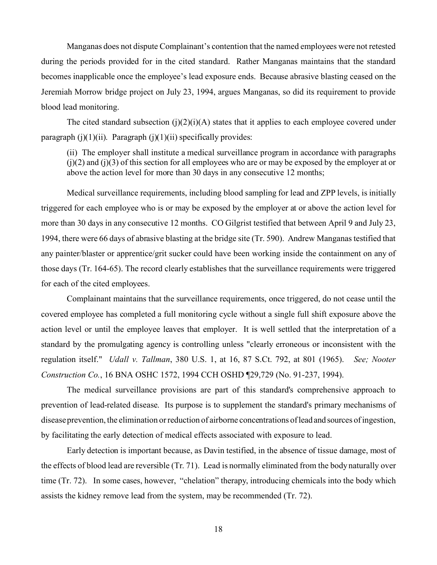Manganas does not dispute Complainant's contention that the named employees were not retested during the periods provided for in the cited standard. Rather Manganas maintains that the standard becomes inapplicable once the employee's lead exposure ends. Because abrasive blasting ceased on the Jeremiah Morrow bridge project on July 23, 1994, argues Manganas, so did its requirement to provide blood lead monitoring.

The cited standard subsection  $(j)(2)(i)(A)$  states that it applies to each employee covered under paragraph  $(j)(1)(ii)$ . Paragraph  $(j)(1)(ii)$  specifically provides:

(ii) The employer shall institute a medical surveillance program in accordance with paragraphs  $(j)(2)$  and  $(j)(3)$  of this section for all employees who are or may be exposed by the employer at or above the action level for more than 30 days in any consecutive 12 months;

Medical surveillance requirements, including blood sampling for lead and ZPP levels, is initially triggered for each employee who is or may be exposed by the employer at or above the action level for more than 30 days in any consecutive 12 months. CO Gilgrist testified that between April 9 and July 23, 1994, there were 66 days of abrasive blasting at the bridge site (Tr. 590). Andrew Manganas testified that any painter/blaster or apprentice/grit sucker could have been working inside the containment on any of those days (Tr. 164-65). The record clearly establishes that the surveillance requirements were triggered for each of the cited employees.

Complainant maintains that the surveillance requirements, once triggered, do not cease until the covered employee has completed a full monitoring cycle without a single full shift exposure above the action level or until the employee leaves that employer. It is well settled that the interpretation of a standard by the promulgating agency is controlling unless "clearly erroneous or inconsistent with the regulation itself." *Udall v. Tallman*, 380 U.S. 1, at 16, 87 S.Ct. 792, at 801 (1965). *See; Nooter Construction Co.*, 16 BNA OSHC 1572, 1994 CCH OSHD ¶29,729 (No. 91-237, 1994).

The medical surveillance provisions are part of this standard's comprehensive approach to prevention of lead-related disease. Its purpose is to supplement the standard's primary mechanisms of disease prevention, the elimination or reduction of airborne concentrations of lead and sources of ingestion, by facilitating the early detection of medical effects associated with exposure to lead.

Early detection is important because, as Davin testified, in the absence of tissue damage, most of the effects of blood lead are reversible (Tr. 71). Lead is normally eliminated from the body naturally over time (Tr. 72). In some cases, however, "chelation" therapy, introducing chemicals into the body which assists the kidney remove lead from the system, may be recommended (Tr. 72).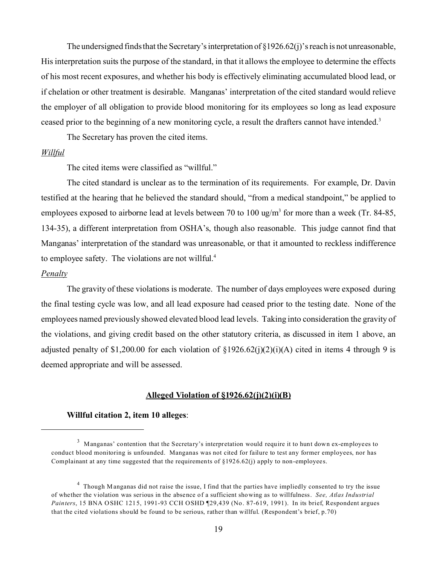The undersigned finds that the Secretary's interpretation of  $\S1926.62(i)$ 's reach is not unreasonable, His interpretation suits the purpose of the standard, in that it allows the employee to determine the effects of his most recent exposures, and whether his body is effectively eliminating accumulated blood lead, or if chelation or other treatment is desirable. Manganas' interpretation of the cited standard would relieve the employer of all obligation to provide blood monitoring for its employees so long as lead exposure ceased prior to the beginning of a new monitoring cycle, a result the drafters cannot have intended.<sup>3</sup>

The Secretary has proven the cited items.

### *Willful*

The cited items were classified as "willful."

The cited standard is unclear as to the termination of its requirements. For example, Dr. Davin testified at the hearing that he believed the standard should, "from a medical standpoint," be applied to employees exposed to airborne lead at levels between 70 to 100 ug/m<sup>3</sup> for more than a week (Tr. 84-85, 134-35), a different interpretation from OSHA's, though also reasonable. This judge cannot find that Manganas' interpretation of the standard was unreasonable, or that it amounted to reckless indifference to employee safety. The violations are not willful.<sup>4</sup>

#### *Penalty*

The gravity of these violations is moderate. The number of days employees were exposed during the final testing cycle was low, and all lead exposure had ceased prior to the testing date. None of the employees named previously showed elevated blood lead levels. Taking into consideration the gravity of the violations, and giving credit based on the other statutory criteria, as discussed in item 1 above, an adjusted penalty of \$1,200.00 for each violation of  $\S1926.62(j)(2)(i)(A)$  cited in items 4 through 9 is deemed appropriate and will be assessed.

#### **Alleged Violation of §1926.62(j)(2)(i)(B)**

#### **Willful citation 2, item 10 alleges**:

<sup>&</sup>lt;sup>3</sup> Manganas' contention that the Secretary's interpretation would require it to hunt down ex-employees to conduct blood monitoring is unfounded. Manganas was not cited for failure to test any former employees, nor has Complainant at any time suggested that the requirements of §1926.62(j) apply to non-employees.

<sup>&</sup>lt;sup>4</sup> Though Manganas did not raise the issue, I find that the parties have impliedly consented to try the issue of whether the violation was serious in the absence of a sufficient showing as to willfulness. *See, Atlas Industrial Painters*, 15 BNA OSHC 1215, 1991-93 CCH OSHD ¶29,439 (No. 87-619, 1991). In its brief, Respondent argues that the cited violations should be found to be serious, rather than willful. (Respondent's brief, p.70)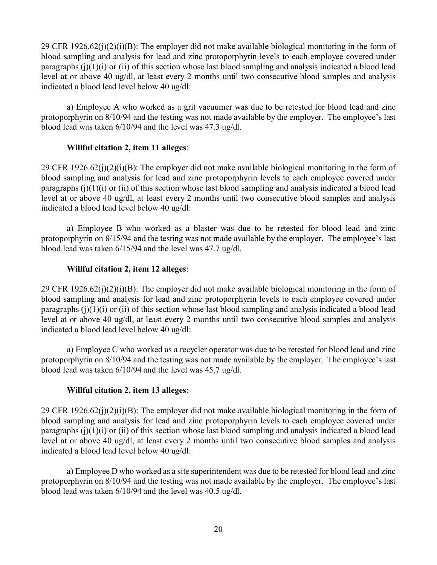29 CFR 1926.62(j)(2)(i)(B): The employer did not make available biological monitoring in the form of blood sampling and analysis for lead and zinc protoporphyrin levels to each employee covered under paragraphs  $(i)(1)(i)$  or  $(ii)$  of this section whose last blood sampling and analysis indicated a blood lead level at or above 40 ug/dl, at least every 2 months until two consecutive blood samples and analysis indicated a blood lead level below 40 ug/dl:

a) Employee A who worked as a grit vacuumer was due to be retested for blood lead and zinc protoporphyrin on 8/10/94 and the testing was not made available by the employer. The employee's last blood lead was taken 6/10/94 and the level was 47.3 ug/dl.

# **Willful citation 2, item 11 alleges**:

29 CFR 1926.62(j)(2)(i)(B): The employer did not make available biological monitoring in the form of blood sampling and analysis for lead and zinc protoporphyrin levels to each employee covered under paragraphs  $(i)(1)(i)$  or  $(ii)$  of this section whose last blood sampling and analysis indicated a blood lead level at or above 40 ug/dl, at least every 2 months until two consecutive blood samples and analysis indicated a blood lead level below 40 ug/dl:

a) Employee B who worked as a blaster was due to be retested for blood lead and zinc protoporphyrin on 8/15/94 and the testing was not made available by the employer. The employee's last blood lead was taken 6/15/94 and the level was 47.7 ug/dl.

# **Willful citation 2, item 12 alleges**:

29 CFR 1926.62(j)(2)(i)(B): The employer did not make available biological monitoring in the form of blood sampling and analysis for lead and zinc protoporphyrin levels to each employee covered under paragraphs  $(i)(1)(i)$  or  $(ii)$  of this section whose last blood sampling and analysis indicated a blood lead level at or above 40 ug/dl, at least every 2 months until two consecutive blood samples and analysis indicated a blood lead level below 40 ug/dl:

a) Employee C who worked as a recycler operator was due to be retested for blood lead and zinc protoporphyrin on 8/10/94 and the testing was not made available by the employer. The employee's last blood lead was taken 6/10/94 and the level was 45.7 ug/dl.

# **Willful citation 2, item 13 alleges**:

29 CFR 1926.62(j)(2)(i)(B): The employer did not make available biological monitoring in the form of blood sampling and analysis for lead and zinc protoporphyrin levels to each employee covered under paragraphs  $(i)(1)(i)$  or  $(ii)$  of this section whose last blood sampling and analysis indicated a blood lead level at or above 40 ug/dl, at least every 2 months until two consecutive blood samples and analysis indicated a blood lead level below 40 ug/dl:

a) Employee D who worked as a site superintendent was due to be retested for blood lead and zinc protoporphyrin on 8/10/94 and the testing was not made available by the employer. The employee's last blood lead was taken 6/10/94 and the level was 40.5 ug/dl.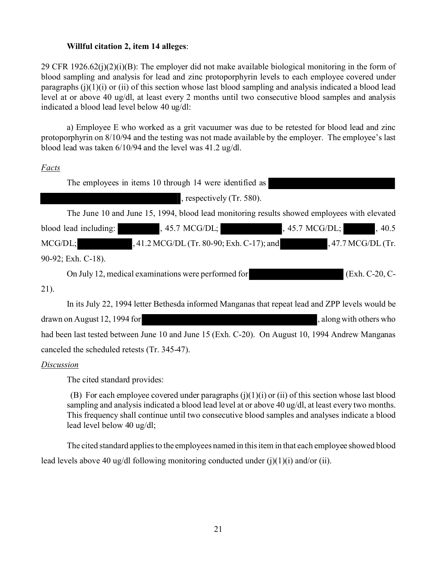# **Willful citation 2, item 14 alleges**:

29 CFR 1926.62(j)(2)(i)(B): The employer did not make available biological monitoring in the form of blood sampling and analysis for lead and zinc protoporphyrin levels to each employee covered under paragraphs  $(i)(1)(i)$  or  $(ii)$  of this section whose last blood sampling and analysis indicated a blood lead level at or above 40 ug/dl, at least every 2 months until two consecutive blood samples and analysis indicated a blood lead level below 40 ug/dl:

a) Employee E who worked as a grit vacuumer was due to be retested for blood lead and zinc protoporphyrin on 8/10/94 and the testing was not made available by the employer. The employee's last blood lead was taken 6/10/94 and the level was 41.2 ug/dl.

# *Facts*

|                                                                                             | The employees in items 10 through 14 were identified as |                     |       |
|---------------------------------------------------------------------------------------------|---------------------------------------------------------|---------------------|-------|
|                                                                                             | , respectively $(Tr. 580)$ .                            |                     |       |
| The June 10 and June 15, 1994, blood lead monitoring results showed employees with elevated |                                                         |                     |       |
| blood lead including:                                                                       | , 45.7 MCG/DL;                                          | , 45.7 MCG/DL;      | ,40.5 |
| MCG/DL;                                                                                     | , 41.2 MCG/DL (Tr. 80-90; Exh. C-17); and               | $,47.7$ MCG/DL (Tr. |       |
| 90-92; Exh. C-18).                                                                          |                                                         |                     |       |
| On July 12, medical examinations were performed for                                         | $(Exh. C-20, C-$                                        |                     |       |
| 21)                                                                                         |                                                         |                     |       |

21).

In its July 22, 1994 letter Bethesda informed Manganas that repeat lead and ZPP levels would be drawn on August 12, 1994 for  $\blacksquare$ had been last tested between June 10 and June 15 (Exh. C-20). On August 10, 1994 Andrew Manganas canceled the scheduled retests (Tr. 345-47).

# *Discussion*

The cited standard provides:

(B) For each employee covered under paragraphs  $(j)(1)(i)$  or  $(ii)$  of this section whose last blood sampling and analysis indicated a blood lead level at or above 40 ug/dl, at least every two months. This frequency shall continue until two consecutive blood samples and analyses indicate a blood lead level below 40 ug/dl;

The cited standard applies to the employees named in this item in that each employee showed blood lead levels above 40 ug/dl following monitoring conducted under (j)(1)(i) and/or (ii).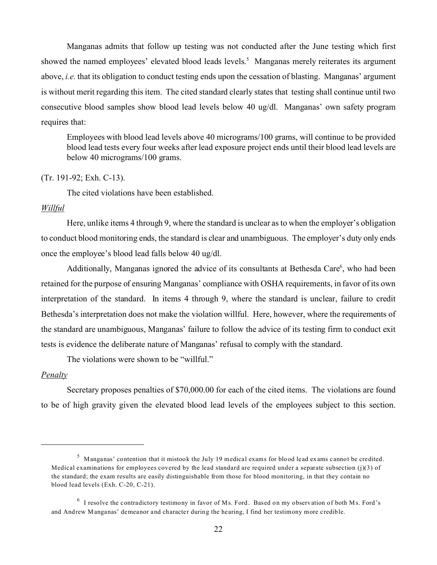Manganas admits that follow up testing was not conducted after the June testing which first showed the named employees' elevated blood leads levels. 5 Manganas merely reiterates its argument above, *i.e.* that its obligation to conduct testing ends upon the cessation of blasting. Manganas' argument is without merit regarding this item. The cited standard clearly states that testing shall continue until two consecutive blood samples show blood lead levels below 40 ug/dl. Manganas' own safety program requires that:

Employees with blood lead levels above 40 micrograms/100 grams, will continue to be provided blood lead tests every four weeks after lead exposure project ends until their blood lead levels are below 40 micrograms/100 grams.

### (Tr. 191-92; Exh. C-13).

The cited violations have been established.

## *Willful*

Here, unlike items 4 through 9, where the standard is unclear as to when the employer's obligation to conduct blood monitoring ends, the standard is clear and unambiguous. The employer's duty only ends once the employee's blood lead falls below 40 ug/dl.

Additionally, Manganas ignored the advice of its consultants at Bethesda Care<sup>6</sup>, who had been retained for the purpose of ensuring Manganas' compliance with OSHA requirements, in favor of its own interpretation of the standard. In items 4 through 9, where the standard is unclear, failure to credit Bethesda's interpretation does not make the violation willful. Here, however, where the requirements of the standard are unambiguous, Manganas' failure to follow the advice of its testing firm to conduct exit tests is evidence the deliberate nature of Manganas' refusal to comply with the standard.

The violations were shown to be "willful."

#### *Penalty*

Secretary proposes penalties of \$70,000.00 for each of the cited items. The violations are found to be of high gravity given the elevated blood lead levels of the employees subject to this section.

<sup>5</sup> Manganas' contention that it mistook the July 19 medical exams for blood lead exams cannot be credited. Medical examinations for employees covered by the lead standard are required under a separate subsection  $(j)(3)$  of the standard; the exam results are easily distinguishable from those for blood monitoring, in that they contain no blood lead levels (Exh. C-20, C-21).

 $6$  I resolve the contradictory testimony in favor of Ms. Ford. Based on my observation of both Ms. Ford's and Andrew Manganas' demeanor and character during the hearing, I find her testimony more credible.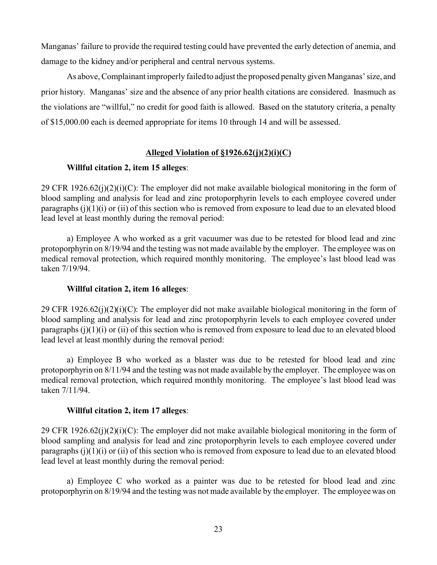Manganas' failure to provide the required testing could have prevented the early detection of anemia, and damage to the kidney and/or peripheral and central nervous systems.

As above, Complainant improperly failed to adjust the proposed penalty given Manganas' size, and prior history. Manganas' size and the absence of any prior health citations are considered. Inasmuch as the violations are "willful," no credit for good faith is allowed. Based on the statutory criteria, a penalty of \$15,000.00 each is deemed appropriate for items 10 through 14 and will be assessed.

# **Alleged Violation of §1926.62(j)(2)(i)(C)**

# **Willful citation 2, item 15 alleges**:

29 CFR 1926.62(j)(2)(i)(C): The employer did not make available biological monitoring in the form of blood sampling and analysis for lead and zinc protoporphyrin levels to each employee covered under paragraphs  $(j)(1)(i)$  or  $(ii)$  of this section who is removed from exposure to lead due to an elevated blood lead level at least monthly during the removal period:

a) Employee A who worked as a grit vacuumer was due to be retested for blood lead and zinc protoporphyrin on 8/19/94 and the testing was not made available by the employer. The employee was on medical removal protection, which required monthly monitoring. The employee's last blood lead was taken 7/19/94.

# **Willful citation 2, item 16 alleges**:

29 CFR 1926.62(j)(2)(i)(C): The employer did not make available biological monitoring in the form of blood sampling and analysis for lead and zinc protoporphyrin levels to each employee covered under paragraphs  $(j)(1)(i)$  or  $(ii)$  of this section who is removed from exposure to lead due to an elevated blood lead level at least monthly during the removal period:

a) Employee B who worked as a blaster was due to be retested for blood lead and zinc protoporphyrin on 8/11/94 and the testing was not made available by the employer. The employee was on medical removal protection, which required monthly monitoring. The employee's last blood lead was taken 7/11/94.

# **Willful citation 2, item 17 alleges**:

29 CFR 1926.62(j)(2)(i)(C): The employer did not make available biological monitoring in the form of blood sampling and analysis for lead and zinc protoporphyrin levels to each employee covered under paragraphs  $(j)(1)(i)$  or  $(ii)$  of this section who is removed from exposure to lead due to an elevated blood lead level at least monthly during the removal period:

a) Employee C who worked as a painter was due to be retested for blood lead and zinc protoporphyrin on 8/19/94 and the testing was not made available by the employer. The employee was on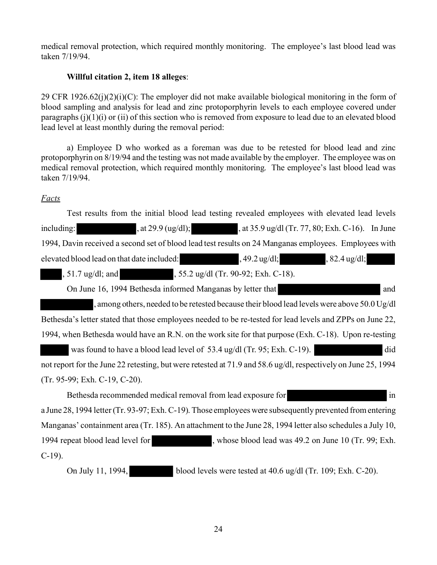medical removal protection, which required monthly monitoring. The employee's last blood lead was taken 7/19/94.

# **Willful citation 2, item 18 alleges**:

29 CFR 1926.62(j)(2)(i)(C): The employer did not make available biological monitoring in the form of blood sampling and analysis for lead and zinc protoporphyrin levels to each employee covered under paragraphs  $(i)(1)(i)$  or  $(ii)$  of this section who is removed from exposure to lead due to an elevated blood lead level at least monthly during the removal period:

a) Employee D who worked as a foreman was due to be retested for blood lead and zinc protoporphyrin on 8/19/94 and the testing was not made available by the employer. The employee was on medical removal protection, which required monthly monitoring. The employee's last blood lead was taken 7/19/94.

# *Facts*

including:  $\qquad \qquad$ , at 29.9 (ug/dl);  $\qquad \qquad$ , at 35.9 ug/dl (Tr. 77, 80; Exh. C-16). In June Test results from the initial blood lead testing revealed employees with elevated lead levels 1994, Davin received a second set of blood lead test results on 24 Manganas employees. Employees with elevated blood lead on that date included: , 49.2 ug/dl; , 82.4 ug/dl; , 51.7 ug/dl; and , 55.2 ug/dl (Tr. 90-92; Exh. C-18). On June 16, 1994 Bethesda informed Manganas by letter that and and , among others, needed to be retested because their blood lead levels were above 50.0 Ug/dl Bethesda's letter stated that those employees needed to be re-tested for lead levels and ZPPs on June 22, 1994, when Bethesda would have an R.N. on the work site for that purpose (Exh. C-18). Upon re-testing was found to have a blood lead level of 53.4 ug/dl (Tr. 95; Exh. C-19). did not report for the June 22 retesting, but were retested at 71.9 and 58.6 ug/dl, respectively on June 25, 1994 (Tr. 95-99; Exh. C-19, C-20).

Bethesda recommended medical removal from lead exposure for in a June 28, 1994 letter (Tr. 93-97; Exh. C-19). Those employees were subsequently prevented from entering Manganas' containment area (Tr. 185). An attachment to the June 28, 1994 letter also schedules a July 10, 1994 repeat blood lead level for , whose blood lead was 49.2 on June 10 (Tr. 99; Exh. C-19).

On July 11, 1994, blood levels were tested at 40.6 ug/dl (Tr. 109; Exh. C-20).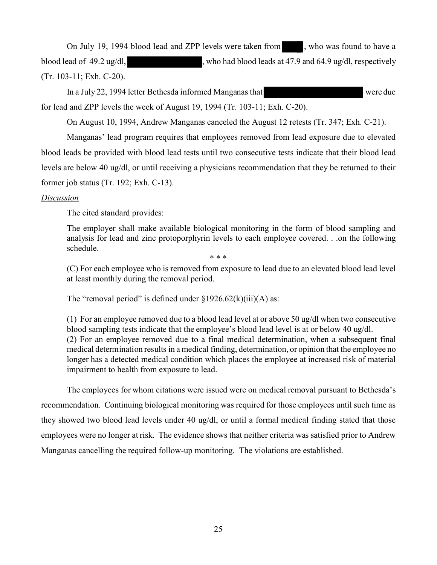On July 19, 1994 blood lead and ZPP levels were taken from , who was found to have a blood lead of 49.2 ug/dl,  $\mu$ , who had blood leads at 47.9 and 64.9 ug/dl, respectively (Tr. 103-11; Exh. C-20).

In a July 22, 1994 letter Bethesda informed Manganas that were due for lead and ZPP levels the week of August 19, 1994 (Tr. 103-11; Exh. C-20).

On August 10, 1994, Andrew Manganas canceled the August 12 retests (Tr. 347; Exh. C-21).

Manganas' lead program requires that employees removed from lead exposure due to elevated blood leads be provided with blood lead tests until two consecutive tests indicate that their blood lead levels are below 40 ug/dl, or until receiving a physicians recommendation that they be returned to their former job status (Tr. 192; Exh. C-13).

## *Discussion*

The cited standard provides:

The employer shall make available biological monitoring in the form of blood sampling and analysis for lead and zinc protoporphyrin levels to each employee covered. . .on the following schedule.

\* \* \*

(C) For each employee who is removed from exposure to lead due to an elevated blood lead level at least monthly during the removal period.

The "removal period" is defined under  $\S 1926.62(k)(iii)(A)$  as:

(1) For an employee removed due to a blood lead level at or above 50 ug/dl when two consecutive blood sampling tests indicate that the employee's blood lead level is at or below 40 ug/dl. (2) For an employee removed due to a final medical determination, when a subsequent final medical determination results in a medical finding, determination, or opinion that the employee no longer has a detected medical condition which places the employee at increased risk of material impairment to health from exposure to lead.

The employees for whom citations were issued were on medical removal pursuant to Bethesda's recommendation. Continuing biological monitoring was required for those employees until such time as they showed two blood lead levels under 40 ug/dl, or until a formal medical finding stated that those employees were no longer at risk. The evidence shows that neither criteria was satisfied prior to Andrew Manganas cancelling the required follow-up monitoring. The violations are established.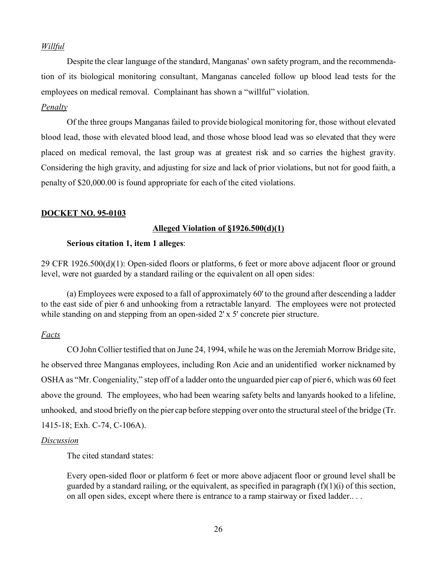# *Willful*

Despite the clear language of the standard, Manganas' own safety program, and the recommendation of its biological monitoring consultant, Manganas canceled follow up blood lead tests for the employees on medical removal. Complainant has shown a "willful" violation.

## *Penalty*

Of the three groups Manganas failed to provide biological monitoring for, those without elevated blood lead, those with elevated blood lead, and those whose blood lead was so elevated that they were placed on medical removal, the last group was at greatest risk and so carries the highest gravity. Considering the high gravity, and adjusting for size and lack of prior violations, but not for good faith, a penalty of \$20,000.00 is found appropriate for each of the cited violations.

## **DOCKET NO. 95-0103**

# **Alleged Violation of §1926.500(d)(1)**

## **Serious citation 1, item 1 alleges**:

29 CFR 1926.500(d)(1): Open-sided floors or platforms, 6 feet or more above adjacent floor or ground level, were not guarded by a standard railing or the equivalent on all open sides:

(a) Employees were exposed to a fall of approximately 60' to the ground after descending a ladder to the east side of pier 6 and unhooking from a retractable lanyard. The employees were not protected while standing on and stepping from an open-sided 2' x 5' concrete pier structure.

# *Facts*

CO John Collier testified that on June 24, 1994, while he was on the Jeremiah Morrow Bridge site, he observed three Manganas employees, including Ron Acie and an unidentified worker nicknamed by OSHA as "Mr. Congeniality," step off of a ladder onto the unguarded pier cap of pier 6, which was 60 feet above the ground. The employees, who had been wearing safety belts and lanyards hooked to a lifeline, unhooked, and stood briefly on the pier cap before stepping over onto the structural steel of the bridge (Tr. 1415-18; Exh. C-74, C-106A).

### *Discussion*

The cited standard states:

Every open-sided floor or platform 6 feet or more above adjacent floor or ground level shall be guarded by a standard railing, or the equivalent, as specified in paragraph  $(f)(1)(i)$  of this section, on all open sides, except where there is entrance to a ramp stairway or fixed ladder.. . .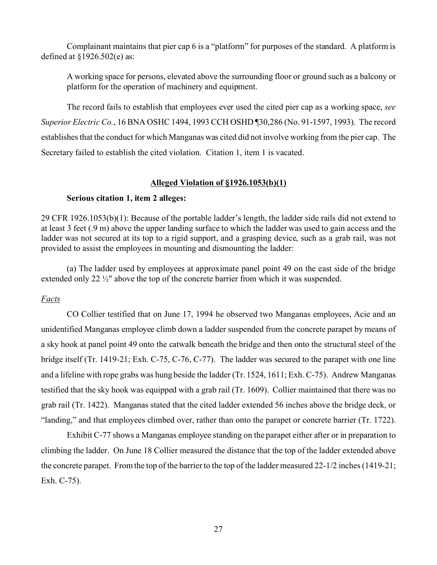Complainant maintains that pier cap 6 is a "platform" for purposes of the standard. A platform is defined at §1926.502(e) as:

A working space for persons, elevated above the surrounding floor or ground such as a balcony or platform for the operation of machinery and equipment.

The record fails to establish that employees ever used the cited pier cap as a working space, *see Superior Electric Co.*, 16 BNA OSHC 1494, 1993 CCH OSHD ¶30,286 (No. 91-1597, 1993). The record establishes that the conduct for which Manganas was cited did not involve working from the pier cap. The Secretary failed to establish the cited violation. Citation 1, item 1 is vacated.

# **Alleged Violation of §1926.1053(b)(1)**

# **Serious citation 1, item 2 alleges:**

29 CFR 1926.1053(b)(1): Because of the portable ladder's length, the ladder side rails did not extend to at least 3 feet (.9 m) above the upper landing surface to which the ladder was used to gain access and the ladder was not secured at its top to a rigid support, and a grasping device, such as a grab rail, was not provided to assist the employees in mounting and dismounting the ladder:

(a) The ladder used by employees at approximate panel point 49 on the east side of the bridge extended only 22 ½" above the top of the concrete barrier from which it was suspended.

# *Facts*

CO Collier testified that on June 17, 1994 he observed two Manganas employees, Acie and an unidentified Manganas employee climb down a ladder suspended from the concrete parapet by means of a sky hook at panel point 49 onto the catwalk beneath the bridge and then onto the structural steel of the bridge itself (Tr. 1419-21; Exh. C-75, C-76, C-77). The ladder was secured to the parapet with one line and a lifeline with rope grabs was hung beside the ladder (Tr. 1524, 1611; Exh. C-75). Andrew Manganas testified that the sky hook was equipped with a grab rail (Tr. 1609). Collier maintained that there was no grab rail (Tr. 1422). Manganas stated that the cited ladder extended 56 inches above the bridge deck, or "landing," and that employees climbed over, rather than onto the parapet or concrete barrier (Tr. 1722).

Exhibit C-77 shows a Manganas employee standing on the parapet either after or in preparation to climbing the ladder. On June 18 Collier measured the distance that the top of the ladder extended above the concrete parapet. From the top of the barrier to the top of the ladder measured 22-1/2 inches (1419-21; Exh. C-75).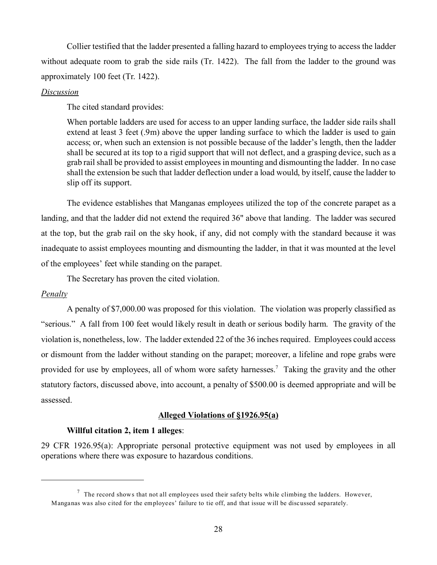Collier testified that the ladder presented a falling hazard to employees trying to access the ladder without adequate room to grab the side rails (Tr. 1422). The fall from the ladder to the ground was approximately 100 feet (Tr. 1422).

### *Discussion*

The cited standard provides:

When portable ladders are used for access to an upper landing surface, the ladder side rails shall extend at least 3 feet (.9m) above the upper landing surface to which the ladder is used to gain access; or, when such an extension is not possible because of the ladder's length, then the ladder shall be secured at its top to a rigid support that will not deflect, and a grasping device, such as a grab rail shall be provided to assist employees in mounting and dismounting the ladder. In no case shall the extension be such that ladder deflection under a load would, by itself, cause the ladder to slip off its support.

The evidence establishes that Manganas employees utilized the top of the concrete parapet as a landing, and that the ladder did not extend the required 36" above that landing. The ladder was secured at the top, but the grab rail on the sky hook, if any, did not comply with the standard because it was inadequate to assist employees mounting and dismounting the ladder, in that it was mounted at the level of the employees' feet while standing on the parapet.

The Secretary has proven the cited violation.

# *Penalty*

A penalty of \$7,000.00 was proposed for this violation. The violation was properly classified as "serious." A fall from 100 feet would likely result in death or serious bodily harm. The gravity of the violation is, nonetheless, low. The ladder extended 22 of the 36 inches required. Employees could access or dismount from the ladder without standing on the parapet; moreover, a lifeline and rope grabs were provided for use by employees, all of whom wore safety harnesses.<sup>7</sup> Taking the gravity and the other statutory factors, discussed above, into account, a penalty of \$500.00 is deemed appropriate and will be assessed.

# **Alleged Violations of §1926.95(a)**

# **Willful citation 2, item 1 alleges**:

29 CFR 1926.95(a): Appropriate personal protective equipment was not used by employees in all operations where there was exposure to hazardous conditions.

 $<sup>7</sup>$  The record shows that not all employees used their safety belts while climbing the ladders. However,</sup> Manganas was also cited for the employees' failure to tie off, and that issue will be discussed separately.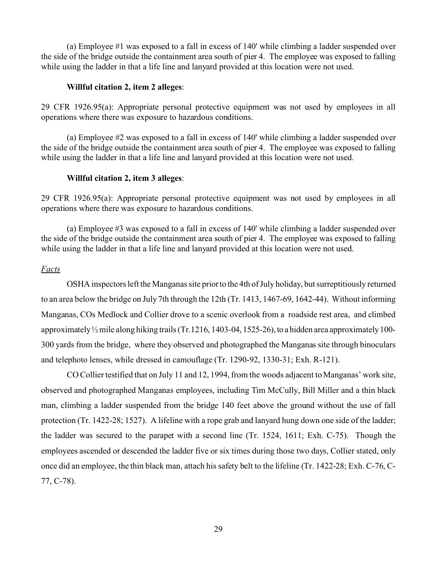(a) Employee #1 was exposed to a fall in excess of 140' while climbing a ladder suspended over the side of the bridge outside the containment area south of pier 4. The employee was exposed to falling while using the ladder in that a life line and lanyard provided at this location were not used.

### **Willful citation 2, item 2 alleges**:

29 CFR 1926.95(a): Appropriate personal protective equipment was not used by employees in all operations where there was exposure to hazardous conditions.

(a) Employee #2 was exposed to a fall in excess of 140' while climbing a ladder suspended over the side of the bridge outside the containment area south of pier 4. The employee was exposed to falling while using the ladder in that a life line and lanyard provided at this location were not used.

### **Willful citation 2, item 3 alleges**:

29 CFR 1926.95(a): Appropriate personal protective equipment was not used by employees in all operations where there was exposure to hazardous conditions.

(a) Employee #3 was exposed to a fall in excess of 140' while climbing a ladder suspended over the side of the bridge outside the containment area south of pier 4. The employee was exposed to falling while using the ladder in that a life line and lanyard provided at this location were not used.

## *Facts*

OSHA inspectors left the Manganas site prior to the 4th of July holiday, but surreptitiously returned to an area below the bridge on July 7th through the 12th (Tr. 1413, 1467-69, 1642-44). Without informing Manganas, COs Medlock and Collier drove to a scenic overlook from a roadside rest area, and climbed approximately ½ mile along hiking trails (Tr.1216, 1403-04, 1525-26), to a hidden area approximately 100- 300 yards from the bridge, where they observed and photographed the Manganas site through binoculars and telephoto lenses, while dressed in camouflage (Tr. 1290-92, 1330-31; Exh. R-121).

CO Collier testified that on July 11 and 12, 1994, from the woods adjacent to Manganas' work site, observed and photographed Manganas employees, including Tim McCully, Bill Miller and a thin black man, climbing a ladder suspended from the bridge 140 feet above the ground without the use of fall protection (Tr. 1422-28; 1527). A lifeline with a rope grab and lanyard hung down one side of the ladder; the ladder was secured to the parapet with a second line (Tr. 1524, 1611; Exh. C-75). Though the employees ascended or descended the ladder five or six times during those two days, Collier stated, only once did an employee, the thin black man, attach his safety belt to the lifeline (Tr. 1422-28; Exh. C-76, C-77, C-78).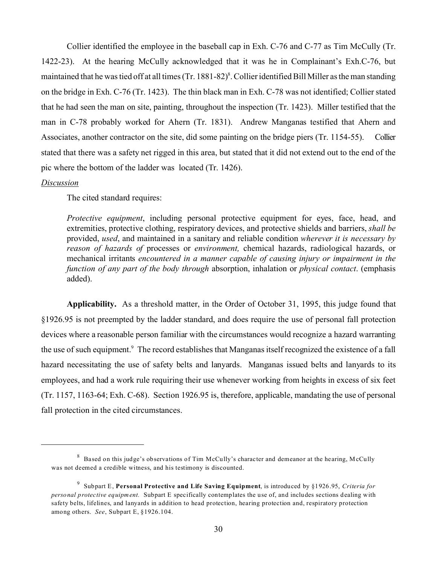Collier identified the employee in the baseball cap in Exh. C-76 and C-77 as Tim McCully (Tr. 1422-23). At the hearing McCully acknowledged that it was he in Complainant's Exh.C-76, but maintained that he was tied off at all times (Tr. 1881-82)<sup>8</sup>. Collier identified Bill Miller as the man standing on the bridge in Exh. C-76 (Tr. 1423). The thin black man in Exh. C-78 was not identified; Collier stated that he had seen the man on site, painting, throughout the inspection (Tr. 1423). Miller testified that the man in C-78 probably worked for Ahern (Tr. 1831). Andrew Manganas testified that Ahern and Associates, another contractor on the site, did some painting on the bridge piers (Tr. 1154-55). Collier stated that there was a safety net rigged in this area, but stated that it did not extend out to the end of the pic where the bottom of the ladder was located (Tr. 1426).

#### *Discussion*

The cited standard requires:

*Protective equipment*, including personal protective equipment for eyes, face, head, and extremities, protective clothing, respiratory devices, and protective shields and barriers, *shall be*  provided, *used*, and maintained in a sanitary and reliable condition *wherever it is necessary by reason of hazards of* processes or *environment,* chemical hazards, radiological hazards, or mechanical irritants *encountered in a manner capable of causing injury or impairment in the function of any part of the body through* absorption, inhalation or *physical contact*. (emphasis added).

**Applicability.** As a threshold matter, in the Order of October 31, 1995, this judge found that §1926.95 is not preempted by the ladder standard, and does require the use of personal fall protection devices where a reasonable person familiar with the circumstances would recognize a hazard warranting the use of such equipment.<sup>9</sup> The record establishes that Manganas itself recognized the existence of a fall hazard necessitating the use of safety belts and lanyards. Manganas issued belts and lanyards to its employees, and had a work rule requiring their use whenever working from heights in excess of six feet (Tr. 1157, 1163-64; Exh. C-68). Section 1926.95 is, therefore, applicable, mandating the use of personal fall protection in the cited circumstances.

<sup>&</sup>lt;sup>8</sup> Based on this judge's observations of Tim McCully's character and demeanor at the hearing, McCully was not deemed a credible witness, and his testimony is discounted.

<sup>9</sup> Subpart E, **Personal Protective and Life Saving Equipment**, is introduced by §1926.95, *Criteria for personal protective equipment.* Subpart E specifically contemplates the use of, and includes sections dealing with safety belts, lifelines, and lanyards in addition to head protection, hearing protection and, respiratory protection among others. *See*, Subpart E, §1926.104.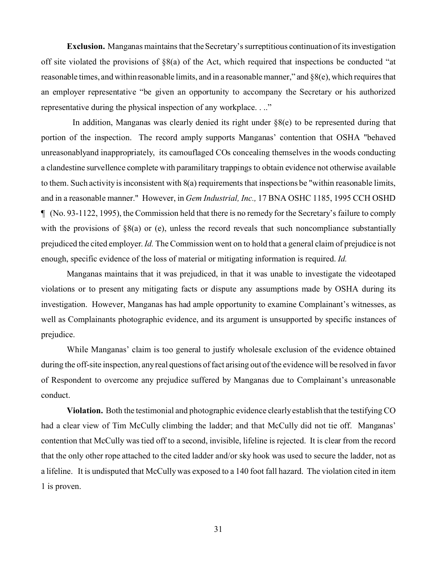**Exclusion.** Manganas maintains that the Secretary's surreptitious continuation of its investigation off site violated the provisions of §8(a) of the Act, which required that inspections be conducted "at reasonable times, and within reasonable limits, and in a reasonable manner," and §8(e), which requires that an employer representative "be given an opportunity to accompany the Secretary or his authorized representative during the physical inspection of any workplace. . .."

 In addition, Manganas was clearly denied its right under §8(e) to be represented during that portion of the inspection. The record amply supports Manganas' contention that OSHA "behaved unreasonablyand inappropriately, its camouflaged COs concealing themselves in the woods conducting a clandestine survellence complete with paramilitary trappings to obtain evidence not otherwise available to them. Such activity is inconsistent with 8(a) requirements that inspections be "within reasonable limits, and in a reasonable manner." However, in *Gem Industrial, Inc.,* 17 BNA OSHC 1185, 1995 CCH OSHD ¶ (No. 93-1122, 1995), the Commission held that there is no remedy for the Secretary's failure to comply with the provisions of  $\S 8(a)$  or (e), unless the record reveals that such noncompliance substantially prejudiced the cited employer. *Id.* The Commission went on to hold that a general claim of prejudice is not enough, specific evidence of the loss of material or mitigating information is required. *Id.* 

Manganas maintains that it was prejudiced, in that it was unable to investigate the videotaped violations or to present any mitigating facts or dispute any assumptions made by OSHA during its investigation. However, Manganas has had ample opportunity to examine Complainant's witnesses, as well as Complainants photographic evidence, and its argument is unsupported by specific instances of prejudice.

While Manganas' claim is too general to justify wholesale exclusion of the evidence obtained during the off-site inspection, any real questions of fact arising out of the evidence will be resolved in favor of Respondent to overcome any prejudice suffered by Manganas due to Complainant's unreasonable conduct.

**Violation.** Both the testimonial and photographic evidence clearly establish that the testifying CO had a clear view of Tim McCully climbing the ladder; and that McCully did not tie off. Manganas' contention that McCully was tied off to a second, invisible, lifeline is rejected. It is clear from the record that the only other rope attached to the cited ladder and/or sky hook was used to secure the ladder, not as a lifeline. It is undisputed that McCully was exposed to a 140 foot fall hazard. The violation cited in item 1 is proven.

31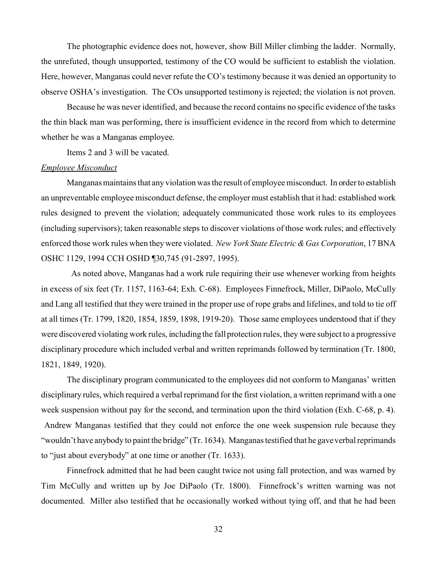The photographic evidence does not, however, show Bill Miller climbing the ladder. Normally, the unrefuted, though unsupported, testimony of the CO would be sufficient to establish the violation. Here, however, Manganas could never refute the CO's testimony because it was denied an opportunity to observe OSHA's investigation. The COs unsupported testimony is rejected; the violation is not proven.

Because he was never identified, and because the record contains no specific evidence of the tasks the thin black man was performing, there is insufficient evidence in the record from which to determine whether he was a Manganas employee.

Items 2 and 3 will be vacated.

#### *Employee Misconduct*

Manganas maintains that any violation was the result of employee misconduct. In order to establish an unpreventable employee misconduct defense, the employer must establish that it had: established work rules designed to prevent the violation; adequately communicated those work rules to its employees (including supervisors); taken reasonable steps to discover violations of those work rules; and effectively enforced those work rules when they were violated. *New York State Electric & Gas Corporation*, 17 BNA OSHC 1129, 1994 CCH OSHD ¶30,745 (91-2897, 1995).

 As noted above, Manganas had a work rule requiring their use whenever working from heights in excess of six feet (Tr. 1157, 1163-64; Exh. C-68). Employees Finnefrock, Miller, DiPaolo, McCully and Lang all testified that they were trained in the proper use of rope grabs and lifelines, and told to tie off at all times (Tr. 1799, 1820, 1854, 1859, 1898, 1919-20). Those same employees understood that if they were discovered violating work rules, including the fall protection rules, they were subject to a progressive disciplinary procedure which included verbal and written reprimands followed by termination (Tr. 1800, 1821, 1849, 1920).

The disciplinary program communicated to the employees did not conform to Manganas' written disciplinary rules, which required a verbal reprimand for the first violation, a written reprimand with a one week suspension without pay for the second, and termination upon the third violation (Exh. C-68, p. 4). Andrew Manganas testified that they could not enforce the one week suspension rule because they "wouldn't have anybody to paint the bridge" (Tr. 1634). Manganas testified that he gave verbal reprimands to "just about everybody" at one time or another (Tr. 1633).

Finnefrock admitted that he had been caught twice not using fall protection, and was warned by Tim McCully and written up by Joe DiPaolo (Tr. 1800). Finnefrock's written warning was not documented. Miller also testified that he occasionally worked without tying off, and that he had been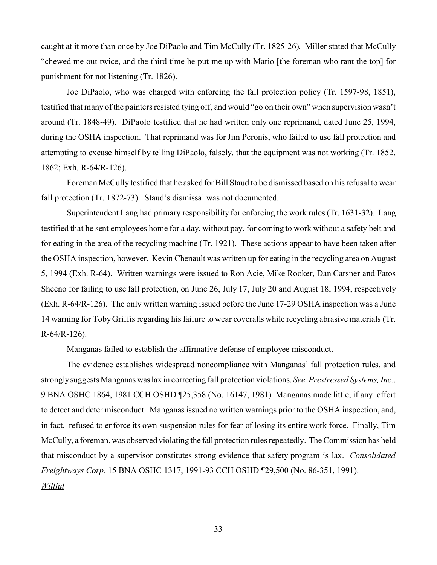caught at it more than once by Joe DiPaolo and Tim McCully (Tr. 1825-26). Miller stated that McCully "chewed me out twice, and the third time he put me up with Mario [the foreman who rant the top] for punishment for not listening (Tr. 1826).

Joe DiPaolo, who was charged with enforcing the fall protection policy (Tr. 1597-98, 1851), testified that many of the painters resisted tying off, and would "go on their own" when supervision wasn't around (Tr. 1848-49). DiPaolo testified that he had written only one reprimand, dated June 25, 1994, during the OSHA inspection. That reprimand was for Jim Peronis, who failed to use fall protection and attempting to excuse himself by telling DiPaolo, falsely, that the equipment was not working (Tr. 1852, 1862; Exh. R-64/R-126).

Foreman McCully testified that he asked for Bill Staud to be dismissed based on his refusal to wear fall protection (Tr. 1872-73). Staud's dismissal was not documented.

Superintendent Lang had primary responsibility for enforcing the work rules (Tr. 1631-32). Lang testified that he sent employees home for a day, without pay, for coming to work without a safety belt and for eating in the area of the recycling machine (Tr. 1921). These actions appear to have been taken after the OSHA inspection, however. Kevin Chenault was written up for eating in the recycling area on August 5, 1994 (Exh. R-64). Written warnings were issued to Ron Acie, Mike Rooker, Dan Carsner and Fatos Sheeno for failing to use fall protection, on June 26, July 17, July 20 and August 18, 1994, respectively (Exh. R-64/R-126). The only written warning issued before the June 17-29 OSHA inspection was a June 14 warning for Toby Griffis regarding his failure to wear coveralls while recycling abrasive materials (Tr. R-64/R-126).

Manganas failed to establish the affirmative defense of employee misconduct.

The evidence establishes widespread noncompliance with Manganas' fall protection rules, and strongly suggests Manganas was lax in correcting fall protection violations. *See, Prestressed Systems, Inc.*, 9 BNA OSHC 1864, 1981 CCH OSHD ¶25,358 (No. 16147, 1981) Manganas made little, if any effort to detect and deter misconduct. Manganas issued no written warnings prior to the OSHA inspection, and, in fact, refused to enforce its own suspension rules for fear of losing its entire work force. Finally, Tim McCully, a foreman, was observed violating the fall protection rules repeatedly. The Commission has held that misconduct by a supervisor constitutes strong evidence that safety program is lax. *Consolidated Freightways Corp.* 15 BNA OSHC 1317, 1991-93 CCH OSHD ¶29,500 (No. 86-351, 1991). *Willful*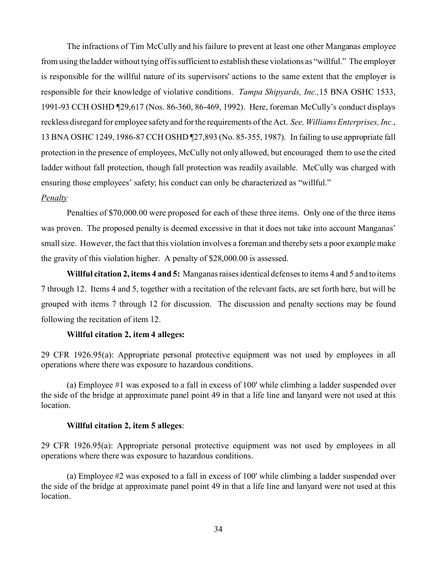The infractions of Tim McCully and his failure to prevent at least one other Manganas employee from using the ladder without tying off is sufficient to establish these violations as "willful." The employer is responsible for the willful nature of its supervisors' actions to the same extent that the employer is responsible for their knowledge of violative conditions. *Tampa Shipyards, Inc.,*15 BNA OSHC 1533, 1991-93 CCH OSHD ¶29,617 (Nos. 86-360, 86-469, 1992). Here, foreman McCully's conduct displays reckless disregard for employee safety and for the requirements of the Act. *See, Williams Enterprises, Inc.*, 13 BNA OSHC 1249, 1986-87 CCH OSHD ¶27,893 (No. 85-355, 1987). In failing to use appropriate fall protection in the presence of employees, McCully not only allowed, but encouraged them to use the cited ladder without fall protection, though fall protection was readily available. McCully was charged with ensuring those employees' safety; his conduct can only be characterized as "willful."

### *Penalty*

Penalties of \$70,000.00 were proposed for each of these three items. Only one of the three items was proven. The proposed penalty is deemed excessive in that it does not take into account Manganas' small size. However, the fact that this violation involves a foreman and thereby sets a poor example make the gravity of this violation higher. A penalty of \$28,000.00 is assessed.

**Willful citation 2, items 4 and 5:** Manganas raises identical defenses to items 4 and 5 and to items 7 through 12. Items 4 and 5, together with a recitation of the relevant facts, are set forth here, but will be grouped with items 7 through 12 for discussion. The discussion and penalty sections may be found following the recitation of item 12.

## **Willful citation 2, item 4 alleges:**

29 CFR 1926.95(a): Appropriate personal protective equipment was not used by employees in all operations where there was exposure to hazardous conditions.

(a) Employee #1 was exposed to a fall in excess of 100' while climbing a ladder suspended over the side of the bridge at approximate panel point 49 in that a life line and lanyard were not used at this location.

### **Willful citation 2, item 5 alleges**:

29 CFR 1926.95(a): Appropriate personal protective equipment was not used by employees in all operations where there was exposure to hazardous conditions.

(a) Employee #2 was exposed to a fall in excess of 100' while climbing a ladder suspended over the side of the bridge at approximate panel point 49 in that a life line and lanyard were not used at this location.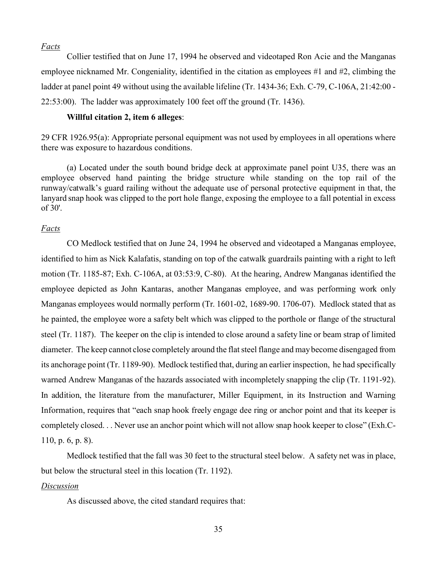#### *Facts*

Collier testified that on June 17, 1994 he observed and videotaped Ron Acie and the Manganas employee nicknamed Mr. Congeniality, identified in the citation as employees #1 and #2, climbing the ladder at panel point 49 without using the available lifeline (Tr. 1434-36; Exh. C-79, C-106A, 21:42:00 -22:53:00). The ladder was approximately 100 feet off the ground (Tr. 1436).

## **Willful citation 2, item 6 alleges**:

29 CFR 1926.95(a): Appropriate personal equipment was not used by employees in all operations where there was exposure to hazardous conditions.

(a) Located under the south bound bridge deck at approximate panel point U35, there was an employee observed hand painting the bridge structure while standing on the top rail of the runway/catwalk's guard railing without the adequate use of personal protective equipment in that, the lanyard snap hook was clipped to the port hole flange, exposing the employee to a fall potential in excess of 30'.

### *Facts*

CO Medlock testified that on June 24, 1994 he observed and videotaped a Manganas employee, identified to him as Nick Kalafatis, standing on top of the catwalk guardrails painting with a right to left motion (Tr. 1185-87; Exh. C-106A, at 03:53:9, C-80). At the hearing, Andrew Manganas identified the employee depicted as John Kantaras, another Manganas employee, and was performing work only Manganas employees would normally perform (Tr. 1601-02, 1689-90. 1706-07). Medlock stated that as he painted, the employee wore a safety belt which was clipped to the porthole or flange of the structural steel (Tr. 1187). The keeper on the clip is intended to close around a safety line or beam strap of limited diameter. The keep cannot close completely around the flat steel flange and may become disengaged from its anchorage point (Tr. 1189-90). Medlock testified that, during an earlier inspection, he had specifically warned Andrew Manganas of the hazards associated with incompletely snapping the clip (Tr. 1191-92). In addition, the literature from the manufacturer, Miller Equipment, in its Instruction and Warning Information, requires that "each snap hook freely engage dee ring or anchor point and that its keeper is completely closed. . . Never use an anchor point which will not allow snap hook keeper to close" (Exh.C-110, p. 6, p. 8).

Medlock testified that the fall was 30 feet to the structural steel below. A safety net was in place, but below the structural steel in this location (Tr. 1192).

#### *Discussion*

As discussed above, the cited standard requires that: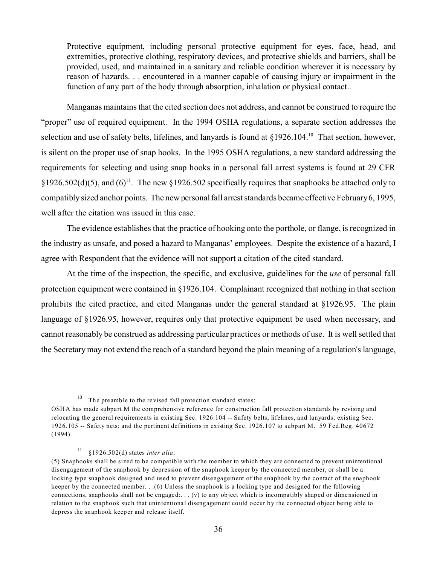Protective equipment, including personal protective equipment for eyes, face, head, and extremities, protective clothing, respiratory devices, and protective shields and barriers, shall be provided, used, and maintained in a sanitary and reliable condition wherever it is necessary by reason of hazards. . . encountered in a manner capable of causing injury or impairment in the function of any part of the body through absorption, inhalation or physical contact..

Manganas maintains that the cited section does not address, and cannot be construed to require the "proper" use of required equipment. In the 1994 OSHA regulations, a separate section addresses the selection and use of safety belts, lifelines, and lanyards is found at §1926.104.<sup>10</sup> That section, however, is silent on the proper use of snap hooks. In the 1995 OSHA regulations, a new standard addressing the requirements for selecting and using snap hooks in a personal fall arrest systems is found at 29 CFR §1926.502(d)(5), and (6)<sup>11</sup>. The new §1926.502 specifically requires that snaphooks be attached only to compatibly sized anchor points. The new personal fall arrest standards became effective February 6, 1995, well after the citation was issued in this case.

The evidence establishes that the practice of hooking onto the porthole, or flange, is recognized in the industry as unsafe, and posed a hazard to Manganas' employees. Despite the existence of a hazard, I agree with Respondent that the evidence will not support a citation of the cited standard.

At the time of the inspection, the specific, and exclusive, guidelines for the *use* of personal fall protection equipment were contained in §1926.104. Complainant recognized that nothing in that section prohibits the cited practice, and cited Manganas under the general standard at §1926.95. The plain language of §1926.95, however, requires only that protective equipment be used when necessary, and cannot reasonably be construed as addressing particular practices or methods of use. It is well settled that the Secretary may not extend the reach of a standard beyond the plain meaning of a regulation's language,

 $10$  The preamble to the revised fall protection standard states:

OSHA has made subpart M the comprehensive reference for construction fall protection standards by revising and relocating the general requirements in existing Sec. 1926.104 -- Safety belts, lifelines, and lanyards; existing Sec. 1926.105 -- Safety nets; and the pertinent definitions in existing Sec. 1926.107 to subpart M. 59 Fed.Reg. 40672 (1994).

<sup>11 §1926.502(</sup>d) states *inter alia*:

<sup>(5)</sup> Snaphooks shall be sized to be compatible with the member to which they are connected to prevent unintentional disengagement of the snaphook by depression of the snaphook keeper by the connected member, or shall be a locking type snaphook designed and used to prevent disengagement of the snaphook by the contact of the snaphook keeper by the connected member. . .(6) Unless the snaphook is a locking type and designed for the following connections, snaphooks shall not be engaged:. . . (v) to any object which is incompatibly shaped or dimensioned in relation to the snaphook such that unintentional disengagement could occur by the connected object being able to depress the snaphook keeper and release itself.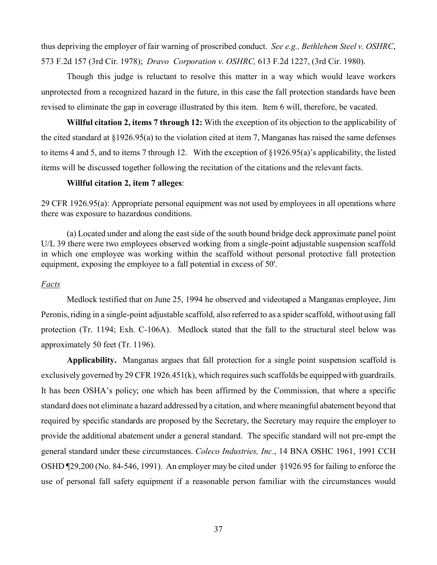thus depriving the employer of fair warning of proscribed conduct. *See e.g., Bethlehem Steel v. OSHRC*, 573 F.2d 157 (3rd Cir. 1978); *Dravo Corporation v. OSHRC,* 613 F.2d 1227, (3rd Cir. 1980).

Though this judge is reluctant to resolve this matter in a way which would leave workers unprotected from a recognized hazard in the future, in this case the fall protection standards have been revised to eliminate the gap in coverage illustrated by this item. Item 6 will, therefore, be vacated.

**Willful citation 2, items 7 through 12:** With the exception of its objection to the applicability of the cited standard at §1926.95(a) to the violation cited at item 7, Manganas has raised the same defenses to items 4 and 5, and to items 7 through 12. With the exception of §1926.95(a)'s applicability, the listed items will be discussed together following the recitation of the citations and the relevant facts.

### **Willful citation 2, item 7 alleges**:

29 CFR 1926.95(a): Appropriate personal equipment was not used by employees in all operations where there was exposure to hazardous conditions.

(a) Located under and along the east side of the south bound bridge deck approximate panel point U/L 39 there were two employees observed working from a single-point adjustable suspension scaffold in which one employee was working within the scaffold without personal protective fall protection equipment, exposing the employee to a fall potential in excess of 50'.

### *Facts*

Medlock testified that on June 25, 1994 he observed and videotaped a Manganas employee, Jim Peronis, riding in a single-point adjustable scaffold, also referred to as a spider scaffold, without using fall protection (Tr. 1194; Exh. C-106A). Medlock stated that the fall to the structural steel below was approximately 50 feet (Tr. 1196).

**Applicability.** Manganas argues that fall protection for a single point suspension scaffold is exclusively governed by 29 CFR 1926.451(k), which requires such scaffolds be equipped with guardrails. It has been OSHA's policy; one which has been affirmed by the Commission, that where a specific standard does not eliminate a hazard addressed by a citation, and where meaningful abatement beyond that required by specific standards are proposed by the Secretary, the Secretary may require the employer to provide the additional abatement under a general standard. The specific standard will not pre-empt the general standard under these circumstances. *Coleco Industries, Inc.*, 14 BNA OSHC 1961, 1991 CCH OSHD ¶29,200 (No. 84-546, 1991). An employer may be cited under §1926.95 for failing to enforce the use of personal fall safety equipment if a reasonable person familiar with the circumstances would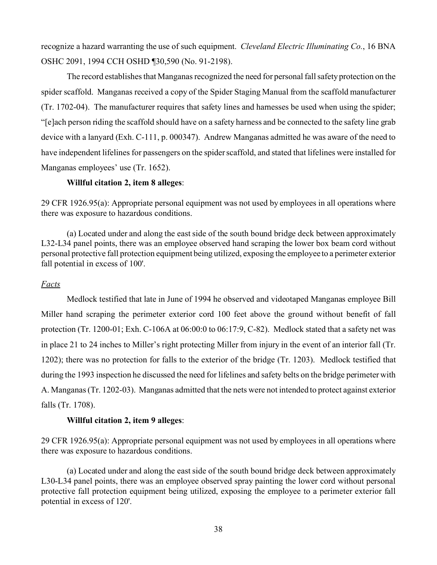recognize a hazard warranting the use of such equipment. *Cleveland Electric Illuminating Co.*, 16 BNA OSHC 2091, 1994 CCH OSHD ¶30,590 (No. 91-2198).

The record establishes that Manganas recognized the need for personal fall safety protection on the spider scaffold. Manganas received a copy of the Spider Staging Manual from the scaffold manufacturer (Tr. 1702-04). The manufacturer requires that safety lines and harnesses be used when using the spider; "[e]ach person riding the scaffold should have on a safety harness and be connected to the safety line grab device with a lanyard (Exh. C-111, p. 000347). Andrew Manganas admitted he was aware of the need to have independent lifelines for passengers on the spider scaffold, and stated that lifelines were installed for Manganas employees' use (Tr. 1652).

### **Willful citation 2, item 8 alleges**:

29 CFR 1926.95(a): Appropriate personal equipment was not used by employees in all operations where there was exposure to hazardous conditions.

(a) Located under and along the east side of the south bound bridge deck between approximately L32-L34 panel points, there was an employee observed hand scraping the lower box beam cord without personal protective fall protection equipment being utilized, exposing the employee to a perimeter exterior fall potential in excess of 100'.

### *Facts*

Medlock testified that late in June of 1994 he observed and videotaped Manganas employee Bill Miller hand scraping the perimeter exterior cord 100 feet above the ground without benefit of fall protection (Tr. 1200-01; Exh. C-106A at 06:00:0 to 06:17:9, C-82). Medlock stated that a safety net was in place 21 to 24 inches to Miller's right protecting Miller from injury in the event of an interior fall (Tr. 1202); there was no protection for falls to the exterior of the bridge (Tr. 1203). Medlock testified that during the 1993 inspection he discussed the need for lifelines and safety belts on the bridge perimeter with A. Manganas (Tr. 1202-03). Manganas admitted that the nets were not intended to protect against exterior falls (Tr. 1708).

### **Willful citation 2, item 9 alleges**:

29 CFR 1926.95(a): Appropriate personal equipment was not used by employees in all operations where there was exposure to hazardous conditions.

(a) Located under and along the east side of the south bound bridge deck between approximately L30-L34 panel points, there was an employee observed spray painting the lower cord without personal protective fall protection equipment being utilized, exposing the employee to a perimeter exterior fall potential in excess of 120'.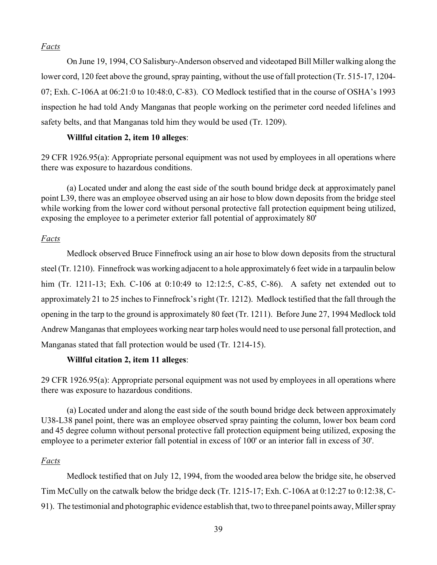## *Facts*

On June 19, 1994, CO Salisbury-Anderson observed and videotaped Bill Miller walking along the lower cord, 120 feet above the ground, spray painting, without the use of fall protection (Tr. 515-17, 1204- 07; Exh. C-106A at 06:21:0 to 10:48:0, C-83). CO Medlock testified that in the course of OSHA's 1993 inspection he had told Andy Manganas that people working on the perimeter cord needed lifelines and safety belts, and that Manganas told him they would be used (Tr. 1209).

# **Willful citation 2, item 10 alleges**:

29 CFR 1926.95(a): Appropriate personal equipment was not used by employees in all operations where there was exposure to hazardous conditions.

(a) Located under and along the east side of the south bound bridge deck at approximately panel point L39, there was an employee observed using an air hose to blow down deposits from the bridge steel while working from the lower cord without personal protective fall protection equipment being utilized, exposing the employee to a perimeter exterior fall potential of approximately 80'

## *Facts*

Medlock observed Bruce Finnefrock using an air hose to blow down deposits from the structural steel (Tr. 1210). Finnefrock was working adjacent to a hole approximately 6 feet wide in a tarpaulin below him (Tr. 1211-13; Exh. C-106 at 0:10:49 to 12:12:5, C-85, C-86). A safety net extended out to approximately 21 to 25 inches to Finnefrock's right (Tr. 1212). Medlock testified that the fall through the opening in the tarp to the ground is approximately 80 feet (Tr. 1211). Before June 27, 1994 Medlock told Andrew Manganas that employees working near tarp holes would need to use personal fall protection, and Manganas stated that fall protection would be used (Tr. 1214-15).

## **Willful citation 2, item 11 alleges**:

29 CFR 1926.95(a): Appropriate personal equipment was not used by employees in all operations where there was exposure to hazardous conditions.

(a) Located under and along the east side of the south bound bridge deck between approximately U38-L38 panel point, there was an employee observed spray painting the column, lower box beam cord and 45 degree column without personal protective fall protection equipment being utilized, exposing the employee to a perimeter exterior fall potential in excess of 100' or an interior fall in excess of 30'.

## *Facts*

Medlock testified that on July 12, 1994, from the wooded area below the bridge site, he observed Tim McCully on the catwalk below the bridge deck (Tr. 1215-17; Exh. C-106A at 0:12:27 to 0:12:38, C-91). The testimonial and photographic evidence establish that, two to three panel points away, Miller spray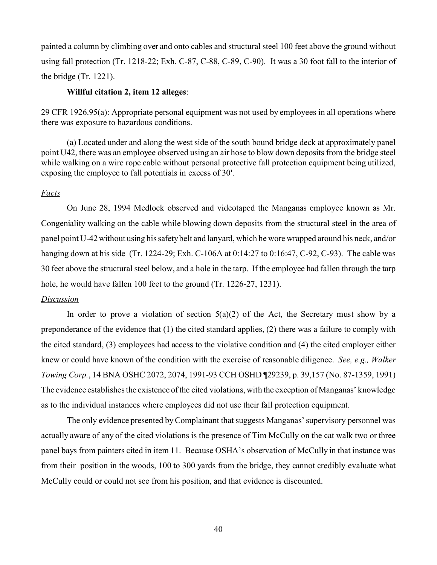painted a column by climbing over and onto cables and structural steel 100 feet above the ground without using fall protection (Tr. 1218-22; Exh. C-87, C-88, C-89, C-90). It was a 30 foot fall to the interior of the bridge (Tr. 1221).

### **Willful citation 2, item 12 alleges**:

29 CFR 1926.95(a): Appropriate personal equipment was not used by employees in all operations where there was exposure to hazardous conditions.

(a) Located under and along the west side of the south bound bridge deck at approximately panel point U42, there was an employee observed using an air hose to blow down deposits from the bridge steel while walking on a wire rope cable without personal protective fall protection equipment being utilized, exposing the employee to fall potentials in excess of 30'.

## *Facts*

On June 28, 1994 Medlock observed and videotaped the Manganas employee known as Mr. Congeniality walking on the cable while blowing down deposits from the structural steel in the area of panel point U-42 without using his safety belt and lanyard, which he wore wrapped around his neck, and/or hanging down at his side (Tr. 1224-29; Exh. C-106A at 0:14:27 to 0:16:47, C-92, C-93). The cable was 30 feet above the structural steel below, and a hole in the tarp. If the employee had fallen through the tarp hole, he would have fallen 100 feet to the ground (Tr. 1226-27, 1231).

### *Discussion*

In order to prove a violation of section  $5(a)(2)$  of the Act, the Secretary must show by a preponderance of the evidence that (1) the cited standard applies, (2) there was a failure to comply with the cited standard, (3) employees had access to the violative condition and (4) the cited employer either knew or could have known of the condition with the exercise of reasonable diligence. *See, e.g., Walker Towing Corp.*, 14 BNA OSHC 2072, 2074, 1991-93 CCH OSHD ¶29239, p. 39,157 (No. 87-1359, 1991) The evidence establishes the existence of the cited violations, with the exception of Manganas' knowledge as to the individual instances where employees did not use their fall protection equipment.

The only evidence presented by Complainant that suggests Manganas' supervisory personnel was actually aware of any of the cited violations is the presence of Tim McCully on the cat walk two or three panel bays from painters cited in item 11. Because OSHA's observation of McCully in that instance was from their position in the woods, 100 to 300 yards from the bridge, they cannot credibly evaluate what McCully could or could not see from his position, and that evidence is discounted.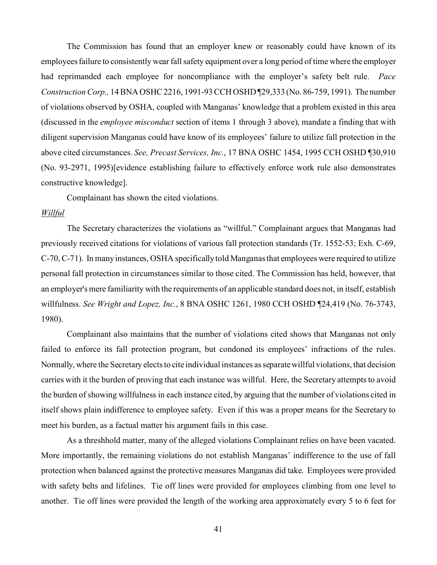The Commission has found that an employer knew or reasonably could have known of its employees failure to consistently wear fall safety equipment over a long period of time where the employer had reprimanded each employee for noncompliance with the employer's safety belt rule. *Pace Construction Corp.,* 14 BNA OSHC 2216, 1991-93 CCH OSHD ¶29,333 (No. 86-759, 1991). The number of violations observed by OSHA, coupled with Manganas' knowledge that a problem existed in this area (discussed in the *employee misconduct* section of items 1 through 3 above), mandate a finding that with diligent supervision Manganas could have know of its employees' failure to utilize fall protection in the above cited circumstances. *See, Precast Services, Inc.*, 17 BNA OSHC 1454, 1995 CCH OSHD ¶30,910 (No. 93-2971, 1995)[evidence establishing failure to effectively enforce work rule also demonstrates constructive knowledge].

Complainant has shown the cited violations.

#### *Willful*

The Secretary characterizes the violations as "willful." Complainant argues that Manganas had previously received citations for violations of various fall protection standards (Tr. 1552-53; Exh. C-69, C-70, C-71). In many instances, OSHA specifically told Manganas that employees were required to utilize personal fall protection in circumstances similar to those cited. The Commission has held, however, that an employer's mere familiarity with the requirements of an applicable standard does not, in itself, establish willfulness. *See Wright and Lopez, Inc.*, 8 BNA OSHC 1261, 1980 CCH OSHD ¶24,419 (No. 76-3743, 1980).

Complainant also maintains that the number of violations cited shows that Manganas not only failed to enforce its fall protection program, but condoned its employees' infractions of the rules. Normally, where the Secretary elects to cite individual instances as separate willful violations, that decision carries with it the burden of proving that each instance was willful. Here, the Secretary attempts to avoid the burden of showing willfulness in each instance cited, by arguing that the number of violations cited in itself shows plain indifference to employee safety. Even if this was a proper means for the Secretary to meet his burden, as a factual matter his argument fails in this case.

As a threshhold matter, many of the alleged violations Complainant relies on have been vacated. More importantly, the remaining violations do not establish Manganas' indifference to the use of fall protection when balanced against the protective measures Manganas did take. Employees were provided with safety belts and lifelines. Tie off lines were provided for employees climbing from one level to another. Tie off lines were provided the length of the working area approximately every 5 to 6 feet for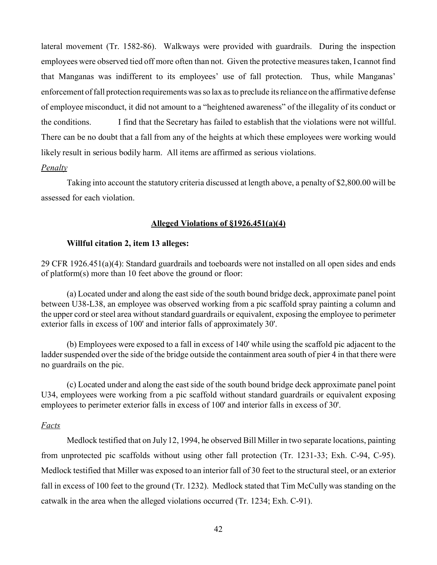lateral movement (Tr. 1582-86). Walkways were provided with guardrails. During the inspection employees were observed tied off more often than not. Given the protective measures taken, I cannot find that Manganas was indifferent to its employees' use of fall protection. Thus, while Manganas' enforcement of fall protection requirements was so lax as to preclude its reliance on the affirmative defense of employee misconduct, it did not amount to a "heightened awareness" of the illegality of its conduct or the conditions. I find that the Secretary has failed to establish that the violations were not willful. There can be no doubt that a fall from any of the heights at which these employees were working would likely result in serious bodily harm. All items are affirmed as serious violations.

#### *Penalty*

Taking into account the statutory criteria discussed at length above, a penalty of \$2,800.00 will be assessed for each violation.

## **Alleged Violations of §1926.451(a)(4)**

### **Willful citation 2, item 13 alleges:**

29 CFR 1926.451(a)(4): Standard guardrails and toeboards were not installed on all open sides and ends of platform(s) more than 10 feet above the ground or floor:

(a) Located under and along the east side of the south bound bridge deck, approximate panel point between U38-L38, an employee was observed working from a pic scaffold spray painting a column and the upper cord or steel area without standard guardrails or equivalent, exposing the employee to perimeter exterior falls in excess of 100' and interior falls of approximately 30'.

(b) Employees were exposed to a fall in excess of 140' while using the scaffold pic adjacent to the ladder suspended over the side of the bridge outside the containment area south of pier 4 in that there were no guardrails on the pic.

(c) Located under and along the east side of the south bound bridge deck approximate panel point U34, employees were working from a pic scaffold without standard guardrails or equivalent exposing employees to perimeter exterior falls in excess of 100' and interior falls in excess of 30'.

## *Facts*

Medlock testified that on July 12, 1994, he observed Bill Miller in two separate locations, painting from unprotected pic scaffolds without using other fall protection (Tr. 1231-33; Exh. C-94, C-95). Medlock testified that Miller was exposed to an interior fall of 30 feet to the structural steel, or an exterior fall in excess of 100 feet to the ground (Tr. 1232). Medlock stated that Tim McCully was standing on the catwalk in the area when the alleged violations occurred (Tr. 1234; Exh. C-91).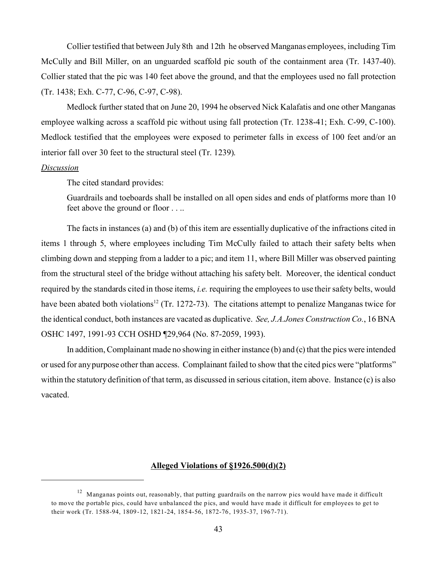Collier testified that between July 8th and 12th he observed Manganas employees, including Tim McCully and Bill Miller, on an unguarded scaffold pic south of the containment area (Tr. 1437-40). Collier stated that the pic was 140 feet above the ground, and that the employees used no fall protection (Tr. 1438; Exh. C-77, C-96, C-97, C-98).

Medlock further stated that on June 20, 1994 he observed Nick Kalafatis and one other Manganas employee walking across a scaffold pic without using fall protection (Tr. 1238-41; Exh. C-99, C-100). Medlock testified that the employees were exposed to perimeter falls in excess of 100 feet and/or an interior fall over 30 feet to the structural steel (Tr. 1239).

#### *Discussion*

The cited standard provides:

Guardrails and toeboards shall be installed on all open sides and ends of platforms more than 10 feet above the ground or floor . . ..

The facts in instances (a) and (b) of this item are essentially duplicative of the infractions cited in items 1 through 5, where employees including Tim McCully failed to attach their safety belts when climbing down and stepping from a ladder to a pic; and item 11, where Bill Miller was observed painting from the structural steel of the bridge without attaching his safety belt. Moreover, the identical conduct required by the standards cited in those items, *i.e.* requiring the employees to use their safety belts, would have been abated both violations<sup>12</sup> (Tr. 1272-73). The citations attempt to penalize Manganas twice for the identical conduct, both instances are vacated as duplicative. *See, J.A.Jones Construction Co.*, 16 BNA OSHC 1497, 1991-93 CCH OSHD ¶29,964 (No. 87-2059, 1993).

In addition, Complainant made no showing in either instance (b) and (c) that the pics were intended or used for any purpose other than access. Complainant failed to show that the cited pics were "platforms" within the statutory definition of that term, as discussed in serious citation, item above. Instance (c) is also vacated.

#### **Alleged Violations of §1926.500(d)(2)**

 $12$  Manganas points out, reasonably, that putting guardrails on the narrow pics would have made it difficult to move the portable pics, could have unbalanced the pics, and would have made it difficult for employees to get to their work (Tr. 1588-94, 1809-12, 1821-24, 1854-56, 1872-76, 1935-37, 1967-71).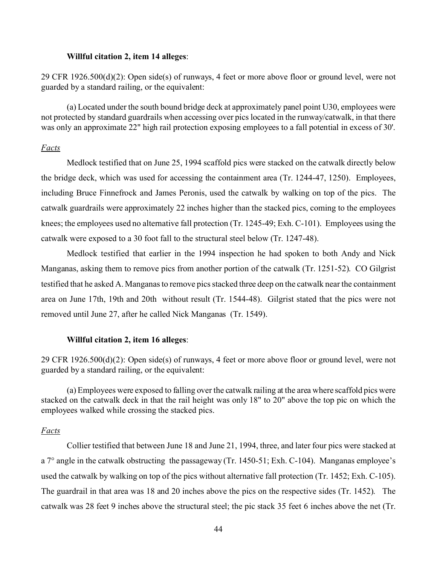#### **Willful citation 2, item 14 alleges**:

29 CFR 1926.500(d)(2): Open side(s) of runways, 4 feet or more above floor or ground level, were not guarded by a standard railing, or the equivalent:

(a) Located under the south bound bridge deck at approximately panel point U30, employees were not protected by standard guardrails when accessing over pics located in the runway/catwalk, in that there was only an approximate 22" high rail protection exposing employees to a fall potential in excess of 30'.

#### *Facts*

Medlock testified that on June 25, 1994 scaffold pics were stacked on the catwalk directly below the bridge deck, which was used for accessing the containment area (Tr. 1244-47, 1250). Employees, including Bruce Finnefrock and James Peronis, used the catwalk by walking on top of the pics. The catwalk guardrails were approximately 22 inches higher than the stacked pics, coming to the employees knees; the employees used no alternative fall protection (Tr. 1245-49; Exh. C-101). Employees using the catwalk were exposed to a 30 foot fall to the structural steel below (Tr. 1247-48).

Medlock testified that earlier in the 1994 inspection he had spoken to both Andy and Nick Manganas, asking them to remove pics from another portion of the catwalk (Tr. 1251-52). CO Gilgrist testified that he asked A. Manganas to remove pics stacked three deep on the catwalk near the containment area on June 17th, 19th and 20th without result (Tr. 1544-48). Gilgrist stated that the pics were not removed until June 27, after he called Nick Manganas (Tr. 1549).

#### **Willful citation 2, item 16 alleges**:

29 CFR 1926.500(d)(2): Open side(s) of runways, 4 feet or more above floor or ground level, were not guarded by a standard railing, or the equivalent:

(a) Employees were exposed to falling over the catwalk railing at the area where scaffold pics were stacked on the catwalk deck in that the rail height was only 18" to 20" above the top pic on which the employees walked while crossing the stacked pics.

#### *Facts*

Collier testified that between June 18 and June 21, 1994, three, and later four pics were stacked at a 7° angle in the catwalk obstructing the passageway (Tr. 1450-51; Exh. C-104). Manganas employee's used the catwalk by walking on top of the pics without alternative fall protection (Tr. 1452; Exh. C-105). The guardrail in that area was 18 and 20 inches above the pics on the respective sides (Tr. 1452). The catwalk was 28 feet 9 inches above the structural steel; the pic stack 35 feet 6 inches above the net (Tr.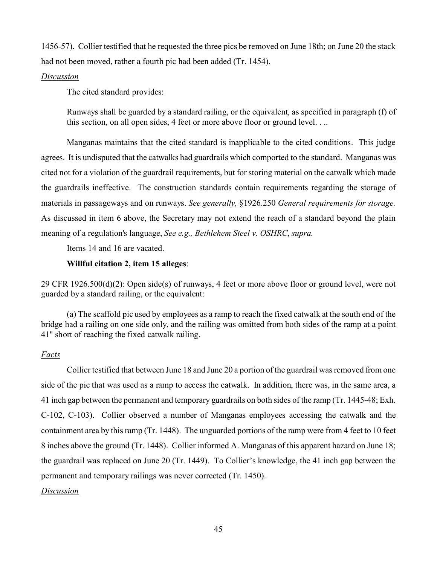1456-57). Collier testified that he requested the three pics be removed on June 18th; on June 20 the stack had not been moved, rather a fourth pic had been added (Tr. 1454).

### *Discussion*

The cited standard provides:

Runways shall be guarded by a standard railing, or the equivalent, as specified in paragraph (f) of this section, on all open sides, 4 feet or more above floor or ground level. . ..

Manganas maintains that the cited standard is inapplicable to the cited conditions. This judge agrees. It is undisputed that the catwalks had guardrails which comported to the standard. Manganas was cited not for a violation of the guardrail requirements, but for storing material on the catwalk which made the guardrails ineffective. The construction standards contain requirements regarding the storage of materials in passageways and on runways. *See generally,* §1926.250 *General requirements for storage.*  As discussed in item 6 above, the Secretary may not extend the reach of a standard beyond the plain meaning of a regulation's language, *See e.g., Bethlehem Steel v. OSHRC*, *supra.* 

Items 14 and 16 are vacated.

### **Willful citation 2, item 15 alleges**:

29 CFR 1926.500(d)(2): Open side(s) of runways, 4 feet or more above floor or ground level, were not guarded by a standard railing, or the equivalent:

(a) The scaffold pic used by employees as a ramp to reach the fixed catwalk at the south end of the bridge had a railing on one side only, and the railing was omitted from both sides of the ramp at a point 41" short of reaching the fixed catwalk railing.

### *Facts*

Collier testified that between June 18 and June 20 a portion of the guardrail was removed from one side of the pic that was used as a ramp to access the catwalk. In addition, there was, in the same area, a 41 inch gap between the permanent and temporary guardrails on both sides of the ramp (Tr. 1445-48; Exh. C-102, C-103). Collier observed a number of Manganas employees accessing the catwalk and the containment area by this ramp (Tr. 1448). The unguarded portions of the ramp were from 4 feet to 10 feet 8 inches above the ground (Tr. 1448). Collier informed A. Manganas of this apparent hazard on June 18; the guardrail was replaced on June 20 (Tr. 1449). To Collier's knowledge, the 41 inch gap between the permanent and temporary railings was never corrected (Tr. 1450).

### *Discussion*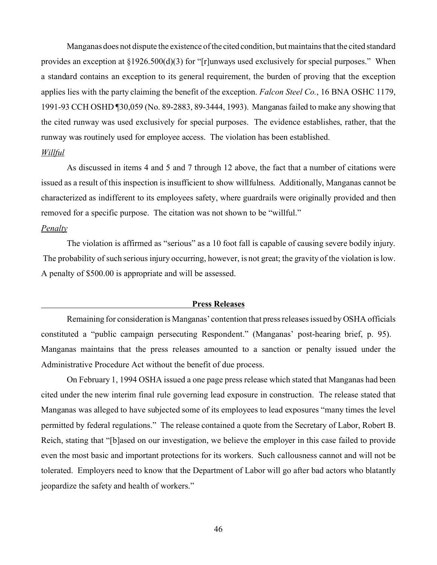Manganas does not dispute the existence of the cited condition, but maintains that the cited standard provides an exception at §1926.500(d)(3) for "[r]unways used exclusively for special purposes." When a standard contains an exception to its general requirement, the burden of proving that the exception applies lies with the party claiming the benefit of the exception. *Falcon Steel Co.*, 16 BNA OSHC 1179, 1991-93 CCH OSHD ¶30,059 (No. 89-2883, 89-3444, 1993). Manganas failed to make any showing that the cited runway was used exclusively for special purposes. The evidence establishes, rather, that the runway was routinely used for employee access. The violation has been established. *Willful* 

As discussed in items 4 and 5 and 7 through 12 above, the fact that a number of citations were issued as a result of this inspection is insufficient to show willfulness. Additionally, Manganas cannot be characterized as indifferent to its employees safety, where guardrails were originally provided and then removed for a specific purpose. The citation was not shown to be "willful."

#### *Penalty*

The violation is affirmed as "serious" as a 10 foot fall is capable of causing severe bodily injury. The probability of such serious injury occurring, however, is not great; the gravity of the violation is low. A penalty of \$500.00 is appropriate and will be assessed.

#### **Press Releases**

Remaining for consideration is Manganas' contention that press releases issued by OSHA officials constituted a "public campaign persecuting Respondent." (Manganas' post-hearing brief, p. 95). Manganas maintains that the press releases amounted to a sanction or penalty issued under the Administrative Procedure Act without the benefit of due process.

On February 1, 1994 OSHA issued a one page press release which stated that Manganas had been cited under the new interim final rule governing lead exposure in construction. The release stated that Manganas was alleged to have subjected some of its employees to lead exposures "many times the level permitted by federal regulations." The release contained a quote from the Secretary of Labor, Robert B. Reich, stating that "[b]ased on our investigation, we believe the employer in this case failed to provide even the most basic and important protections for its workers. Such callousness cannot and will not be tolerated. Employers need to know that the Department of Labor will go after bad actors who blatantly jeopardize the safety and health of workers."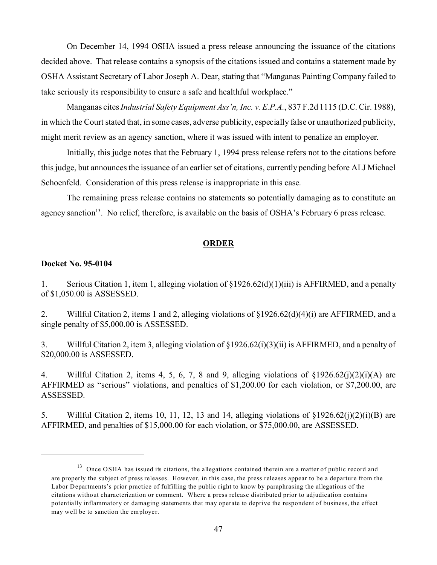On December 14, 1994 OSHA issued a press release announcing the issuance of the citations decided above. That release contains a synopsis of the citations issued and contains a statement made by OSHA Assistant Secretary of Labor Joseph A. Dear, stating that "Manganas Painting Company failed to take seriously its responsibility to ensure a safe and healthful workplace."

Manganas cites *Industrial Safety Equipment Ass'n, Inc. v. E.P.A.*, 837 F.2d 1115 (D.C. Cir. 1988), in which the Court stated that, in some cases, adverse publicity, especially false or unauthorized publicity, might merit review as an agency sanction, where it was issued with intent to penalize an employer.

Initially, this judge notes that the February 1, 1994 press release refers not to the citations before this judge, but announces the issuance of an earlier set of citations, currently pending before ALJ Michael Schoenfeld. Consideration of this press release is inappropriate in this case.

The remaining press release contains no statements so potentially damaging as to constitute an agency sanction<sup>13</sup>. No relief, therefore, is available on the basis of OSHA's February 6 press release.

### **ORDER**

#### **Docket No. 95-0104**

1. Serious Citation 1, item 1, alleging violation of §1926.62(d)(1)(iii) is AFFIRMED, and a penalty of \$1,050.00 is ASSESSED.

2. Willful Citation 2, items 1 and 2, alleging violations of §1926.62(d)(4)(i) are AFFIRMED, and a single penalty of \$5,000.00 is ASSESSED.

3. Willful Citation 2, item 3, alleging violation of §1926.62(i)(3)(ii) is AFFIRMED, and a penalty of \$20,000.00 is ASSESSED.

4. Willful Citation 2, items 4, 5, 6, 7, 8 and 9, alleging violations of  $\{1926.62(i)(2)(i)(A)$  are AFFIRMED as "serious" violations, and penalties of \$1,200.00 for each violation, or \$7,200.00, are ASSESSED.

5. Willful Citation 2, items 10, 11, 12, 13 and 14, alleging violations of  $\S1926.62(i)(2)(i)(B)$  are AFFIRMED, and penalties of \$15,000.00 for each violation, or \$75,000.00, are ASSESSED.

 $13$  Once OSHA has issued its citations, the allegations contained therein are a matter of public record and are properly the subject of press releases. However, in this case, the press releases appear to be a departure from the Labor Departments's prior practice of fulfilling the public right to know by paraphrasing the allegations of the citations without characterization or comment. Where a press release distributed prior to adjudication contains potentially inflammatory or damaging statements that may operate to deprive the respondent of business, the effect may well be to sanction the employer.